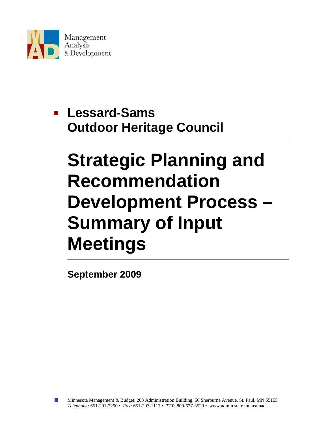

# **Lessard-Sams Outdoor Heritage Council**

# **Strategic Planning and Recommendation Development Process – Summary of Input Meetings**

**September 2009**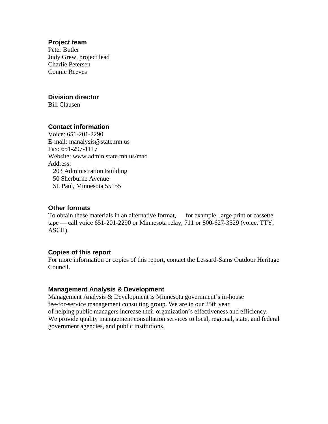#### **Project team**

Peter Butler Judy Grew, project lead Charlie Petersen Connie Reeves

#### **Division director**

Bill Clausen

#### **Contact information**

Voice: 651-201-2290 E-mail: manalysis@state.mn.us Fax: 651-297-1117 Website: www.admin.state.mn.us/mad Address: 203 Administration Building 50 Sherburne Avenue St. Paul, Minnesota 55155

#### **Other formats**

To obtain these materials in an alternative format, — for example, large print or cassette tape — call voice 651-201-2290 or Minnesota relay, 711 or 800-627-3529 (voice, TTY, ASCII).

#### **Copies of this report**

For more information or copies of this report, contact the Lessard-Sams Outdoor Heritage Council.

#### **Management Analysis & Development**

Management Analysis & Development is Minnesota government's in-house fee-for-service management consulting group. We are in our 25th year of helping public managers increase their organization's effectiveness and efficiency. We provide quality management consultation services to local, regional, state, and federal government agencies, and public institutions.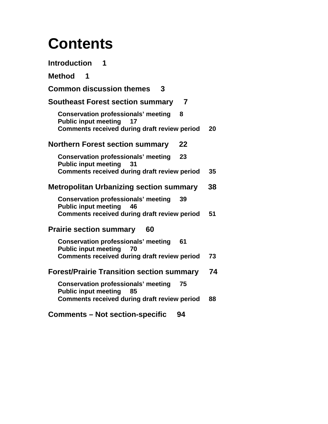# **Contents**

| <b>Introduction</b><br>1                                                                                                                      |    |
|-----------------------------------------------------------------------------------------------------------------------------------------------|----|
| <b>Method</b><br>- 1                                                                                                                          |    |
| <b>Common discussion themes</b><br>3                                                                                                          |    |
| <b>Southeast Forest section summary</b><br>7                                                                                                  |    |
| <b>Conservation professionals' meeting</b><br>- 8<br><b>Public input meeting</b><br>17<br><b>Comments received during draft review period</b> | 20 |
| <b>Northern Forest section summary</b><br>22                                                                                                  |    |
| <b>Conservation professionals' meeting</b><br>23<br><b>Public input meeting</b><br>31                                                         |    |
| <b>Comments received during draft review period</b>                                                                                           | 35 |
| <b>Metropolitan Urbanizing section summary</b>                                                                                                | 38 |
| <b>Conservation professionals' meeting</b><br>39<br><b>Public input meeting</b><br>46<br><b>Comments received during draft review period</b>  | 51 |
| <b>Prairie section summary</b><br>60                                                                                                          |    |
| <b>Conservation professionals' meeting</b><br>61<br><b>Public input meeting</b><br>70                                                         |    |
| <b>Comments received during draft review period</b>                                                                                           | 73 |
| <b>Forest/Prairie Transition section summary</b>                                                                                              | 74 |
| <b>Conservation professionals' meeting</b><br>75<br><b>Public input meeting</b><br>85<br>Comments received during draft review period         | 88 |
| <b>Comments – Not section-specific</b><br>94                                                                                                  |    |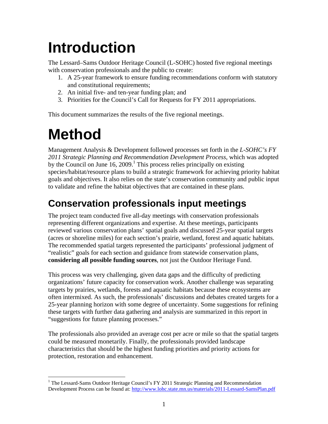# **Introduction**

The Lessard–Sams Outdoor Heritage Council (L-SOHC) hosted five regional meetings with conservation professionals and the public to create:

- 1. A 25-year framework to ensure funding recommendations conform with statutory and constitutional requirements;
- 2. An initial five- and ten-year funding plan; and
- 3. Priorities for the Council's Call for Requests for FY 2011 appropriations.

This document summarizes the results of the five regional meetings.

# **Method**

Management Analysis & Development followed processes set forth in the *L-SOHC's FY 2011 Strategic Planning and Recommendation Development Process*, which was adopted by the Council on June  $16$ ,  $2009$ .<sup>1</sup> This process relies principally on existing species/habitat/resource plans to build a strategic framework for achieving priority habitat goals and objectives. It also relies on the state's conservation community and public input to validate and refine the habitat objectives that are contained in these plans.

## **Conservation professionals input meetings**

The project team conducted five all-day meetings with conservation professionals representing different organizations and expertise. At these meetings, participants reviewed various conservation plans' spatial goals and discussed 25-year spatial targets (acres or shoreline miles) for each section's prairie, wetland, forest and aquatic habitats. The recommended spatial targets represented the participants' professional judgment of "realistic" goals for each section and guidance from statewide conservation plans, **considering all possible funding sources**, not just the Outdoor Heritage Fund.

This process was very challenging, given data gaps and the difficulty of predicting organizations' future capacity for conservation work. Another challenge was separating targets by prairies, wetlands, forests and aquatic habitats because these ecosystems are often intermixed. As such, the professionals' discussions and debates created targets for a 25-year planning horizon with some degree of uncertainty. Some suggestions for refining these targets with further data gathering and analysis are summarized in this report in "suggestions for future planning processes."

The professionals also provided an average cost per acre or mile so that the spatial targets could be measured monetarily. Finally, the professionals provided landscape characteristics that should be the highest funding priorities and priority actions for protection, restoration and enhancement.

 $\overline{a}$ <sup>1</sup> The Lessard-Sams Outdoor Heritage Council's FY 2011 Strategic Planning and Recommendation Development Process can be found at: http://www.lohc.state.mn.us/materials/2011-Lessard-SamsPlan.pdf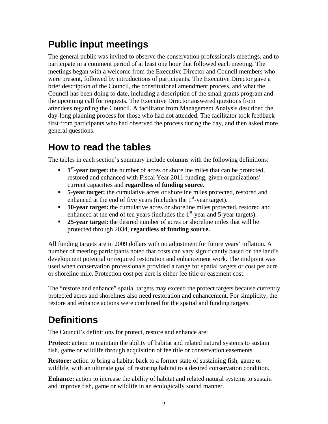## **Public input meetings**

The general public was invited to observe the conservation professionals meetings, and to participate in a comment period of at least one hour that followed each meeting. The meetings began with a welcome from the Executive Director and Council members who were present, followed by introductions of participants. The Executive Director gave a brief description of the Council, the constitutional amendment process, and what the Council has been doing to date, including a description of the small grants program and the upcoming call for requests. The Executive Director answered questions from attendees regarding the Council. A facilitator from Management Analysis described the day-long planning process for those who had not attended. The facilitator took feedback first from participants who had observed the process during the day, and then asked more general questions.

### **How to read the tables**

The tables in each section's summary include columns with the following definitions:

- **1st-year target:** the number of acres or shoreline miles that can be protected, restored and enhanced with Fiscal Year 2011 funding, given organizations' current capacities and **regardless of funding source.**
- **5-year target:** the cumulative acres or shoreline miles protected, restored and enhanced at the end of five years (includes the  $1<sup>st</sup>$ -year target).
- **10-year target:** the cumulative acres or shoreline miles protected, restored and enhanced at the end of ten years (includes the  $1<sup>st</sup>$ -year and 5-year targets).
- **25-year target:** the desired number of acres or shoreline miles that will be protected through 2034, **regardless of funding source.**

All funding targets are in 2009 dollars with no adjustment for future years' inflation. A number of meeting participants noted that costs can vary significantly based on the land's development potential or required restoration and enhancement work. The midpoint was used when conservation professionals provided a range for spatial targets or cost per acre or shoreline mile. Protection cost per acre is either fee title or easement cost.

The "restore and enhance" spatial targets may exceed the protect targets because currently protected acres and shorelines also need restoration and enhancement. For simplicity, the restore and enhance actions were combined for the spatial and funding targets.

## **Definitions**

The Council's definitions for protect, restore and enhance are:

**Protect:** action to maintain the ability of habitat and related natural systems to sustain fish, game or wildlife through acquisition of fee title or conservation easements.

**Restore:** action to bring a habitat back to a former state of sustaining fish, game or wildlife, with an ultimate goal of restoring habitat to a desired conservation condition.

**Enhance:** action to increase the ability of habitat and related natural systems to sustain and improve fish, game or wildlife in an ecologically sound manner.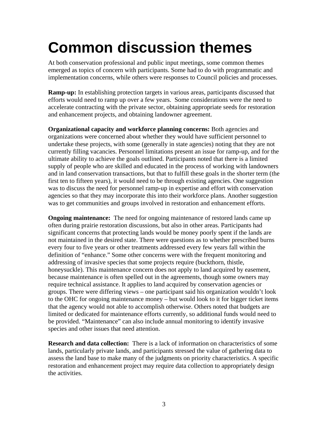# **Common discussion themes**

At both conservation professional and public input meetings, some common themes emerged as topics of concern with participants. Some had to do with programmatic and implementation concerns, while others were responses to Council policies and processes.

**Ramp-up:** In establishing protection targets in various areas, participants discussed that efforts would need to ramp up over a few years. Some considerations were the need to accelerate contracting with the private sector, obtaining appropriate seeds for restoration and enhancement projects, and obtaining landowner agreement.

**Organizational capacity and workforce planning concerns:** Both agencies and organizations were concerned about whether they would have sufficient personnel to undertake these projects, with some (generally in state agencies) noting that they are not currently filling vacancies. Personnel limitations present an issue for ramp-up, and for the ultimate ability to achieve the goals outlined. Participants noted that there is a limited supply of people who are skilled and educated in the process of working with landowners and in land conservation transactions, but that to fulfill these goals in the shorter term (the first ten to fifteen years), it would need to be through existing agencies. One suggestion was to discuss the need for personnel ramp-up in expertise and effort with conservation agencies so that they may incorporate this into their workforce plans. Another suggestion was to get communities and groups involved in restoration and enhancement efforts.

**Ongoing maintenance:** The need for ongoing maintenance of restored lands came up often during prairie restoration discussions, but also in other areas. Participants had significant concerns that protecting lands would be money poorly spent if the lands are not maintained in the desired state. There were questions as to whether prescribed burns every four to five years or other treatments addressed every few years fall within the definition of "enhance." Some other concerns were with the frequent monitoring and addressing of invasive species that some projects require (buckthorn, thistle, honeysuckle). This maintenance concern does not apply to land acquired by easement, because maintenance is often spelled out in the agreements, though some owners may require technical assistance. It applies to land acquired by conservation agencies or groups. There were differing views – one participant said his organization wouldn't look to the OHC for ongoing maintenance money – but would look to it for bigger ticket items that the agency would not able to accomplish otherwise. Others noted that budgets are limited or dedicated for maintenance efforts currently, so additional funds would need to be provided. "Maintenance" can also include annual monitoring to identify invasive species and other issues that need attention.

**Research and data collection:** There is a lack of information on characteristics of some lands, particularly private lands, and participants stressed the value of gathering data to assess the land base to make many of the judgments on priority characteristics. A specific restoration and enhancement project may require data collection to appropriately design the activities.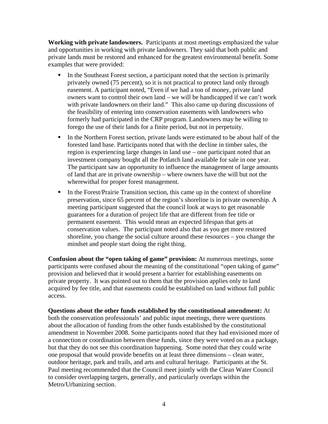**Working with private landowners.** Participants at most meetings emphasized the value and opportunities in working with private landowners. They said that both public and private lands must be restored and enhanced for the greatest environmental benefit. Some examples that were provided:

- In the Southeast Forest section, a participant noted that the section is primarily privately owned (75 percent), so it is not practical to protect land only through easement. A participant noted, "Even if we had a ton of money, private land owners want to control their own land – we will be handicapped if we can't work with private landowners on their land." This also came up during discussions of the feasibility of entering into conservation easements with landowners who formerly had participated in the CRP program. Landowners may be willing to forego the use of their lands for a finite period, but not in perpetuity.
- In the Northern Forest section, private lands were estimated to be about half of the forested land base. Participants noted that with the decline in timber sales, the region is experiencing large changes in land use – one participant noted that an investment company bought all the Potlatch land available for sale in one year. The participant saw an opportunity to influence the management of large amounts of land that are in private ownership – where owners have the will but not the wherewithal for proper forest management.
- In the Forest/Prairie Transition section, this came up in the context of shoreline preservation, since 65 percent of the region's shoreline is in private ownership. A meeting participant suggested that the council look at ways to get reasonable guarantees for a duration of project life that are different from fee title or permanent easement. This would mean an expected lifespan that gets at conservation values. The participant noted also that as you get more restored shoreline, you change the social culture around these resources – you change the mindset and people start doing the right thing.

**Confusion about the "open taking of game" provision:** At numerous meetings, some participants were confused about the meaning of the constitutional "open taking of game" provision and believed that it would present a barrier for establishing easements on private property. It was pointed out to them that the provision applies only to land acquired by fee title, and that easements could be established on land without full public access.

**Questions about the other funds established by the constitutional amendment:** At both the conservation professionals' and public input meetings, there were questions about the allocation of funding from the other funds established by the constitutional amendment in November 2008. Some participants noted that they had envisioned more of a connection or coordination between these funds, since they were voted on as a package, but that they do not see this coordination happening. Some noted that they could write one proposal that would provide benefits on at least three dimensions – clean water, outdoor heritage, park and trails, and arts and cultural heritage. Participants at the St. Paul meeting recommended that the Council meet jointly with the Clean Water Council to consider overlapping targets, generally, and particularly overlaps within the Metro/Urbanizing section.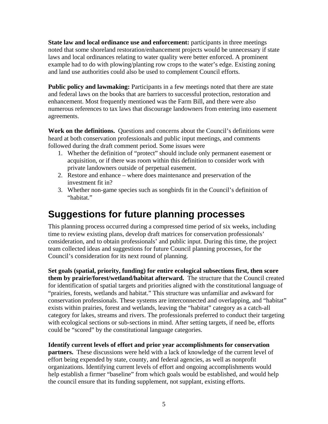**State law and local ordinance use and enforcement:** participants in three meetings noted that some shoreland restoration/enhancement projects would be unnecessary if state laws and local ordinances relating to water quality were better enforced. A prominent example had to do with plowing/planting row crops to the water's edge. Existing zoning and land use authorities could also be used to complement Council efforts.

**Public policy and lawmaking:** Participants in a few meetings noted that there are state and federal laws on the books that are barriers to successful protection, restoration and enhancement. Most frequently mentioned was the Farm Bill, and there were also numerous references to tax laws that discourage landowners from entering into easement agreements.

**Work on the definitions.** Questions and concerns about the Council's definitions were heard at both conservation professionals and public input meetings, and comments followed during the draft comment period. Some issues were

- 1. Whether the definition of "protect" should include only permanent easement or acquisition, or if there was room within this definition to consider work with private landowners outside of perpetual easement.
- 2. Restore and enhance where does maintenance and preservation of the investment fit in?
- 3. Whether non-game species such as songbirds fit in the Council's definition of "habitat."

### **Suggestions for future planning processes**

This planning process occurred during a compressed time period of six weeks, including time to review existing plans, develop draft matrices for conservation professionals' consideration, and to obtain professionals' and public input. During this time, the project team collected ideas and suggestions for future Council planning processes, for the Council's consideration for its next round of planning.

**Set goals (spatial, priority, funding) for entire ecological subsections first, then score them by prairie/forest/wetland/habitat afterward.** The structure that the Council created for identification of spatial targets and priorities aligned with the constitutional language of "prairies, forests, wetlands and habitat." This structure was unfamiliar and awkward for conservation professionals. These systems are interconnected and overlapping, and "habitat" exists within prairies, forest and wetlands, leaving the "habitat" category as a catch-all category for lakes, streams and rivers. The professionals preferred to conduct their targeting with ecological sections or sub-sections in mind. After setting targets, if need be, efforts could be "scored" by the constitutional language categories.

**Identify current levels of effort and prior year accomplishments for conservation partners.** These discussions were held with a lack of knowledge of the current level of effort being expended by state, county, and federal agencies, as well as nonprofit organizations. Identifying current levels of effort and ongoing accomplishments would help establish a firmer "baseline" from which goals would be established, and would help the council ensure that its funding supplement, not supplant, existing efforts.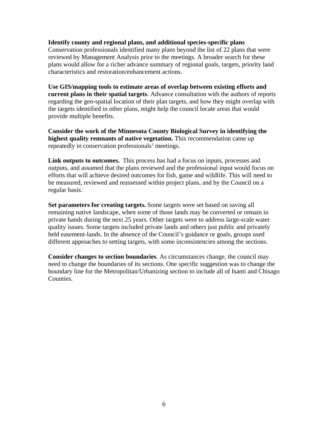#### **Identify county and regional plans, and additional species-specific plans**

Conservation professionals identified many plans beyond the list of 22 plans that were reviewed by Management Analysis prior to the meetings. A broader search for these plans would allow for a richer advance summary of regional goals, targets, priority land characteristics and restoration/enhancement actions.

**Use GIS/mapping tools to estimate areas of overlap between existing efforts and current plans in their spatial targets**. Advance consultation with the authors of reports regarding the geo-spatial location of their plan targets, and how they might overlap with the targets identified in other plans, might help the council locate areas that would provide multiple benefits.

**Consider the work of the Minnesota County Biological Survey in identifying the highest quality remnants of native vegetation.** This recommendation came up repeatedly in conservation professionals' meetings.

**Link outputs to outcomes.** This process has had a focus on inputs, processes and outputs, and assumed that the plans reviewed and the professional input would focus on efforts that will achieve desired outcomes for fish, game and wildlife. This will need to be measured, reviewed and reassessed within project plans, and by the Council on a regular basis.

**Set parameters for creating targets.** Some targets were set based on saving all remaining native landscape, when some of those lands may be converted or remain in private hands during the next 25 years. Other targets were to address large-scale water quality issues. Some targets included private lands and others just public and privately held easement-lands. In the absence of the Council's guidance or goals, groups used different approaches to setting targets, with some inconsistencies among the sections.

**Consider changes to section boundaries**. As circumstances change, the council may need to change the boundaries of its sections. One specific suggestion was to change the boundary line for the Metropolitan/Urbanizing section to include all of Isanti and Chisago Counties.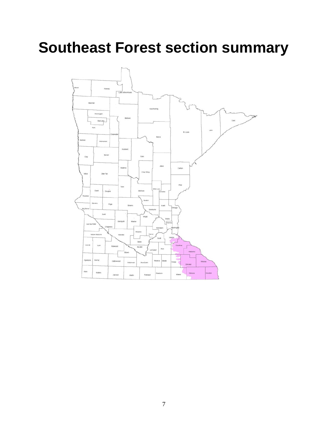# **Southeast Forest section summary**

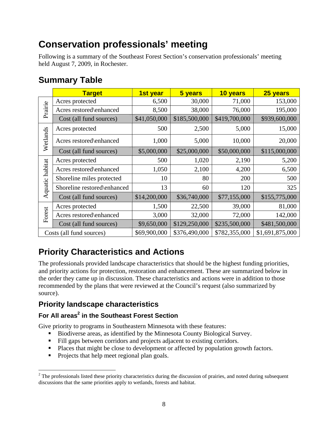## **Conservation professionals' meeting**

Following is a summary of the Southeast Forest Section's conservation professionals' meeting held August 7, 2009, in Rochester.

### **Summary Table**

|                 | <b>Target</b>               | 1st year     | 5 years       | 10 years      | 25 years        |
|-----------------|-----------------------------|--------------|---------------|---------------|-----------------|
|                 | Acres protected             | 6,500        | 30,000        | 71,000        | 153,000         |
| Prairie         | Acres restored\enhanced     | 8,500        | 38,000        | 76,000        | 195,000         |
|                 | Cost (all fund sources)     | \$41,050,000 | \$185,500,000 | \$419,700,000 | \$939,600,000   |
|                 | Acres protected             | 500          | 2,500         | 5,000         | 15,000          |
| Wetlands        | Acres restored\enhanced     | 1,000        | 5,000         | 10,000        | 20,000          |
|                 | Cost (all fund sources)     | \$5,000,000  | \$25,000,000  | \$50,000,000  | \$115,000,000   |
|                 | Acres protected             | 500          | 1,020         | 2,190         | 5,200           |
|                 | Acres restored\enhanced     | 1,050        | 2,100         | 4,200         | 6,500           |
|                 | Shoreline miles protected   | 10           | 80            | 200           | 500             |
| Aquatic habitat | Shoreline restored\enhanced | 13           | 60            | 120           | 325             |
|                 | Cost (all fund sources)     | \$14,200,000 | \$36,740,000  | \$77,155,000  | \$155,775,000   |
|                 | Acres protected             | 1,500        | 22,500        | 39,000        | 81,000          |
| Forest          | Acres restored\enhanced     | 3,000        | 32,000        | 72,000        | 142,000         |
|                 | Cost (all fund sources)     | \$9,650,000  | \$129,250,000 | \$235,500,000 | \$481,500,000   |
|                 | Costs (all fund sources)    | \$69,900,000 | \$376,490,000 | \$782,355,000 | \$1,691,875,000 |

### **Priority Characteristics and Actions**

The professionals provided landscape characteristics that should be the highest funding priorities, and priority actions for protection, restoration and enhancement. These are summarized below in the order they came up in discussion. These characteristics and actions were in addition to those recommended by the plans that were reviewed at the Council's request (also summarized by source).

### **Priority landscape characteristics**

### **For All areas<sup>2</sup> in the Southeast Forest Section**

Give priority to programs in Southeastern Minnesota with these features:

- Biodiverse areas, as identified by the Minnesota County Biological Survey.
- Fill gaps between corridors and projects adjacent to existing corridors.
- Places that might be close to development or affected by population growth factors.
- Projects that help meet regional plan goals.

1

 $2^2$  The professionals listed these priority characteristics during the discussion of prairies, and noted during subsequent discussions that the same priorities apply to wetlands, forests and habitat.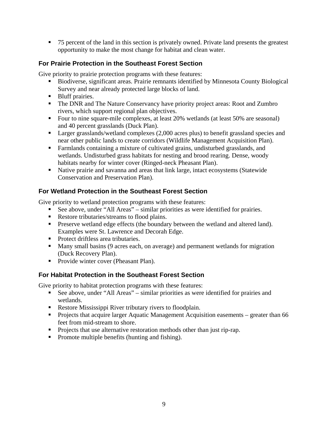■ 75 percent of the land in this section is privately owned. Private land presents the greatest opportunity to make the most change for habitat and clean water.

### **For Prairie Protection in the Southeast Forest Section**

Give priority to prairie protection programs with these features:

- Biodiverse, significant areas. Prairie remnants identified by Minnesota County Biological Survey and near already protected large blocks of land.
- **Bluff** prairies.
- The DNR and The Nature Conservancy have priority project areas: Root and Zumbro rivers, which support regional plan objectives.
- Four to nine square-mile complexes, at least 20% wetlands (at least 50% are seasonal) and 40 percent grasslands (Duck Plan).
- **Larger grasslands/wetland complexes (2,000 acres plus) to benefit grassland species and** near other public lands to create corridors (Wildlife Management Acquisition Plan).
- Farmlands containing a mixture of cultivated grains, undisturbed grasslands, and wetlands. Undisturbed grass habitats for nesting and brood rearing. Dense, woody habitats nearby for winter cover (Ringed-neck Pheasant Plan).
- Native prairie and savanna and areas that link large, intact ecosystems (Statewide Conservation and Preservation Plan).

### **For Wetland Protection in the Southeast Forest Section**

Give priority to wetland protection programs with these features:

- See above, under "All Areas" similar priorities as were identified for prairies.
- Restore tributaries/streams to flood plains.
- **Preserve wetland edge effects (the boundary between the wetland and altered land).** Examples were St. Lawrence and Decorah Edge.
- Protect driftless area tributaries.
- Many small basins (9 acres each, on average) and permanent wetlands for migration (Duck Recovery Plan).
- **Provide winter cover (Pheasant Plan).**

### **For Habitat Protection in the Southeast Forest Section**

Give priority to habitat protection programs with these features:

- See above, under "All Areas" similar priorities as were identified for prairies and wetlands.
- Restore Mississippi River tributary rivers to floodplain.
- **Projects that acquire larger Aquatic Management Acquisition easements greater than 66** feet from mid-stream to shore.
- Projects that use alternative restoration methods other than just rip-rap.
- Promote multiple benefits (hunting and fishing).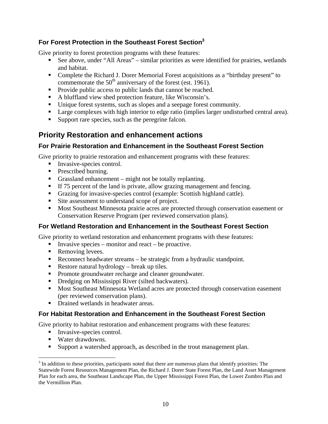### **For Forest Protection in the Southeast Forest Section3**

Give priority to forest protection programs with these features:

- See above, under "All Areas" similar priorities as were identified for prairies, wetlands and habitat.
- Complete the Richard J. Dorer Memorial Forest acquisitions as a "birthday present" to commemorate the  $50<sup>th</sup>$  anniversary of the forest (est. 1961).
- Provide public access to public lands that cannot be reached.
- A bluffland view shed protection feature, like Wisconsin's.
- Unique forest systems, such as slopes and a seepage forest community.
- Large complexes with high interior to edge ratio (implies larger undisturbed central area).
- Support rare species, such as the peregrine falcon.

### **Priority Restoration and enhancement actions**

### **For Prairie Restoration and Enhancement in the Southeast Forest Section**

Give priority to prairie restoration and enhancement programs with these features:

- Invasive-species control.
- **Prescribed burning.**
- Grassland enhancement might not be totally replanting.
- If 75 percent of the land is private, allow grazing management and fencing.
- Grazing for invasive-species control (example: Scottish highland cattle).
- Site assessment to understand scope of project.
- **Most Southeast Minnesota prairie acres are protected through conservation easement or** Conservation Reserve Program (per reviewed conservation plans).

### **For Wetland Restoration and Enhancement in the Southeast Forest Section**

Give priority to wetland restoration and enhancement programs with these features:

- **I**nvasive species monitor and react be proactive.
- Removing levees.
- Reconnect headwater streams be strategic from a hydraulic standpoint.
- Restore natural hydrology break up tiles.
- **Promote groundwater recharge and cleaner groundwater.**
- Dredging on Mississippi River (silted backwaters).
- **Most Southeast Minnesota Wetland acres are protected through conservation easement** (per reviewed conservation plans).
- Drained wetlands in headwater areas.

### **For Habitat Restoration and Enhancement in the Southeast Forest Section**

Give priority to habitat restoration and enhancement programs with these features:

- Invasive-species control.
- Water drawdowns.
- Support a watershed approach, as described in the trout management plan.

 $\overline{a}$  $3$  In addition to these priorities, participants noted that there are numerous plans that identify priorities: The Statewide Forest Resources Management Plan, the Richard J. Dorer State Forest Plan, the Land Asset Management Plan for each area, the Southeast Landscape Plan, the Upper Mississippi Forest Plan, the Lower Zumbro Plan and the Vermillion Plan.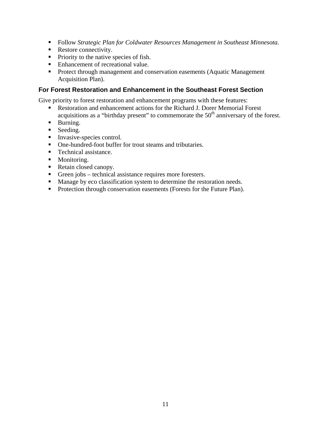- Follow *Strategic Plan for Coldwater Resources Management in Southeast Minnesota.*
- Restore connectivity.
- Priority to the native species of fish.
- Enhancement of recreational value.
- **Protect through management and conservation easements (Aquatic Management**) Acquisition Plan).

#### **For Forest Restoration and Enhancement in the Southeast Forest Section**

Give priority to forest restoration and enhancement programs with these features:

- Restoration and enhancement actions for the Richard J. Dorer Memorial Forest acquisitions as a "birthday present" to commemorate the  $50<sup>th</sup>$  anniversary of the forest.
- **Burning.**
- Seeding.
- **Invasive-species control.**
- One-hundred-foot buffer for trout steams and tributaries.
- Technical assistance.
- **Monitoring.**
- Retain closed canopy.
- Green jobs technical assistance requires more foresters.
- **Manage by eco classification system to determine the restoration needs.**
- Protection through conservation easements (Forests for the Future Plan).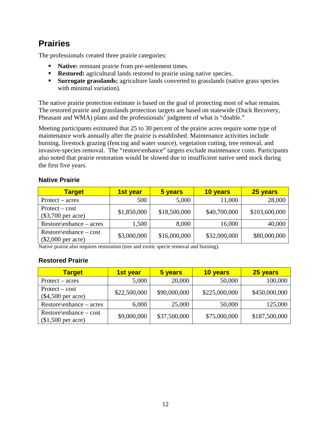### **Prairies**

The professionals created three prairie categories:

- **Native:** remnant prairie from pre-settlement times.
- **Restored:** agricultural lands restored to prairie using native species.
- **Surrogate grasslands:** agriculture lands converted to grasslands (native grass species with minimal variation).

The native prairie protection estimate is based on the goal of protecting most of what remains. The restored prairie and grasslands protection targets are based on statewide (Duck Recovery, Pheasant and WMA) plans and the professionals' judgment of what is "doable."

Meeting participants estimated that 25 to 30 percent of the prairie acres require some type of maintenance work annually after the prairie is established. Maintenance activities include burning, livestock grazing (fencing and water source), vegetation cutting, tree removal, and invasive-species removal. The "restore\enhance" targets exclude maintenance costs. Participants also noted that prairie restoration would be slowed due to insufficient native seed stock during the first five years.

### **Native Prairie**

| <b>Target</b>                                     | <b>1st year</b> | 5 years      | 10 years     | 25 years      |
|---------------------------------------------------|-----------------|--------------|--------------|---------------|
| $Profect - acres$                                 | 500             | 5,000        | 11,000       | 28,000        |
| $Protext - cost$<br>$(\$3,700$ per acre)          | \$1,850,000     | \$18,500,000 | \$40,700,000 | \$103,600,000 |
| $Restore\$ enhance – acres                        | 1,500           | 8,000        | 16,000       | 40,000        |
| $Restore\$ enhance – cost<br>$(\$2,000$ per acre) | \$3,000,000     | \$16,000,000 | \$32,000,000 | \$80,000,000  |

Native prairie also requires restoration (tree and exotic specie removal and burning).

### **Restored Prairie**

| <b>Target</b>                                    | 1st year     | 5 years      | 10 years      | <b>25 years</b> |
|--------------------------------------------------|--------------|--------------|---------------|-----------------|
| $Protext - acres$                                | 5,000        | 20,000       | 50,000        | 100,000         |
| $Protext - cost$<br>$(\$4,500$ per acre)         | \$22,500,000 | \$90,000,000 | \$225,000,000 | \$450,000,000   |
| $Restore\$ enhance – acres                       | 6,000        | 25,000       | 50,000        | 125,000         |
| $Restore\$ enhance – cost<br>$($1,500$ per acre) | \$9,000,000  | \$37,500,000 | \$75,000,000  | \$187,500,000   |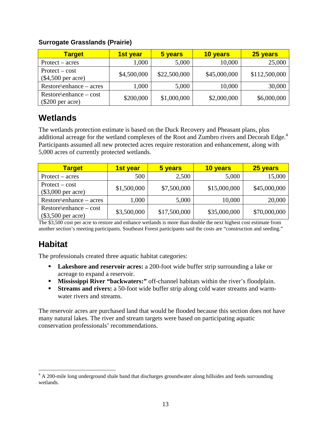#### **Surrogate Grasslands (Prairie)**

| <b>Target</b>                                   | <b>1st year</b> | 5 years      | 10 years     | 25 years      |
|-------------------------------------------------|-----------------|--------------|--------------|---------------|
| $Protext - acres$                               | 1,000           | 5,000        | 10,000       | 25,000        |
| $Protext - cost$<br>$(\$4,500$ per acre)        | \$4,500,000     | \$22,500,000 | \$45,000,000 | \$112,500,000 |
| $Restore\$ enhance – acres                      | 1,000           | 5,000        | 10,000       | 30,000        |
| $Restore\$ enhance – cost<br>$(\$200$ per acre) | \$200,000       | \$1,000,000  | \$2,000,000  | \$6,000,000   |

### **Wetlands**

The wetlands protection estimate is based on the Duck Recovery and Pheasant plans, plus additional acreage for the wetland complexes of the Root and Zumbro rivers and Decorah Edge.<sup>4</sup> Participants assumed all new protected acres require restoration and enhancement, along with 5,000 acres of currently protected wetlands.

| <b>Target</b>                                     | <u>1st year</u> | 5 years      | 10 years     | 25 years     |
|---------------------------------------------------|-----------------|--------------|--------------|--------------|
| $Protext - acres$                                 | 500             | 2,500        | 5,000        | 15,000       |
| $Protext - cost$<br>$(\$3,000$ per acre)          | \$1,500,000     | \$7,500,000  | \$15,000,000 | \$45,000,000 |
| $Restore\$ enhance – acres                        | 1,000           | 5,000        | 10,000       | 20,000       |
| $Restore\$ enhance – cost<br>$(\$3,500$ per acre) | \$3,500,000     | \$17,500,000 | \$35,000,000 | \$70,000,000 |

The \$3,500 cost per acre to restore and enhance wetlands is more than double the next highest cost estimate from another section's meeting participants. Southeast Forest participants said the costs are "construction and seeding."

### **Habitat**

The professionals created three aquatic habitat categories:

- **Lakeshore and reservoir acres:** a 200-foot wide buffer strip surrounding a lake or acreage to expand a reservoir.
- **Mississippi River "backwaters:"** off-channel habitats within the river's floodplain.
- **Streams and rivers:** a 50-foot wide buffer strip along cold water streams and warmwater rivers and streams.

The reservoir acres are purchased land that would be flooded because this section does not have many natural lakes. The river and stream targets were based on participating aquatic conservation professionals' recommendations.

<sup>&</sup>lt;sup>4</sup> A 200-mile long underground shale band that discharges groundwater along hillsides and feeds surrounding wetlands.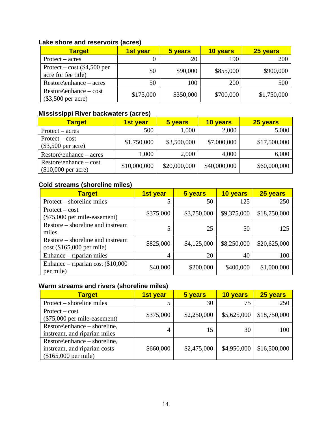### **Lake shore and reservoirs (acres)**

| <b>Target</b>                                        | <b>1st year</b> | 5 years   | 10 years  | 25 years    |
|------------------------------------------------------|-----------------|-----------|-----------|-------------|
| $Protext - acres$                                    |                 | 20        | 190       | 200         |
| Protect – cost $(\$4,500$ per<br>acre for fee title) | \$0             | \$90,000  | \$855,000 | \$900,000   |
| $Restore\$ enhance – acres                           | 50              | 100       | 200       | 500         |
| $Restore\$ enhance – cost<br>$(\$3,500$ per acre)    | \$175,000       | \$350,000 | \$700,000 | \$1,750,000 |

### **Mississippi River backwaters (acres)**

| <b>Target</b>                                     | <b>1st year</b> | 5 years      | 10 years     | 25 years     |
|---------------------------------------------------|-----------------|--------------|--------------|--------------|
| $Protext - acres$                                 | 500             | 1,000        | 2,000        | 5,000        |
| $Protext - cost$                                  | \$1,750,000     | \$3,500,000  | \$7,000,000  | \$17,500,000 |
| $(\$3,500$ per acre)                              |                 |              |              |              |
| $Restore\$ enhance – acres                        | 1,000           | 2,000        | 4,000        | 6,000        |
| $Restore\$ enhance – cost<br>$($10,000$ per acre) | \$10,000,000    | \$20,000,000 | \$40,000,000 | \$60,000,000 |

### **Cold streams (shoreline miles)**

| <b>Target</b>                                                   | 1st year  | 5 years     | 10 years    | 25 years     |
|-----------------------------------------------------------------|-----------|-------------|-------------|--------------|
| Protect – shoreline miles                                       |           | 50          | 125         | 250          |
| $Protext - cost$<br>$(\$75,000$ per mile-easement)              | \$375,000 | \$3,750,000 | \$9,375,000 | \$18,750,000 |
| Restore – shoreline and instream<br>miles                       | 5         | 25          | 50          | 125          |
| Restore – shoreline and instream<br>$cost$ (\$165,000 per mile) | \$825,000 | \$4,125,000 | \$8,250,000 | \$20,625,000 |
| Enhance – riparian miles                                        | 4         | 20          | 40          | 100          |
| Enhance – riparian cost $(\$10,000$<br>per mile)                | \$40,000  | \$200,000   | \$400,000   | \$1,000,000  |

### **Warm streams and rivers (shoreline miles)**

| <b>Target</b>                                                                         | 1st year  | 5 years     | 10 years    | 25 years     |
|---------------------------------------------------------------------------------------|-----------|-------------|-------------|--------------|
| Protect – shoreline miles                                                             |           | 30          | 75          | 250          |
| $Protext - cost$<br>$(\$75,000$ per mile-easement)                                    | \$375,000 | \$2,250,000 | \$5,625,000 | \$18,750,000 |
| Restore\enhance – shoreline,<br>instream, and riparian miles                          | 4         | 15          | 30          | 100          |
| Restore\enhance – shoreline,<br>instream, and riparian costs<br>$($165,000$ per mile) | \$660,000 | \$2,475,000 | \$4,950,000 | \$16,500,000 |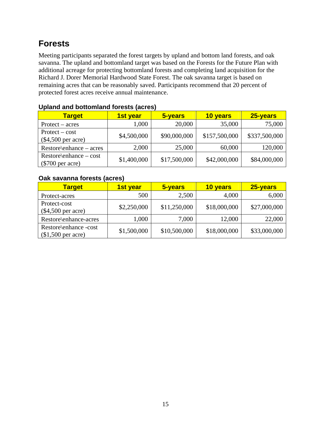### **Forests**

Meeting participants separated the forest targets by upland and bottom land forests, and oak savanna. The upland and bottomland target was based on the Forests for the Future Plan with additional acreage for protecting bottomland forests and completing land acquisition for the Richard J. Dorer Memorial Hardwood State Forest. The oak savanna target is based on remaining acres that can be reasonably saved. Participants recommend that 20 percent of protected forest acres receive annual maintenance.

| <u>Upidilu dilu bullulilidilu iyi cələ (dül cə)</u> |             |              |               |               |  |  |
|-----------------------------------------------------|-------------|--------------|---------------|---------------|--|--|
| <b>Target</b>                                       | 1st year    | 5-years      | 10 years      | 25-years      |  |  |
| $Protext - acres$                                   | 1,000       | 20,000       | 35,000        | 75,000        |  |  |
| $Protext - cost$<br>$(\$4,500$ per acre)            | \$4,500,000 | \$90,000,000 | \$157,500,000 | \$337,500,000 |  |  |
| $Restore\$ enhance – acres                          | 2,000       | 25,000       | 60,000        | 120,000       |  |  |
| $Restore\$ enhance – cost<br>$(\$700$ per acre)     | \$1,400,000 | \$17,500,000 | \$42,000,000  | \$84,000,000  |  |  |

### **Upland and bottomland forests (acres)**

#### **Oak savanna forests (acres)**

| <b>Target</b>                               | 1st year    | 5-years      | 10 years     | 25-years     |
|---------------------------------------------|-------------|--------------|--------------|--------------|
| Protect-acres                               | 500         | 2,500        | 4,000        | 6,000        |
| Protect-cost<br>$(\$4,500$ per acre)        | \$2,250,000 | \$11,250,000 | \$18,000,000 | \$27,000,000 |
| Restore\enhance-acres                       | 1,000       | 7,000        | 12,000       | 22,000       |
| Restore\enhance -cost<br>$$1,500$ per acre) | \$1,500,000 | \$10,500,000 | \$18,000,000 | \$33,000,000 |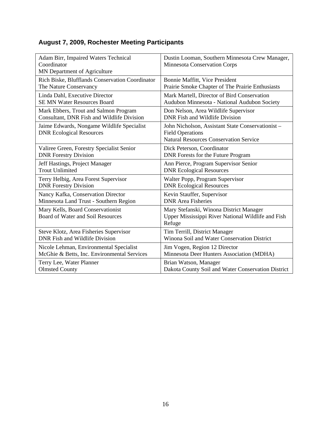### **August 7, 2009, Rochester Meeting Participants**

| Adam Birr, Impaired Waters Technical<br>Coordinator<br>MN Department of Agriculture | Dustin Looman, Southern Minnesota Crew Manager,<br><b>Minnesota Conservation Corps</b>                                        |
|-------------------------------------------------------------------------------------|-------------------------------------------------------------------------------------------------------------------------------|
| Rich Biske, Blufflands Conservation Coordinator                                     | Bonnie Maffitt, Vice President                                                                                                |
| The Nature Conservancy                                                              | Prairie Smoke Chapter of The Prairie Enthusiasts                                                                              |
| Linda Dahl, Executive Director                                                      | Mark Martell, Director of Bird Conservation                                                                                   |
| <b>SE MN Water Resources Board</b>                                                  | Audubon Minnesota - National Audubon Society                                                                                  |
| Mark Ebbers, Trout and Salmon Program                                               | Don Nelson, Area Wildlife Supervisor                                                                                          |
| Consultant, DNR Fish and Wildlife Division                                          | DNR Fish and Wildlife Division                                                                                                |
| Jaime Edwards, Nongame Wildlife Specialist<br><b>DNR Ecological Resources</b>       | John Nicholson, Assistant State Conservationist -<br><b>Field Operations</b><br><b>Natural Resources Conservation Service</b> |
| Valiree Green, Forestry Specialist Senior                                           | Dick Peterson, Coordinator                                                                                                    |
| <b>DNR Forestry Division</b>                                                        | DNR Forests for the Future Program                                                                                            |
| Jeff Hastings, Project Manager                                                      | Ann Pierce, Program Supervisor Senior                                                                                         |
| <b>Trout Unlimited</b>                                                              | <b>DNR Ecological Resources</b>                                                                                               |
| Terry Helbig, Area Forest Supervisor                                                | Walter Popp, Program Supervisor                                                                                               |
| <b>DNR Forestry Division</b>                                                        | <b>DNR Ecological Resources</b>                                                                                               |
| Nancy Kafka, Conservation Director                                                  | Kevin Stauffer, Supervisor                                                                                                    |
| Minnesota Land Trust - Southern Region                                              | <b>DNR</b> Area Fisheries                                                                                                     |
| Mary Kells, Board Conservationist<br>Board of Water and Soil Resources              | Mary Stefanski, Winona District Manager<br>Upper Mississippi River National Wildlife and Fish<br>Refuge                       |
| Steve Klotz, Area Fisheries Supervisor                                              | Tim Terrill, District Manager                                                                                                 |
| DNR Fish and Wildlife Division                                                      | Winona Soil and Water Conservation District                                                                                   |
| Nicole Lehman, Environmental Specialist                                             | Jim Vogen, Region 12 Director                                                                                                 |
| McGhie & Betts, Inc. Environmental Services                                         | Minnesota Deer Hunters Association (MDHA)                                                                                     |
| Terry Lee, Water Planner                                                            | Brian Watson, Manager                                                                                                         |
| <b>Olmsted County</b>                                                               | Dakota County Soil and Water Conservation District                                                                            |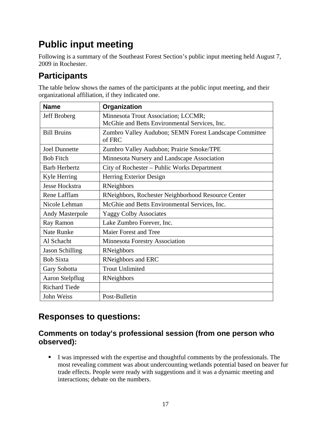# **Public input meeting**

Following is a summary of the Southeast Forest Section's public input meeting held August 7, 2009 in Rochester.

### **Participants**

The table below shows the names of the participants at the public input meeting, and their organizational affiliation, if they indicated one.

| <b>Name</b>            | Organization                                           |
|------------------------|--------------------------------------------------------|
| Jeff Broberg           | Minnesota Trout Association; LCCMR;                    |
|                        | McGhie and Betts Environmental Services, Inc.          |
| <b>Bill Bruins</b>     | Zumbro Valley Audubon; SEMN Forest Landscape Committee |
|                        | of FRC                                                 |
| <b>Joel Dunnette</b>   | Zumbro Valley Audubon; Prairie Smoke/TPE               |
| <b>Bob Fitch</b>       | Minnesota Nursery and Landscape Association            |
| <b>Barb Herbertz</b>   | City of Rochester - Public Works Department            |
| Kyle Herring           | Herring Exterior Design                                |
| Jesse Hockstra         | RNeighbors                                             |
| Rene Lafflam           | RNeighbors, Rochester Neighborhood Resource Center     |
| Nicole Lehman          | McGhie and Betts Environmental Services, Inc.          |
| Andy Masterpole        | <b>Yaggy Colby Associates</b>                          |
| Ray Ramon              | Lake Zumbro Forever, Inc.                              |
| <b>Nate Runke</b>      | Maier Forest and Tree                                  |
| Al Schacht             | Minnesota Forestry Association                         |
| <b>Jason Schilling</b> | RNeighbors                                             |
| <b>Bob Sixta</b>       | <b>RNeighbors</b> and ERC                              |
| Gary Sobotta           | <b>Trout Unlimited</b>                                 |
| <b>Aaron Stelpflug</b> | RNeighbors                                             |
| <b>Richard Tiede</b>   |                                                        |
| John Weiss             | Post-Bulletin                                          |

### **Responses to questions:**

### **Comments on today's professional session (from one person who observed):**

I was impressed with the expertise and thoughtful comments by the professionals. The most revealing comment was about undercounting wetlands potential based on beaver fur trade effects. People were ready with suggestions and it was a dynamic meeting and interactions; debate on the numbers.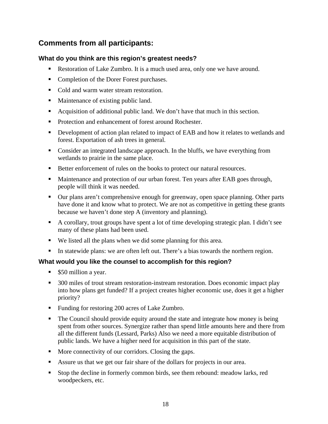### **Comments from all participants:**

### **What do you think are this region's greatest needs?**

- Restoration of Lake Zumbro. It is a much used area, only one we have around.
- Completion of the Dorer Forest purchases.
- Cold and warm water stream restoration.
- Maintenance of existing public land.
- Acquisition of additional public land. We don't have that much in this section.
- Protection and enhancement of forest around Rochester.
- Development of action plan related to impact of EAB and how it relates to wetlands and forest. Exportation of ash trees in general.
- Consider an integrated landscape approach. In the bluffs, we have everything from wetlands to prairie in the same place.
- Better enforcement of rules on the books to protect our natural resources.
- Maintenance and protection of our urban forest. Ten years after EAB goes through, people will think it was needed.
- Our plans aren't comprehensive enough for greenway, open space planning. Other parts have done it and know what to protect. We are not as competitive in getting these grants because we haven't done step A (inventory and planning).
- A corollary, trout groups have spent a lot of time developing strategic plan. I didn't see many of these plans had been used.
- We listed all the plans when we did some planning for this area.
- In statewide plans: we are often left out. There's a bias towards the northern region.

### **What would you like the counsel to accomplish for this region?**

- \$50 million a year.
- 300 miles of trout stream restoration-instream restoration. Does economic impact play into how plans get funded? If a project creates higher economic use, does it get a higher priority?
- Funding for restoring 200 acres of Lake Zumbro.
- The Council should provide equity around the state and integrate how money is being spent from other sources. Synergize rather than spend little amounts here and there from all the different funds (Lessard, Parks) Also we need a more equitable distribution of public lands. We have a higher need for acquisition in this part of the state.
- More connectivity of our corridors. Closing the gaps.
- Assure us that we get our fair share of the dollars for projects in our area.
- Stop the decline in formerly common birds, see them rebound: meadow larks, red woodpeckers, etc.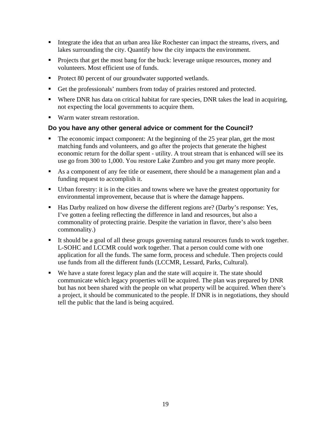- Integrate the idea that an urban area like Rochester can impact the streams, rivers, and lakes surrounding the city. Quantify how the city impacts the environment.
- **Projects that get the most bang for the buck: leverage unique resources, money and** volunteers. Most efficient use of funds.
- Protect 80 percent of our groundwater supported wetlands.
- Get the professionals' numbers from today of prairies restored and protected.
- Where DNR has data on critical habitat for rare species, DNR takes the lead in acquiring, not expecting the local governments to acquire them.
- Warm water stream restoration.

#### **Do you have any other general advice or comment for the Council?**

- The economic impact component: At the beginning of the 25 year plan, get the most matching funds and volunteers, and go after the projects that generate the highest economic return for the dollar spent - utility. A trout stream that is enhanced will see its use go from 300 to 1,000. You restore Lake Zumbro and you get many more people.
- As a component of any fee title or easement, there should be a management plan and a funding request to accomplish it.
- Urban forestry: it is in the cities and towns where we have the greatest opportunity for environmental improvement, because that is where the damage happens.
- Has Darby realized on how diverse the different regions are? (Darby's response: Yes, I've gotten a feeling reflecting the difference in land and resources, but also a commonality of protecting prairie. Despite the variation in flavor, there's also been commonality.)
- It should be a goal of all these groups governing natural resources funds to work together. L-SOHC and LCCMR could work together. That a person could come with one application for all the funds. The same form, process and schedule. Then projects could use funds from all the different funds (LCCMR, Lessard, Parks, Cultural).
- We have a state forest legacy plan and the state will acquire it. The state should communicate which legacy properties will be acquired. The plan was prepared by DNR but has not been shared with the people on what property will be acquired. When there's a project, it should be communicated to the people. If DNR is in negotiations, they should tell the public that the land is being acquired.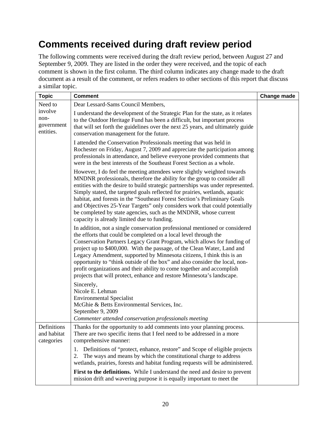## **Comments received during draft review period**

The following comments were received during the draft review period, between August 27 and September 9, 2009. They are listed in the order they were received, and the topic of each comment is shown in the first column. The third column indicates any change made to the draft document as a result of the comment, or refers readers to other sections of this report that discuss a similar topic.

| <b>Topic</b>                               | <b>Comment</b>                                                                                                                                                                                                                                                                                                                                                                                                                                                                                                                                                                                                    | Change made |
|--------------------------------------------|-------------------------------------------------------------------------------------------------------------------------------------------------------------------------------------------------------------------------------------------------------------------------------------------------------------------------------------------------------------------------------------------------------------------------------------------------------------------------------------------------------------------------------------------------------------------------------------------------------------------|-------------|
| Need to                                    | Dear Lessard-Sams Council Members,                                                                                                                                                                                                                                                                                                                                                                                                                                                                                                                                                                                |             |
| involve<br>non-<br>government<br>entities. | I understand the development of the Strategic Plan for the state, as it relates<br>to the Outdoor Heritage Fund has been a difficult, but important process<br>that will set forth the guidelines over the next 25 years, and ultimately guide<br>conservation management for the future.                                                                                                                                                                                                                                                                                                                         |             |
|                                            | I attended the Conservation Professionals meeting that was held in<br>Rochester on Friday, August 7, 2009 and appreciate the participation among<br>professionals in attendance, and believe everyone provided comments that<br>were in the best interests of the Southeast Forest Section as a whole.                                                                                                                                                                                                                                                                                                            |             |
|                                            | However, I do feel the meeting attendees were slightly weighted towards<br>MNDNR professionals, therefore the ability for the group to consider all<br>entities with the desire to build strategic partnerships was under represented.<br>Simply stated, the targeted goals reflected for prairies, wetlands, aquatic<br>habitat, and forests in the "Southeast Forest Section's Preliminary Goals<br>and Objectives 25-Year Targets" only considers work that could potentially<br>be completed by state agencies, such as the MNDNR, whose current<br>capacity is already limited due to funding.               |             |
|                                            | In addition, not a single conservation professional mentioned or considered<br>the efforts that could be completed on a local level through the<br>Conservation Partners Legacy Grant Program, which allows for funding of<br>project up to \$400,000. With the passage, of the Clean Water, Land and<br>Legacy Amendment, supported by Minnesota citizens, I think this is an<br>opportunity to "think outside of the box" and also consider the local, non-<br>profit organizations and their ability to come together and accomplish<br>projects that will protect, enhance and restore Minnesota's landscape. |             |
|                                            | Sincerely,<br>Nicole E. Lehman<br><b>Environmental Specialist</b><br>McGhie & Betts Environmental Services, Inc.<br>September 9, 2009<br>Commenter attended conservation professionals meeting                                                                                                                                                                                                                                                                                                                                                                                                                    |             |
| Definitions<br>and habitat<br>categories   | Thanks for the opportunity to add comments into your planning process.<br>There are two specific items that I feel need to be addressed in a more<br>comprehensive manner:                                                                                                                                                                                                                                                                                                                                                                                                                                        |             |
|                                            | Definitions of "protect, enhance, restore" and Scope of eligible projects<br>1.<br>The ways and means by which the constitutional charge to address<br>2.<br>wetlands, prairies, forests and habitat funding requests will be administered.                                                                                                                                                                                                                                                                                                                                                                       |             |
|                                            | First to the definitions. While I understand the need and desire to prevent<br>mission drift and wavering purpose it is equally important to meet the                                                                                                                                                                                                                                                                                                                                                                                                                                                             |             |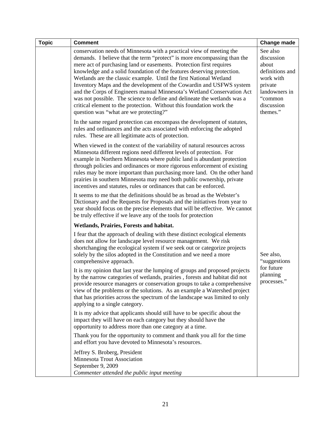| <b>Topic</b> | <b>Comment</b>                                                                                                                                                                                                                                                                                                                                                                                                                                                                                                                                                                                                                                                                                                                     | <b>Change made</b>                                                                                                               |
|--------------|------------------------------------------------------------------------------------------------------------------------------------------------------------------------------------------------------------------------------------------------------------------------------------------------------------------------------------------------------------------------------------------------------------------------------------------------------------------------------------------------------------------------------------------------------------------------------------------------------------------------------------------------------------------------------------------------------------------------------------|----------------------------------------------------------------------------------------------------------------------------------|
|              | conservation needs of Minnesota with a practical view of meeting the<br>demands. I believe that the term "protect" is more encompassing than the<br>mere act of purchasing land or easements. Protection first requires<br>knowledge and a solid foundation of the features deserving protection.<br>Wetlands are the classic example. Until the first National Wetland<br>Inventory Maps and the development of the Cowardin and USFWS system<br>and the Corps of Engineers manual Minnesota's Wetland Conservation Act<br>was not possible. The science to define and delineate the wetlands was a<br>critical element to the protection. Without this foundation work the<br>question was "what are we protecting?"             | See also<br>discussion<br>about<br>definitions and<br>work with<br>private<br>landowners in<br>"common<br>discussion<br>themes." |
|              | In the same regard protection can encompass the development of statutes,<br>rules and ordinances and the acts associated with enforcing the adopted<br>rules. These are all legitimate acts of protection.                                                                                                                                                                                                                                                                                                                                                                                                                                                                                                                         |                                                                                                                                  |
|              | When viewed in the context of the variability of natural resources across<br>Minnesota different regions need different levels of protection. For<br>example in Northern Minnesota where public land is abundant protection<br>through policies and ordinances or more rigorous enforcement of existing<br>rules may be more important than purchasing more land. On the other hand<br>prairies in southern Minnesota may need both public ownership, private<br>incentives and statutes, rules or ordinances that can be enforced.                                                                                                                                                                                                |                                                                                                                                  |
|              | It seems to me that the definitions should be as broad as the Webster's<br>Dictionary and the Requests for Proposals and the initiatives from year to<br>year should focus on the precise elements that will be effective. We cannot<br>be truly effective if we leave any of the tools for protection                                                                                                                                                                                                                                                                                                                                                                                                                             |                                                                                                                                  |
|              | Wetlands, Prairies, Forests and habitat.                                                                                                                                                                                                                                                                                                                                                                                                                                                                                                                                                                                                                                                                                           |                                                                                                                                  |
|              | I fear that the approach of dealing with these distinct ecological elements<br>does not allow for landscape level resource management. We risk<br>shortchanging the ecological system if we seek out or categorize projects<br>solely by the silos adopted in the Constitution and we need a more<br>comprehensive approach.<br>It is my opinion that last year the lumping of groups and proposed projects<br>by the narrow categories of wetlands, prairies, forests and habitat did not<br>provide resource managers or conservation groups to take a comprehensive<br>view of the problems or the solutions. As an example a Watershed project<br>that has priorities across the spectrum of the landscape was limited to only | See also,<br>"suggestions"<br>for future<br>planning<br>processes.                                                               |
|              | applying to a single category.<br>It is my advice that applicants should still have to be specific about the<br>impact they will have on each category but they should have the<br>opportunity to address more than one category at a time.                                                                                                                                                                                                                                                                                                                                                                                                                                                                                        |                                                                                                                                  |
|              | Thank you for the opportunity to comment and thank you all for the time<br>and effort you have devoted to Minnesota's resources.                                                                                                                                                                                                                                                                                                                                                                                                                                                                                                                                                                                                   |                                                                                                                                  |
|              | Jeffrey S. Broberg, President<br>Minnesota Trout Association<br>September 9, 2009<br>Commenter attended the public input meeting                                                                                                                                                                                                                                                                                                                                                                                                                                                                                                                                                                                                   |                                                                                                                                  |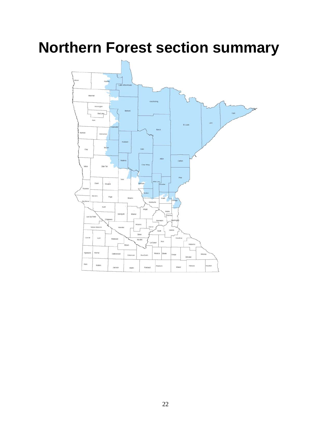# **Northern Forest section summary**

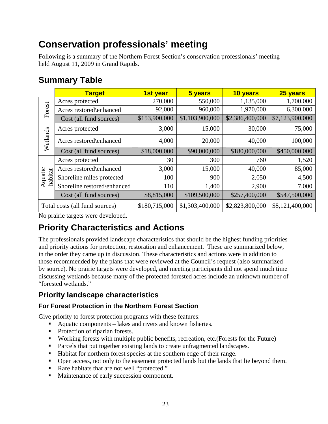## **Conservation professionals' meeting**

Following is a summary of the Northern Forest Section's conservation professionals' meeting held August 11, 2009 in Grand Rapids.

### **Summary Table**

|                    | <b>Target</b>                  | 1st year      | 5 years         | 10 years        | 25 years        |
|--------------------|--------------------------------|---------------|-----------------|-----------------|-----------------|
|                    | Acres protected                | 270,000       | 550,000         | 1,135,000       | 1,700,000       |
| Forest             | Acres restored\enhanced        | 92,000        | 960,000         | 1,970,000       | 6,300,000       |
|                    | Cost (all fund sources)        | \$153,900,000 | \$1,103,900,000 | \$2,386,400,000 | \$7,123,900,000 |
|                    | Acres protected                | 3,000         | 15,000          | 30,000          | 75,000          |
| Wetlands           | Acres restored\enhanced        | 4,000         | 20,000          | 40,000          | 100,000         |
|                    | Cost (all fund sources)        | \$18,000,000  | \$90,000,000    | \$180,000,000   | \$450,000,000   |
|                    | Acres protected                | 30            | 300             | 760             | 1,520           |
|                    | Acres restored\enhanced        | 3,000         | 15,000          | 40,000          | 85,000          |
| Aquatic<br>habitat | Shoreline miles protected      | 100           | 900             | 2,050           | 4,500           |
|                    | Shoreline restored\enhanced    | 110           | 1,400           | 2,900           | 7,000           |
|                    | Cost (all fund sources)        | \$8,815,000   | \$109,500,000   | \$257,400,000   | \$547,500,000   |
|                    | Total costs (all fund sources) | \$180,715,000 | \$1,303,400,000 | \$2,823,800,000 | \$8,121,400,000 |

No prairie targets were developed.

### **Priority Characteristics and Actions**

The professionals provided landscape characteristics that should be the highest funding priorities and priority actions for protection, restoration and enhancement. These are summarized below, in the order they came up in discussion. These characteristics and actions were in addition to those recommended by the plans that were reviewed at the Council's request (also summarized by source). No prairie targets were developed, and meeting participants did not spend much time discussing wetlands because many of the protected forested acres include an unknown number of "forested wetlands."

### **Priority landscape characteristics**

### **For Forest Protection in the Northern Forest Section**

Give priority to forest protection programs with these features:

- Aquatic components lakes and rivers and known fisheries.
- Protection of riparian forests.
- Working forests with multiple public benefits, recreation, etc.(Forests for the Future)
- **Parcels that put together existing lands to create unfragmented landscapes.**
- Habitat for northern forest species at the southern edge of their range.
- Open access, not only to the easement protected lands but the lands that lie beyond them.
- Rare habitats that are not well "protected."
- Maintenance of early succession component.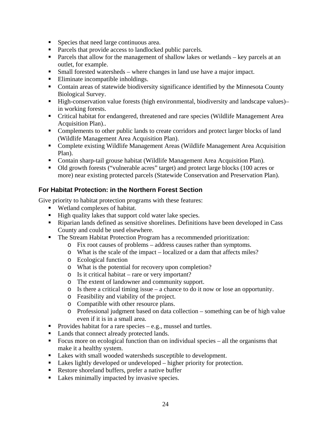- Species that need large continuous area.
- **Parcels that provide access to landlocked public parcels.**
- **Parcels that allow for the management of shallow lakes or wetlands key parcels at an** outlet, for example.
- Small forested watersheds where changes in land use have a major impact.
- Eliminate incompatible inholdings.
- Contain areas of statewide biodiversity significance identified by the Minnesota County Biological Survey.
- High-conservation value forests (high environmental, biodiversity and landscape values)– in working forests.
- Critical habitat for endangered, threatened and rare species (Wildlife Management Area Acquisition Plan)..
- **Complements to other public lands to create corridors and protect larger blocks of land** (Wildlife Management Area Acquisition Plan).
- Complete existing Wildlife Management Areas (Wildlife Management Area Acquisition Plan).
- Contain sharp-tail grouse habitat (Wildlife Management Area Acquisition Plan).
- Old growth forests ("vulnerable acres" target) and protect large blocks (100 acres or more) near existing protected parcels (Statewide Conservation and Preservation Plan).

#### **For Habitat Protection: in the Northern Forest Section**

Give priority to habitat protection programs with these features:

- Wetland complexes of habitat.
- High quality lakes that support cold water lake species.
- Riparian lands defined as sensitive shorelines. Definitions have been developed in Cass County and could be used elsewhere.
- The Stream Habitat Protection Program has a recommended prioritization:
	- o Fix root causes of problems address causes rather than symptoms.
	- o What is the scale of the impact localized or a dam that affects miles?
	- o Ecological function
	- o What is the potential for recovery upon completion?
	- o Is it critical habitat rare or very important?
	- o The extent of landowner and community support.
	- o Is there a critical timing issue a chance to do it now or lose an opportunity.
	- o Feasibility and viability of the project.
	- o Compatible with other resource plans.
	- o Professional judgment based on data collection something can be of high value even if it is in a small area.
- Provides habitat for a rare species  $-e.g.,$  mussel and turtles.
- Lands that connect already protected lands.
- Focus more on ecological function than on individual species all the organisms that make it a healthy system.
- Lakes with small wooded watersheds susceptible to development.
- Lakes lightly developed or undeveloped higher priority for protection.
- Restore shoreland buffers, prefer a native buffer
- Lakes minimally impacted by invasive species.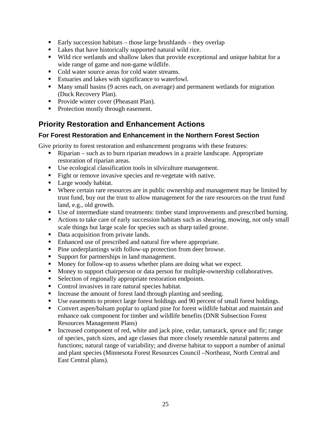- Early succession habitats those large brushlands they overlap
- Lakes that have historically supported natural wild rice.
- Wild rice wetlands and shallow lakes that provide exceptional and unique habitat for a wide range of game and non-game wildlife.
- Cold water source areas for cold water streams.
- Estuaries and lakes with significance to waterfowl.
- Many small basins (9 acres each, on average) and permanent wetlands for migration (Duck Recovery Plan).
- **Provide winter cover (Pheasant Plan).**
- Protection mostly through easement.

### **Priority Restoration and Enhancement Actions**

#### **For Forest Restoration and Enhancement in the Northern Forest Section**

Give priority to forest restoration and enhancement programs with these features:

- Riparian such as to burn riparian meadows in a prairie landscape. Appropriate restoration of riparian areas.
- Use ecological classification tools in silviculture management.
- Fight or remove invasive species and re-vegetate with native.
- Large woody habitat.
- Where certain rare resources are in public ownership and management may be limited by trust fund, buy out the trust to allow management for the rare resources on the trust fund land, e.g., old growth.
- Use of intermediate stand treatments: timber stand improvements and prescribed burning.
- Actions to take care of early succession habitats such as shearing, mowing, not only small scale things but large scale for species such as sharp tailed grouse.
- Data acquisition from private lands.
- Enhanced use of prescribed and natural fire where appropriate.
- Pine underplantings with follow-up protection from deer browse.
- Support for partnerships in land management.
- Money for follow-up to assess whether plans are doing what we expect.
- Money to support chairperson or data person for multiple-ownership collaboratives.
- Selection of regionally appropriate restoration endpoints.
- Control invasives in rare natural species habitat.
- Increase the amount of forest land through planting and seeding.
- Use easements to protect large forest holdings and 90 percent of small forest holdings.
- Convert aspen/balsam poplar to upland pine for forest wildlife habitat and maintain and enhance oak component for timber and wildlife benefits (DNR Subsection Forest Resources Management Plans)
- Increased component of red, white and jack pine, cedar, tamarack, spruce and fir; range of species, patch sizes, and age classes that more closely resemble natural patterns and functions; natural range of variability; and diverse habitat to support a number of animal and plant species (Minnesota Forest Resources Council –Northeast, North Central and East Central plans).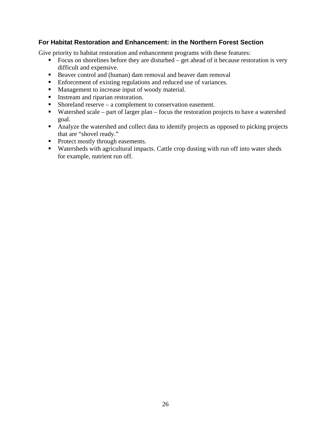#### **For Habitat Restoration and Enhancement: in the Northern Forest Section**

Give priority to habitat restoration and enhancement programs with these features:

- Focus on shorelines before they are disturbed get ahead of it because restoration is very difficult and expensive.
- Beaver control and (human) dam removal and beaver dam removal
- Enforcement of existing regulations and reduced use of variances.
- **Management to increase input of woody material.**
- **Instream and riparian restoration.**
- Shoreland reserve a complement to conservation easement.
- Watershed scale part of larger plan focus the restoration projects to have a watershed goal.
- Analyze the watershed and collect data to identify projects as opposed to picking projects that are "shovel ready."
- Protect mostly through easements.
- Watersheds with agricultural impacts. Cattle crop dusting with run off into water sheds for example, nutrient run off.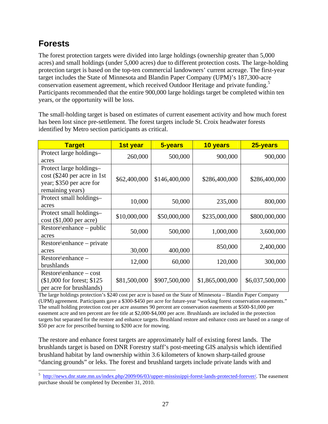### **Forests**

The forest protection targets were divided into large holdings (ownership greater than 5,000 acres) and small holdings (under 5,000 acres) due to different protection costs. The large-holding protection target is based on the top-ten commercial landowners' current acreage. The first-year target includes the State of Minnesota and Blandin Paper Company (UPM)'s 187,300-acre conservation easement agreement, which received Outdoor Heritage and private funding.<sup>5</sup> Participants recommended that the entire 900,000 large holdings target be completed within ten years, or the opportunity will be loss.

The small-holding target is based on estimates of current easement activity and how much forest has been lost since pre-settlement. The forest targets include St. Croix headwater forests identified by Metro section participants as critical.

| <b>Target</b>                   | 1st year     | 5-years       | 10 years        | 25-years        |
|---------------------------------|--------------|---------------|-----------------|-----------------|
| Protect large holdings-         | 260,000      | 500,000       | 900,000         | 900,000         |
| acres                           |              |               |                 |                 |
| Protect large holdings-         |              |               |                 |                 |
| $\cos t$ (\$240 per acre in 1st | \$62,400,000 | \$146,400,000 | \$286,400,000   | \$286,400,000   |
| year; \$350 per acre for        |              |               |                 |                 |
| remaining years)                |              |               |                 |                 |
| Protect small holdings-         | 10,000       | 50,000        |                 | 800,000         |
| acres                           |              |               | 235,000         |                 |
| Protect small holdings-         | \$10,000,000 | \$50,000,000  | \$235,000,000   | \$800,000,000   |
| $cost$ (\$1,000 per acre)       |              |               |                 |                 |
| $Restore\$ enhance – public     |              |               |                 |                 |
| acres                           | 50,000       | 500,000       | 1,000,000       | 3,600,000       |
| $Restore\$ enhance – private    |              |               |                 |                 |
| acres                           | 30,000       | 400,000       | 850,000         | 2,400,000       |
| Restore\enhance –               | 12,000       | 60,000        | 120,000         | 300,000         |
| brushlands                      |              |               |                 |                 |
| $Restore\$ enhance – cost       |              |               |                 |                 |
| $$1,000$ for forest; \$125      | \$81,500,000 | \$907,500,000 | \$1,865,000,000 | \$6,037,500,000 |
| per acre for brushlands)        |              |               |                 |                 |

The large holdings protection's \$240 cost per acre is based on the State of Minnesota – Blandin Paper Company (UPM) agreement. Participants gave a \$300-\$450 per acre for future-year "working forest conservation easements." The small holding protection cost per acre assumes 90 percent are conservation easements at \$500-\$1,000 per easement acre and ten percent are fee title at \$2,000-\$4,000 per acre. Brushlands are included in the protection targets but separated for the restore and enhance targets. Brushland restore and enhance costs are based on a range of \$50 per acre for prescribed burning to \$200 acre for mowing.

The restore and enhance forest targets are approximately half of existing forest lands. The brushlands target is based on DNR Forestry staff's post-meeting GIS analysis which identified brushland habitat by land ownership within 3.6 kilometers of known sharp-tailed grouse "dancing grounds" or leks. The forest and brushland targets include private lands with and

<sup>&</sup>lt;sup>5</sup> http://news.dnr.state.mn.us/index.php/2009/06/03/upper-mississippi-forest-lands-protected-forever/. The easement purchase should be completed by December 31, 2010.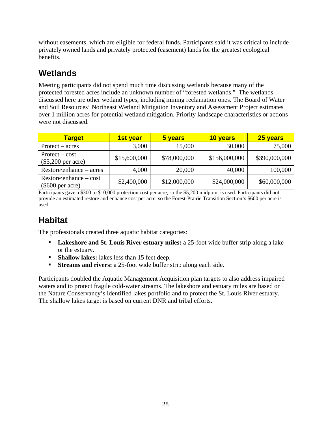without easements, which are eligible for federal funds. Participants said it was critical to include privately owned lands and privately protected (easement) lands for the greatest ecological benefits.

### **Wetlands**

Meeting participants did not spend much time discussing wetlands because many of the protected forested acres include an unknown number of "forested wetlands." The wetlands discussed here are other wetland types, including mining reclamation ones. The Board of Water and Soil Resources' Northeast Wetland Mitigation Inventory and Assessment Project estimates over 1 million acres for potential wetland mitigation. Priority landscape characteristics or actions were not discussed.

| <b>Target</b>                                   | 1st year     | 5 years      | 10 years      | 25 years      |
|-------------------------------------------------|--------------|--------------|---------------|---------------|
| $Protext - acres$                               | 3,000        | 15,000       | 30,000        | 75,000        |
| $Protext - cost$<br>$(\$5,200$ per acre)        | \$15,600,000 | \$78,000,000 | \$156,000,000 | \$390,000,000 |
| $Restore\$ enhance – acres                      | 4,000        | 20,000       | 40,000        | 100,000       |
| $Restore\$ enhance – cost<br>$(\$600$ per acre) | \$2,400,000  | \$12,000,000 | \$24,000,000  | \$60,000,000  |

Participants gave a \$300 to \$10,000 protection cost per acre, so the \$5,200 midpoint is used. Participants did not provide an estimated restore and enhance cost per acre, so the Forest-Prairie Transition Section's \$600 per acre is used.

### **Habitat**

The professionals created three aquatic habitat categories:

- **Lakeshore and St. Louis River estuary miles:** a 25-foot wide buffer strip along a lake or the estuary.
- **Shallow lakes:** lakes less than 15 feet deep.
- **Streams and rivers:** a 25-foot wide buffer strip along each side.

Participants doubled the Aquatic Management Acquisition plan targets to also address impaired waters and to protect fragile cold-water streams. The lakeshore and estuary miles are based on the Nature Conservancy's identified lakes portfolio and to protect the St. Louis River estuary. The shallow lakes target is based on current DNR and tribal efforts.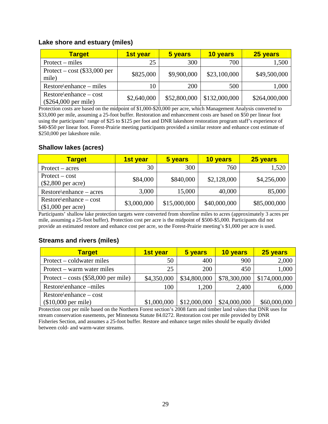#### **Lake shore and estuary (miles)**

| <b>Target</b>                                       | 1st year    | 5 years      | 10 years      | 25 years      |
|-----------------------------------------------------|-------------|--------------|---------------|---------------|
| $Protext - miles$                                   | 25          | 300          | 700           | 1,500         |
| Protect – cost $(\$33,000$ per<br>mile)             | \$825,000   | \$9,900,000  | \$23,100,000  | \$49,500,000  |
| $Restore\$ enhance – miles                          | 10          | 200          | 500           | 1,000         |
| $Restore\$ enhance – cost<br>$(\$264,000$ per mile) | \$2,640,000 | \$52,800,000 | \$132,000,000 | \$264,000,000 |

Protection costs are based on the midpoint of \$1,000-\$20,000 per acre, which Management Analysis converted to \$33,000 per mile, assuming a 25-foot buffer. Restoration and enhancement costs are based on \$50 per linear foot using the participants' range of \$25 to \$125 per foot and DNR lakeshore restoration program staff's experience of \$40-\$50 per linear foot. Forest-Prairie meeting participants provided a similar restore and enhance cost estimate of \$250,000 per lakeshore mile.

#### **Shallow lakes (acres)**

| <b>Target</b>                                   | 1st year    | 5 years      | 10 years     | 25 years     |
|-------------------------------------------------|-------------|--------------|--------------|--------------|
| $Protext - acres$                               | 30          | 300          | 760          | 1,520        |
| $Protext - cost$<br>$(\$2,800$ per acre)        | \$84,000    | \$840,000    | \$2,128,000  | \$4,256,000  |
| $Restore\$ enhance – acres                      | 3,000       | 15,000       | 40,000       | 85,000       |
| $Restore\$ enhance – cost<br>$$1,000$ per acre) | \$3,000,000 | \$15,000,000 | \$40,000,000 | \$85,000,000 |

Participants' shallow lake protection targets were converted from shoreline miles to acres (approximately 3 acres per mile, assuming a 25-foot buffer). Protection cost per acre is the midpoint of \$500-\$5,000. Participants did not provide an estimated restore and enhance cost per acre, so the Forest-Prairie meeting's \$1,000 per acre is used.

#### **Streams and rivers (miles)**

| <b>Target</b>                         | 1st year    | 5 years      | 10 years     | 25 years      |
|---------------------------------------|-------------|--------------|--------------|---------------|
| Protect – coldwater miles             | 50          | 400          | 900          | 2,000         |
| Protect – warm water miles            | 25          | 200          | 450          | 1,000         |
| Protect – costs $(\$58,000$ per mile) | \$4,350,000 | \$34,800,000 | \$78,300,000 | \$174,000,000 |
| Restore\enhance -miles                | 100         | 1,200        | 2,400        | 6,000         |
| $Restore\{enhance - cost$             |             |              |              |               |
| $($10,000$ per mile)                  | \$1,000,000 | \$12,000,000 | \$24,000,000 | \$60,000,000  |

Protection cost per mile based on the Northern Forest section's 2008 farm and timber land values that DNR uses for stream conservation easements, per Minnesota Statute 84.0272. Restoration cost per mile provided by DNR Fisheries Section, and assumes a 25-foot buffer. Restore and enhance target miles should be equally divided between cold- and warm-water streams.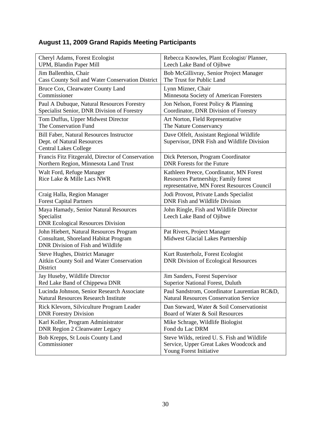### **August 11, 2009 Grand Rapids Meeting Participants**

| Cheryl Adams, Forest Ecologist                                                                                        | Rebecca Knowles, Plant Ecologist/ Planner,                                                                                     |
|-----------------------------------------------------------------------------------------------------------------------|--------------------------------------------------------------------------------------------------------------------------------|
| UPM, Blandin Paper Mill                                                                                               | Leech Lake Band of Ojibwe                                                                                                      |
| Jim Ballenthin, Chair                                                                                                 | Bob McGillivray, Senior Project Manager                                                                                        |
| Cass County Soil and Water Conservation District                                                                      | The Trust for Public Land                                                                                                      |
| Bruce Cox, Clearwater County Land                                                                                     | Lynn Mizner, Chair                                                                                                             |
| Commissioner                                                                                                          | Minnesota Society of American Foresters                                                                                        |
| Paul A Dubuque, Natural Resources Forestry                                                                            | Jon Nelson, Forest Policy & Planning                                                                                           |
| Specialist Senior, DNR Division of Forestry                                                                           | Coordinator, DNR Division of Forestry                                                                                          |
| Tom Duffus, Upper Midwest Director                                                                                    | Art Norton, Field Representative                                                                                               |
| The Conservation Fund                                                                                                 | The Nature Conservancy                                                                                                         |
| <b>Bill Faber, Natural Resources Instructor</b><br>Dept. of Natural Resources<br><b>Central Lakes College</b>         | Dave Olfelt, Assistant Regional Wildlife<br>Supervisor, DNR Fish and Wildlife Division                                         |
| Francis Fitz Fitzgerald, Director of Conservation                                                                     | Dick Peterson, Program Coordinator                                                                                             |
| Northern Region, Minnesota Land Trust                                                                                 | <b>DNR</b> Forests for the Future                                                                                              |
| Walt Ford, Refuge Manager<br>Rice Lake & Mille Lacs NWR                                                               | Kathleen Preece, Coordinator, MN Forest<br>Resources Partnership; Family forest<br>representative, MN Forest Resources Council |
| Craig Halla, Region Manager                                                                                           | Jodi Provost, Private Lands Specialist                                                                                         |
| <b>Forest Capital Partners</b>                                                                                        | DNR Fish and Wildlife Division                                                                                                 |
| Maya Hamady, Senior Natural Resources<br>Specialist<br><b>DNR Ecological Resources Division</b>                       | John Ringle, Fish and Wildlife Director<br>Leech Lake Band of Ojibwe                                                           |
| John Hiebert, Natural Resources Program<br>Consultant, Shoreland Habitat Program<br>DNR Division of Fish and Wildlife | Pat Rivers, Project Manager<br>Midwest Glacial Lakes Partnership                                                               |
| <b>Steve Hughes, District Manager</b><br>Aitkin County Soil and Water Conservation<br>District                        | Kurt Rusterholz, Forest Ecologist<br><b>DNR Division of Ecological Resources</b>                                               |
| Jay Huseby, Wildlife Director                                                                                         | Jim Sanders, Forest Supervisor                                                                                                 |
| Red Lake Band of Chippewa DNR                                                                                         | Superior National Forest, Duluth                                                                                               |
| Lucinda Johnson, Senior Research Associate                                                                            | Paul Sandstrom, Coordinator Laurentian RC&D,                                                                                   |
| <b>Natural Resources Research Institute</b>                                                                           | <b>Natural Resources Conservation Service</b>                                                                                  |
| Rick Klevorn, Silviculture Program Leader                                                                             | Dan Steward, Water & Soil Conservationist                                                                                      |
| <b>DNR</b> Forestry Division                                                                                          | Board of Water & Soil Resources                                                                                                |
| Karl Koller, Program Administrator                                                                                    | Mike Schrage, Wildlife Biologist                                                                                               |
| <b>DNR Region 2 Cleanwater Legacy</b>                                                                                 | Fond du Lac DRM                                                                                                                |
| Bob Krepps, St Louis County Land<br>Commissioner                                                                      | Steve Wilds, retired U. S. Fish and Wildlife<br>Service, Upper Great Lakes Woodcock and<br>Young Forest Initiative             |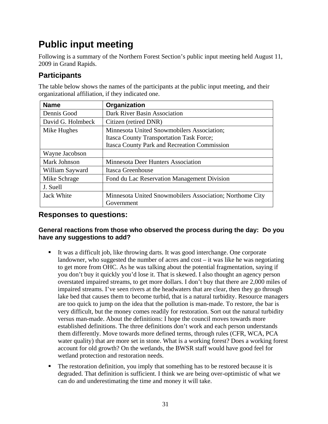# **Public input meeting**

Following is a summary of the Northern Forest Section's public input meeting held August 11, 2009 in Grand Rapids.

### **Participants**

The table below shows the names of the participants at the public input meeting, and their organizational affiliation, if they indicated one.

| <b>Name</b>       | Organization                                             |
|-------------------|----------------------------------------------------------|
| Dennis Good       | Dark River Basin Association                             |
| David G. Holmbeck | Citizen (retired DNR)                                    |
| Mike Hughes       | Minnesota United Snowmobilers Association;               |
|                   | <b>Itasca County Transportation Task Force;</b>          |
|                   | <b>Itasca County Park and Recreation Commission</b>      |
| Wayne Jacobson    |                                                          |
| Mark Johnson      | <b>Minnesota Deer Hunters Association</b>                |
| William Sayward   | Itasca Greenhouse                                        |
| Mike Schrage      | Fond du Lac Reservation Management Division              |
| J. Suell          |                                                          |
| Jack White        | Minnesota United Snowmobilers Association; Northome City |
|                   | Government                                               |

### **Responses to questions:**

#### **General reactions from those who observed the process during the day: Do you have any suggestions to add?**

- It was a difficult job, like throwing darts. It was good interchange. One corporate landowner, who suggested the number of acres and cost – it was like he was negotiating to get more from OHC. As he was talking about the potential fragmentation, saying if you don't buy it quickly you'd lose it. That is skewed. I also thought an agency person overstated impaired streams, to get more dollars. I don't buy that there are 2,000 miles of impaired streams. I've seen rivers at the headwaters that are clear, then they go through lake bed that causes them to become turbid, that is a natural turbidity. Resource managers are too quick to jump on the idea that the pollution is man-made. To restore, the bar is very difficult, but the money comes readily for restoration. Sort out the natural turbidity versus man-made. About the definitions: I hope the council moves towards more established definitions. The three definitions don't work and each person understands them differently. Move towards more defined terms, through rules (CFR, WCA, PCA water quality) that are more set in stone. What is a working forest? Does a working forest account for old growth? On the wetlands, the BWSR staff would have good feel for wetland protection and restoration needs.
- The restoration definition, you imply that something has to be restored because it is degraded. That definition is sufficient. I think we are being over-optimistic of what we can do and underestimating the time and money it will take.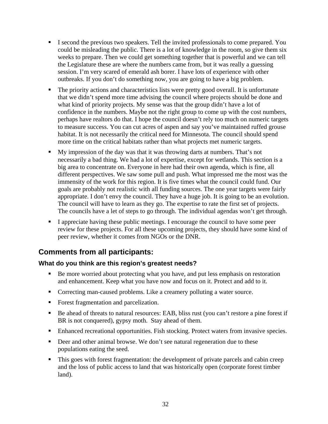- I second the previous two speakers. Tell the invited professionals to come prepared. You could be misleading the public. There is a lot of knowledge in the room, so give them six weeks to prepare. Then we could get something together that is powerful and we can tell the Legislature these are where the numbers came from, but it was really a guessing session. I'm very scared of emerald ash borer. I have lots of experience with other outbreaks. If you don't do something now, you are going to have a big problem.
- The priority actions and characteristics lists were pretty good overall. It is unfortunate that we didn't spend more time advising the council where projects should be done and what kind of priority projects. My sense was that the group didn't have a lot of confidence in the numbers. Maybe not the right group to come up with the cost numbers, perhaps have realtors do that. I hope the council doesn't rely too much on numeric targets to measure success. You can cut acres of aspen and say you've maintained ruffed grouse habitat. It is not necessarily the critical need for Minnesota. The council should spend more time on the critical habitats rather than what projects met numeric targets.
- My impression of the day was that it was throwing darts at numbers. That's not necessarily a bad thing. We had a lot of expertise, except for wetlands. This section is a big area to concentrate on. Everyone in here had their own agenda, which is fine, all different perspectives. We saw some pull and push. What impressed me the most was the immensity of the work for this region. It is five times what the council could fund. Our goals are probably not realistic with all funding sources. The one year targets were fairly appropriate. I don't envy the council. They have a huge job. It is going to be an evolution. The council will have to learn as they go. The expertise to rate the first set of projects. The councils have a let of steps to go through. The individual agendas won't get through.
- I appreciate having these public meetings. I encourage the council to have some peer review for these projects. For all these upcoming projects, they should have some kind of peer review, whether it comes from NGOs or the DNR.

### **Comments from all participants:**

### **What do you think are this region's greatest needs?**

- Be more worried about protecting what you have, and put less emphasis on restoration and enhancement. Keep what you have now and focus on it. Protect and add to it.
- Correcting man-caused problems. Like a creamery polluting a water source.
- Forest fragmentation and parcelization.
- Be ahead of threats to natural resources: EAB, bliss rust (you can't restore a pine forest if BR is not conquered), gypsy moth. Stay ahead of them.
- Enhanced recreational opportunities. Fish stocking. Protect waters from invasive species.
- Deer and other animal browse. We don't see natural regeneration due to these populations eating the seed.
- This goes with forest fragmentation: the development of private parcels and cabin creep and the loss of public access to land that was historically open (corporate forest timber land).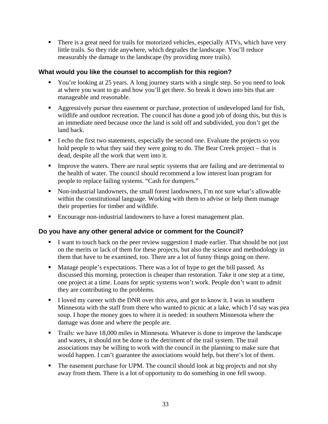There is a great need for trails for motorized vehicles, especially ATVs, which have very little trails. So they ride anywhere, which degrades the landscape. You'll reduce measurably the damage to the landscape (by providing more trails).

#### **What would you like the counsel to accomplish for this region?**

- You're looking at 25 years. A long journey starts with a single step. So you need to look at where you want to go and how you'll get there. So break it down into bits that are manageable and reasonable.
- Aggressively pursue thru easement or purchase, protection of undeveloped land for fish, wildlife and outdoor recreation. The council has done a good job of doing this, but this is an immediate need because once the land is sold off and subdivided, you don't get the land back.
- I echo the first two statements, especially the second one. Evaluate the projects so you hold people to what they said they were going to do. The Bear Creek project – that is dead, despite all the work that went into it.
- **IMPROVE THEOF IMPROVE THEOF AREA** is strongeright and a separate the waters. There are rural septic systems that are failing and are detrimental to the health of water. The council should recommend a low interest loan program for people to replace failing systems. "Cash for dumpers."
- Non-industrial landowners, the small forest landowners, I'm not sure what's allowable within the constitutional language. Working with them to advise or help them manage their properties for timber and wildlife.
- Encourage non-industrial landowners to have a forest management plan.

### **Do you have any other general advice or comment for the Council?**

- I want to touch back on the peer review suggestion I made earlier. That should be not just on the merits or lack of them for these projects, but also the science and methodology in them that have to be examined, too. There are a lot of funny things going on there.
- Manage people's expectations. There was a lot of hype to get the bill passed. As discussed this morning, protection is cheaper than restoration. Take it one step at a time, one project at a time. Loans for septic systems won't work. People don't want to admit they are contributing to the problems.
- I loved my career with the DNR over this area, and got to know it. I was in southern Minnesota with the staff from there who wanted to picnic at a lake, which I'd say was pea soup. I hope the money goes to where it is needed: in southern Minnesota where the damage was done and where the people are.
- Trails: we have 18,000 miles in Minnesota. Whatever is done to improve the landscape and waters, it should not be done to the detriment of the trail system. The trail associations may be willing to work with the council in the planning to make sure that would happen. I can't guarantee the associations would help, but there's lot of them.
- The easement purchase for UPM. The council should look at big projects and not shy away from them. There is a lot of opportunity to do something in one fell swoop.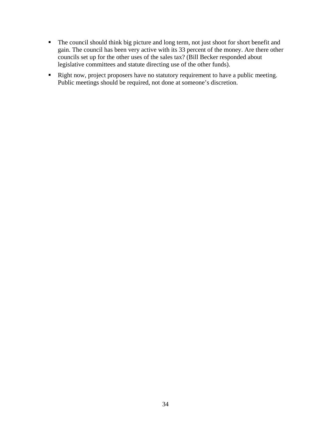- The council should think big picture and long term, not just shoot for short benefit and gain. The council has been very active with its 33 percent of the money. Are there other councils set up for the other uses of the sales tax? (Bill Becker responded about legislative committees and statute directing use of the other funds).
- Right now, project proposers have no statutory requirement to have a public meeting. Public meetings should be required, not done at someone's discretion.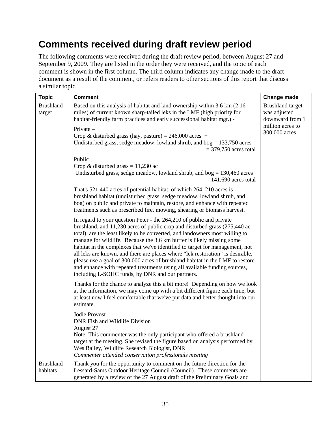# **Comments received during draft review period**

The following comments were received during the draft review period, between August 27 and September 9, 2009. They are listed in the order they were received, and the topic of each comment is shown in the first column. The third column indicates any change made to the draft document as a result of the comment, or refers readers to other sections of this report that discuss a similar topic.

| <b>Topic</b>                 | <b>Comment</b>                                                                                                                                                                                                                                                                                                                                                                                                                                                                                                                                                                                                                                                                                  | Change made                                                                                      |
|------------------------------|-------------------------------------------------------------------------------------------------------------------------------------------------------------------------------------------------------------------------------------------------------------------------------------------------------------------------------------------------------------------------------------------------------------------------------------------------------------------------------------------------------------------------------------------------------------------------------------------------------------------------------------------------------------------------------------------------|--------------------------------------------------------------------------------------------------|
| <b>Brushland</b><br>target   | Based on this analysis of habitat and land ownership within 3.6 km (2.16)<br>miles) of current known sharp-tailed leks in the LMF (high priority for<br>habitat-friendly farm practices and early successional habitat mgt.) -<br>Private-<br>Crop & disturbed grass (hay, pasture) = $246,000$ acres +<br>Undisturbed grass, sedge meadow, lowland shrub, and $bog = 133,750$ acres<br>$=$ 379,750 acres total                                                                                                                                                                                                                                                                                 | <b>Brushland</b> target<br>was adjusted<br>downward from 1<br>million acres to<br>300,000 acres. |
|                              | Public<br>Crop & disturbed grass = $11,230$ ac<br>Undisturbed grass, sedge meadow, lowland shrub, and $bog = 130,460$ acres<br>$= 141,690$ acres total                                                                                                                                                                                                                                                                                                                                                                                                                                                                                                                                          |                                                                                                  |
|                              | That's 521,440 acres of potential habitat, of which 264, 210 acres is<br>brushland habitat (undisturbed grass, sedge meadow, lowland shrub, and<br>bog) on public and private to maintain, restore, and enhance with repeated<br>treatments such as prescribed fire, mowing, shearing or biomass harvest.                                                                                                                                                                                                                                                                                                                                                                                       |                                                                                                  |
|                              | In regard to your question Peter - the 264,210 of public and private<br>brushland, and 11,230 acres of public crop and disturbed grass (275,440 ac<br>total), are the least likely to be converted, and landowners most willing to<br>manage for wildlife. Because the 3.6 km buffer is likely missing some<br>habitat in the complexes that we've identified to target for management, not<br>all leks are known, and there are places where "lek restoration" is desirable,<br>please use a goal of 300,000 acres of brushland habitat in the LMF to restore<br>and enhance with repeated treatments using all available funding sources,<br>including L-SOHC funds, by DNR and our partners. |                                                                                                  |
|                              | Thanks for the chance to analyze this a bit more! Depending on how we look<br>at the information, we may come up with a bit different figure each time, but<br>at least now I feel comfortable that we've put data and better thought into our<br>estimate.                                                                                                                                                                                                                                                                                                                                                                                                                                     |                                                                                                  |
|                              | Jodie Provost<br>DNR Fish and Wildlife Division<br>August 27<br>Note: This commenter was the only participant who offered a brushland<br>target at the meeting. She revised the figure based on analysis performed by<br>Wes Bailey, Wildlife Research Biologist, DNR<br>Commenter attended conservation professionals meeting                                                                                                                                                                                                                                                                                                                                                                  |                                                                                                  |
| <b>Brushland</b><br>habitats | Thank you for the opportunity to comment on the future direction for the<br>Lessard-Sams Outdoor Heritage Council (Council). These comments are<br>generated by a review of the 27 August draft of the Preliminary Goals and                                                                                                                                                                                                                                                                                                                                                                                                                                                                    |                                                                                                  |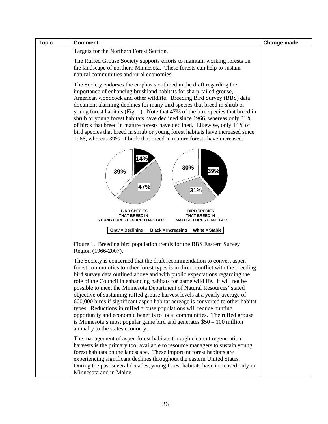| <b>Topic</b> | <b>Comment</b>                                                                                                                                                                                                                                                                                                                                                                                                                                                                                                                                                                                                                                                                                                                                                                                                                         | <b>Change made</b> |
|--------------|----------------------------------------------------------------------------------------------------------------------------------------------------------------------------------------------------------------------------------------------------------------------------------------------------------------------------------------------------------------------------------------------------------------------------------------------------------------------------------------------------------------------------------------------------------------------------------------------------------------------------------------------------------------------------------------------------------------------------------------------------------------------------------------------------------------------------------------|--------------------|
|              | Targets for the Northern Forest Section.                                                                                                                                                                                                                                                                                                                                                                                                                                                                                                                                                                                                                                                                                                                                                                                               |                    |
|              | The Ruffed Grouse Society supports efforts to maintain working forests on<br>the landscape of northern Minnesota. These forests can help to sustain<br>natural communities and rural economies.                                                                                                                                                                                                                                                                                                                                                                                                                                                                                                                                                                                                                                        |                    |
|              | The Society endorses the emphasis outlined in the draft regarding the<br>importance of enhancing brushland habitats for sharp-tailed grouse,<br>American woodcock and other wildlife. Breeding Bird Survey (BBS) data<br>document alarming declines for many bird species that breed in shrub or<br>young forest habitats (Fig. 1). Note that 47% of the bird species that breed in<br>shrub or young forest habitats have declined since 1966, whereas only 31%<br>of birds that breed in mature forests have declined. Likewise, only 14% of<br>bird species that breed in shrub or young forest habitats have increased since<br>1966, whereas 39% of birds that breed in mature forests have increased.                                                                                                                            |                    |
|              | 14%<br>30%<br>39%<br>39%<br>47%<br>31%                                                                                                                                                                                                                                                                                                                                                                                                                                                                                                                                                                                                                                                                                                                                                                                                 |                    |
|              | <b>BIRD SPECIES</b><br><b>BIRD SPECIES</b><br>THAT BREED IN<br>THAT BREED IN<br>YOUNG FOREST - SHRUB HABITATS<br><b>MATURE FOREST HABITATS</b>                                                                                                                                                                                                                                                                                                                                                                                                                                                                                                                                                                                                                                                                                         |                    |
|              | Gray = Declining<br><b>Black = Increasing</b><br>White = Stable                                                                                                                                                                                                                                                                                                                                                                                                                                                                                                                                                                                                                                                                                                                                                                        |                    |
|              | Figure 1. Breeding bird population trends for the BBS Eastern Survey<br>Region (1966-2007).                                                                                                                                                                                                                                                                                                                                                                                                                                                                                                                                                                                                                                                                                                                                            |                    |
|              | The Society is concerned that the draft recommendation to convert aspen<br>forest communities to other forest types is in direct conflict with the breeding<br>bird survey data outlined above and with public expectations regarding the<br>role of the Council in enhancing habitats for game wildlife. It will not be<br>possible to meet the Minnesota Department of Natural Resources' stated<br>objective of sustaining ruffed grouse harvest levels at a yearly average of<br>600,000 birds if significant aspen habitat acreage is converted to other habitat<br>types. Reductions in ruffed grouse populations will reduce hunting<br>opportunity and economic benefits to local communities. The ruffed grouse<br>is Minnesota's most popular game bird and generates $$50 - 100$ million<br>annually to the states economy. |                    |
|              | The management of aspen forest habitats through clearcut regeneration<br>harvests is the primary tool available to resource managers to sustain young<br>forest habitats on the landscape. These important forest habitats are<br>experiencing significant declines throughout the eastern United States.<br>During the past several decades, young forest habitats have increased only in<br>Minnesota and in Maine.                                                                                                                                                                                                                                                                                                                                                                                                                  |                    |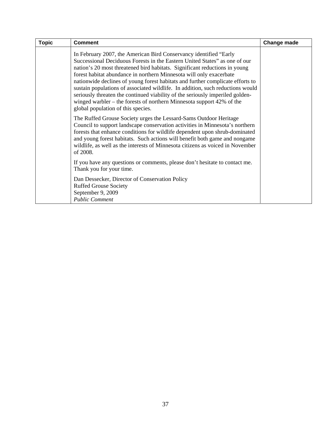| <b>Topic</b> | <b>Comment</b>                                                                                                                                                                                                                                                                                                                                                                                                                                                                                                                                                                                                                                                              | Change made |
|--------------|-----------------------------------------------------------------------------------------------------------------------------------------------------------------------------------------------------------------------------------------------------------------------------------------------------------------------------------------------------------------------------------------------------------------------------------------------------------------------------------------------------------------------------------------------------------------------------------------------------------------------------------------------------------------------------|-------------|
|              | In February 2007, the American Bird Conservancy identified "Early<br>Successional Deciduous Forests in the Eastern United States" as one of our<br>nation's 20 most threatened bird habitats. Significant reductions in young<br>forest habitat abundance in northern Minnesota will only exacerbate<br>nationwide declines of young forest habitats and further complicate efforts to<br>sustain populations of associated wildlife. In addition, such reductions would<br>seriously threaten the continued viability of the seriously imperiled golden-<br>winged warbler – the forests of northern Minnesota support $42\%$ of the<br>global population of this species. |             |
|              | The Ruffed Grouse Society urges the Lessard-Sams Outdoor Heritage<br>Council to support landscape conservation activities in Minnesota's northern<br>forests that enhance conditions for wildlife dependent upon shrub-dominated<br>and young forest habitats. Such actions will benefit both game and nongame<br>wildlife, as well as the interests of Minnesota citizens as voiced in November<br>of 2008.                                                                                                                                                                                                                                                                |             |
|              | If you have any questions or comments, please don't hesitate to contact me.<br>Thank you for your time.                                                                                                                                                                                                                                                                                                                                                                                                                                                                                                                                                                     |             |
|              | Dan Dessecker, Director of Conservation Policy<br><b>Ruffed Grouse Society</b><br>September 9, 2009<br><b>Public Comment</b>                                                                                                                                                                                                                                                                                                                                                                                                                                                                                                                                                |             |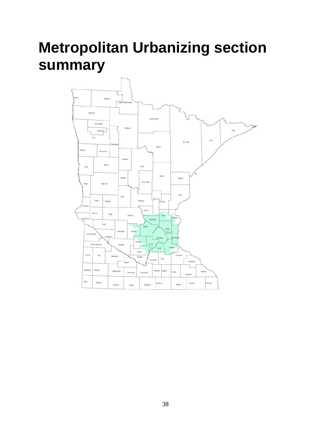# **Metropolitan Urbanizing section summary**

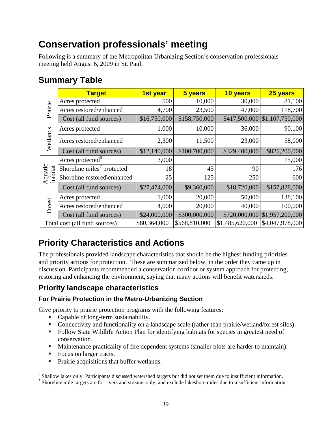# **Conservation professionals' meeting**

Following is a summary of the Metropolitan Urbanizing Section's conservation professionals meeting held August 6, 2009 in St. Paul.

# **Summary Table**

|                               | <b>Target</b>                                      | 1st year     | 5 years       | 10 years        | 25 years                      |
|-------------------------------|----------------------------------------------------|--------------|---------------|-----------------|-------------------------------|
|                               | Acres protected                                    | 500          | 10,000        | 30,000          | 81,100                        |
| Prairie                       | Acres restored\enhanced                            | 4,700        | 23,500        | 47,000          | 118,700                       |
|                               | Cost (all fund sources)                            | \$16,750,000 | \$158,750,000 |                 | \$417,500,000 \$1,107,750,000 |
|                               | Acres protected                                    | 1,000        | 10,000        | 36,000          | 90,100                        |
| Wetlands                      | Acres restored\enhanced                            | 2,300        | 11,500        | 23,000          | 58,000                        |
|                               | Cost (all fund sources)                            | \$12,140,000 | \$100,700,000 | \$329,400,000   | \$825,200,000                 |
|                               | Acres protected <sup>6</sup>                       | 3,000        |               |                 | 15,000                        |
|                               | Shoreline miles $\overline{\phantom{a}}$ protected | 18           | 45            | 90              | 176                           |
| Aquatic<br>habitat            | Shoreline restored\enhanced                        | 25           | 125           | 250             | 600                           |
|                               | Cost (all fund sources)                            | \$27,474,000 | \$9,360,000   | \$18,720,000    | \$157,828,000                 |
|                               | Acres protected                                    | 1,000        | 20,000        | 50,000          | 138,100                       |
| Forest                        | Acres restored\enhanced                            | 4,000        | 20,000        | 40,000          | 100,000                       |
|                               | Cost (all fund sources)                            | \$24,000,000 | \$300,000,000 |                 | \$720,000,000 \$1,957,200,000 |
| Total cost (all fund sources) |                                                    | \$80,364,000 | \$568,810,000 | \$1,485,620,000 | \$4,047,978,000               |

# **Priority Characteristics and Actions**

The professionals provided landscape characteristics that should be the highest funding priorities and priority actions for protection. These are summarized below, in the order they came up in discussion. Participants recommended a conservation corridor or system approach for protecting, restoring and enhancing the environment, saying that many actions will benefit watersheds.

### **Priority landscape characteristics**

### **For Prairie Protection in the Metro-Urbanizing Section**

Give priority to prairie protection programs with the following features:

- Capable of long-term sustainability.
- Connectivity and functionality on a landscape scale (rather than prairie/wetland/forest silos).
- Follow State Wildlife Action Plan for identifying habitats for species in greatest need of conservation.
- **Maintenance practicality of fire dependent systems (smaller plots are harder to maintain).**
- Focus on larger tracts.
- Prairie acquisitions that buffer wetlands.

<sup>6</sup><br>
<sup>6</sup> Shallow lakes only. Participants discussed watershed targets but did not set them due to insufficient information.<br>
<sup>7</sup> Shareline mile terests are for rivers and streams only, and evalued lakeshere miles due to in

 $\frac{7}{1}$  Shoreline mile targets are for rivers and streams only, and exclude lakeshore miles due to insufficient information.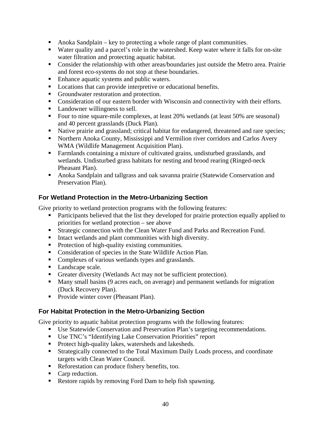- Anoka Sandplain key to protecting a whole range of plant communities.
- Water quality and a parcel's role in the watershed. Keep water where it falls for on-site water filtration and protecting aquatic habitat.
- Consider the relationship with other areas/boundaries just outside the Metro area. Prairie and forest eco-systems do not stop at these boundaries.
- **Enhance aquatic systems and public waters.**
- **Locations that can provide interpretive or educational benefits.**
- Groundwater restoration and protection.
- Consideration of our eastern border with Wisconsin and connectivity with their efforts.
- Landowner willingness to sell.
- Four to nine square-mile complexes, at least 20% wetlands (at least 50% are seasonal) and 40 percent grasslands (Duck Plan).
- Native prairie and grassland; critical habitat for endangered, threatened and rare species;
- Northern Anoka County, Mississippi and Vermilion river corridors and Carlos Avery WMA (Wildlife Management Acquisition Plan).
- Farmlands containing a mixture of cultivated grains, undisturbed grasslands, and wetlands. Undisturbed grass habitats for nesting and brood rearing (Ringed-neck Pheasant Plan).
- Anoka Sandplain and tallgrass and oak savanna prairie (Statewide Conservation and Preservation Plan).

### **For Wetland Protection in the Metro-Urbanizing Section**

Give priority to wetland protection programs with the following features:

- Participants believed that the list they developed for prairie protection equally applied to priorities for wetland protection – see above
- **Strategic connection with the Clean Water Fund and Parks and Recreation Fund.**
- Intact wetlands and plant communities with high diversity.
- Protection of high-quality existing communities.
- Consideration of species in the State Wildlife Action Plan.
- Complexes of various wetlands types and grasslands.
- Landscape scale.
- Greater diversity (Wetlands Act may not be sufficient protection).
- Many small basins (9 acres each, on average) and permanent wetlands for migration (Duck Recovery Plan).
- **Provide winter cover (Pheasant Plan).**

### **For Habitat Protection in the Metro-Urbanizing Section**

Give priority to aquatic habitat protection programs with the following features:

- Use Statewide Conservation and Preservation Plan's targeting recommendations.
- Use TNC's "Identifying Lake Conservation Priorities" report
- **Protect high-quality lakes, watersheds and lakesheds.**
- Strategically connected to the Total Maximum Daily Loads process, and coordinate targets with Clean Water Council.
- Reforestation can produce fishery benefits, too.
- Carp reduction.
- Restore rapids by removing Ford Dam to help fish spawning.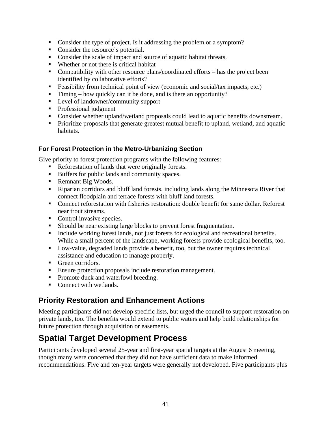- Consider the type of project. Is it addressing the problem or a symptom?
- Consider the resource's potential.
- Consider the scale of impact and source of aquatic habitat threats.
- Whether or not there is critical habitat
- Compatibility with other resource plans/coordinated efforts has the project been identified by collaborative efforts?
- Feasibility from technical point of view (economic and social/tax impacts, etc.)
- Timing how quickly can it be done, and is there an opportunity?
- Level of landowner/community support
- Professional judgment
- Consider whether upland/wetland proposals could lead to aquatic benefits downstream.
- **Prioritize proposals that generate greatest mutual benefit to upland, wetland, and aquatic** habitats.

#### **For Forest Protection in the Metro-Urbanizing Section**

Give priority to forest protection programs with the following features:

- Reforestation of lands that were originally forests.
- Buffers for public lands and community spaces.
- Remnant Big Woods.
- Riparian corridors and bluff land forests, including lands along the Minnesota River that connect floodplain and terrace forests with bluff land forests.
- Connect reforestation with fisheries restoration: double benefit for same dollar. Reforest near trout streams.
- Control invasive species.
- Should be near existing large blocks to prevent forest fragmentation.
- Include working forest lands, not just forests for ecological and recreational benefits. While a small percent of the landscape, working forests provide ecological benefits, too.
- Low-value, degraded lands provide a benefit, too, but the owner requires technical assistance and education to manage properly.
- **Green corridors.**
- Ensure protection proposals include restoration management.
- Promote duck and waterfowl breeding.
- Connect with wetlands.

### **Priority Restoration and Enhancement Actions**

Meeting participants did not develop specific lists, but urged the council to support restoration on private lands, too. The benefits would extend to public waters and help build relationships for future protection through acquisition or easements.

# **Spatial Target Development Process**

Participants developed several 25-year and first-year spatial targets at the August 6 meeting, though many were concerned that they did not have sufficient data to make informed recommendations. Five and ten-year targets were generally not developed. Five participants plus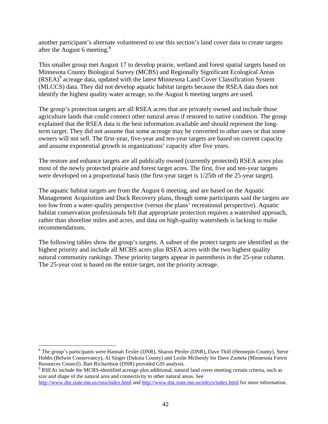another participant's alternate volunteered to use this section's land cover data to create targets after the August 6 meeting. $8$ 

This smaller group met August 17 to develop prairie, wetland and forest spatial targets based on Minnesota County Biological Survey (MCBS) and Regionally Significant Ecological Areas (RSEA)<sup>9</sup> acreage data, updated with the latest Minnesota Land Cover Classification System (MLCCS) data. They did not develop aquatic habitat targets because the RSEA data does not identify the highest quality water acreage, so the August 6 meeting targets are used.

The group's protection targets are all RSEA acres that are privately owned and include those agriculture lands that could connect other natural areas if restored to native condition. The group explained that the RSEA data is the best information available and should represent the longterm target. They did not assume that some acreage may be converted to other uses or that some owners will not sell. The first-year, five-year and ten-year targets are based on current capacity and assume exponential growth in organizations' capacity after five years.

The restore and enhance targets are all publically owned (currently protected) RSEA acres plus most of the newly protected prairie and forest target acres. The first, five and ten-year targets were developed on a proportional basis (the first-year target is 1/25th of the 25-year target).

The aquatic habitat targets are from the August 6 meeting, and are based on the Aquatic Management Acquisition and Duck Recovery plans, though some participants said the targets are too low from a water-quality perspective (versus the plans' recreational perspective). Aquatic habitat conservation professionals felt that appropriate protection requires a watershed approach, rather than shoreline miles and acres, and data on high-quality watersheds is lacking to make recommendations.

The following tables show the group's targets. A subset of the protect targets are identified as the highest priority and include all MCBS acres plus RSEA acres with the two highest quality natural community rankings. These priority targets appear in parenthesis in the 25-year column. The 25-year cost is based on the entire target, not the priority acreage.

 $\overline{a}$ 

<sup>&</sup>lt;sup>8</sup> The group's participants were Hannah Texler (DNR), Sharon Pfeifer (DNR), Dave Thill (Hennepin County), Steve Hobbs (Belwin Conservancy), Al Singer (Dakota County) and Leslie McInenly for Dave Zumeta (Minnesota Forest Resources Council). Bart Richardson (DNR) provided GIS analysis.

RSEAs include the MCBS-identified acreage plus additional, natural land cover meeting certain criteria, such as size and shape of the natural area and connectivity to other natural areas. See

http://www.dnr.state.mn.us/rsea/index.html and http://www.dnr.state.mn.us/mlccs/index.html for more information.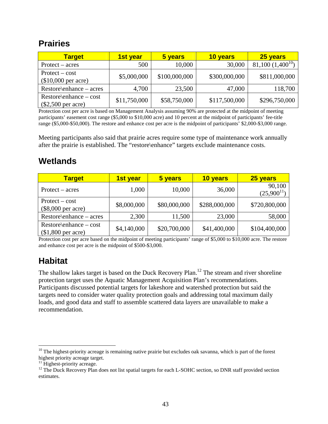### **Prairies**

| <b>Target</b>                                     | 1st year     | 5 years       | 10 years      | 25 years              |
|---------------------------------------------------|--------------|---------------|---------------|-----------------------|
| $Protext - acres$                                 | 500          | 10,000        | 30,000        | 81,100 $(1,400^{10})$ |
| $Protext - cost$<br>$($10,000$ per acre)          | \$5,000,000  | \$100,000,000 | \$300,000,000 | \$811,000,000         |
| $Restore\$ enhance – acres                        | 4,700        | 23,500        | 47,000        | 118,700               |
| $Restore\$ enhance – cost<br>$(\$2,500$ per acre) | \$11,750,000 | \$58,750,000  | \$117,500,000 | \$296,750,000         |

Protection cost per acre is based on Management Analysis assuming 90% are protected at the midpoint of meeting participants' easement cost range (\$5,000 to \$10,000 acre) and 10 percent at the midpoint of participants' fee-title range (\$5,000-\$50,000). The restore and enhance cost per acre is the midpoint of participants' \$2,000-\$3,000 range.

Meeting participants also said that prairie acres require some type of maintenance work annually after the prairie is established. The "restore\enhance" targets exclude maintenance costs.

## **Wetlands**

| <u>Target</u>                                   | 1st year    | 5 years      | 10 years      | 25 years                  |
|-------------------------------------------------|-------------|--------------|---------------|---------------------------|
| $Protext - acres$                               | 1,000       | 10,000       | 36,000        | 90,100<br>$(25,900^{11})$ |
| $Protext - cost$<br>$(\$8,000$ per acre)        | \$8,000,000 | \$80,000,000 | \$288,000,000 | \$720,800,000             |
| $Restore\$ enhance – acres                      | 2,300       | 11,500       | 23,000        | 58,000                    |
| $Restore\$ enhance – cost<br>$$1,800$ per acre) | \$4,140,000 | \$20,700,000 | \$41,400,000  | \$104,400,000             |

Protection cost per acre based on the midpoint of meeting participants' range of \$5,000 to \$10,000 acre. The restore and enhance cost per acre is the midpoint of \$500-\$3,000.

# **Habitat**

 $\overline{a}$ 

The shallow lakes target is based on the Duck Recovery Plan.<sup>12</sup> The stream and river shoreline protection target uses the Aquatic Management Acquisition Plan's recommendations. Participants discussed potential targets for lakeshore and watershed protection but said the targets need to consider water quality protection goals and addressing total maximum daily loads, and good data and staff to assemble scattered data layers are unavailable to make a recommendation.

 $10$  The highest-priority acreage is remaining native prairie but excludes oak savanna, which is part of the forest highest priority acreage target.

<sup>&</sup>lt;sup>11</sup> Highest-priority acreage.

<sup>&</sup>lt;sup>12</sup> The Duck Recovery Plan does not list spatial targets for each L-SOHC section, so DNR staff provided section estimates.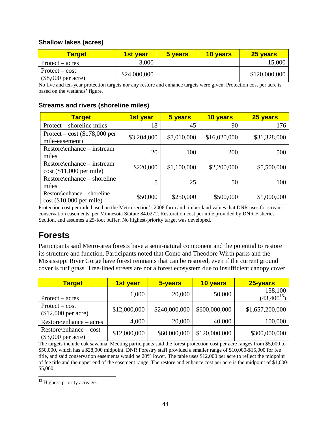#### **Shallow lakes (acres)**

| <b>Target</b>                           | <b>1st vear</b> | 5 years | <b>10 vears</b> | 25 years      |
|-----------------------------------------|-----------------|---------|-----------------|---------------|
| $Protext - acres$                       | 3,000           |         |                 | 15,000        |
| $Protext - cost$<br>$($8,000$ per acre) | \$24,000,000    |         |                 | \$120,000,000 |

No five and ten-year protection targets nor any restore and enhance targets were given. Protection cost per acre is based on the wetlands' figure.

#### **Streams and rivers (shoreline miles)**

| <b>Target</b>                                             | 1st year    | 5 years     | 10 years     | 25 years     |
|-----------------------------------------------------------|-------------|-------------|--------------|--------------|
| Protect – shoreline miles                                 | 18          | 45          | 90           | 176          |
| Protect – cost $\$178,000$ per<br>mile-easement)          | \$3,204,000 | \$8,010,000 | \$16,020,000 | \$31,328,000 |
| Restore\enhance – instream<br>miles                       | 20          | 100         | 200          | 500          |
| Restore\enhance – instream<br>$cost$ (\$11,000 per mile)  | \$220,000   | \$1,100,000 | \$2,200,000  | \$5,500,000  |
| Restore\enhance – shoreline<br>miles                      | 5           | 25          | 50           | 100          |
| Restore\enhance – shoreline<br>$cost$ (\$10,000 per mile) | \$50,000    | \$250,000   | \$500,000    | \$1,000,000  |

Protection cost per mile based on the Metro section's 2008 farm and timber land values that DNR uses for stream conservation easements, per Minnesota Statute 84.0272. Restoration cost per mile provided by DNR Fisheries Section, and assumes a 25-foot buffer. No highest-priority target was developed.

### **Forests**

Participants said Metro-area forests have a semi-natural component and the potential to restore its structure and function. Participants noted that Como and Theodore Wirth parks and the Mississippi River Gorge have forest remnants that can be restored, even if the current ground cover is turf grass. Tree-lined streets are not a forest ecosystem due to insufficient canopy cover.

| <b>Target</b>                                  | 1st year     | 5-years       | 10 years      | 25-years                   |
|------------------------------------------------|--------------|---------------|---------------|----------------------------|
| $Protext - acres$                              | 1,000        | 20,000        | 50,000        | 138,100<br>$(43,400^{13})$ |
| $Protext - cost$<br>$$12,000$ per acre)        | \$12,000,000 | \$240,000,000 | \$600,000,000 | \$1,657,200,000            |
| $Restore\$ enhance – acres                     | 4,000        | 20,000        | 40,000        | 100,000                    |
| Restore\enhance – cost<br>$(\$3,000$ per acre) | \$12,000,000 | \$60,000,000  | \$120,000,000 | \$300,000,000              |

The targets include oak savanna. Meeting participants said the forest protection cost per acre ranges from \$5,000 to \$50,000, which has a \$28,000 midpoint. DNR Forestry staff provided a smaller range of \$10,000-\$15,000 for fee title, and said conservation easements would be 20% lower. The table uses \$12,000 per acre to reflect the midpoint of fee title and the upper end of the easement range. The restore and enhance cost per acre is the midpoint of \$1,000- \$5,000.

 $\overline{a}$ <sup>13</sup> Highest-priority acreage.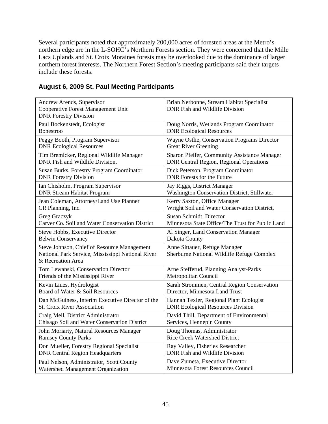Several participants noted that approximately 200,000 acres of forested areas at the Metro's northern edge are in the L-SOHC's Northern Forests section. They were concerned that the Mille Lacs Uplands and St. Croix Moraines forests may be overlooked due to the dominance of larger northern forest interests. The Northern Forest Section's meeting participants said their targets include these forests.

| Andrew Arends, Supervisor<br>Cooperative Forest Management Unit<br><b>DNR Forestry Division</b>                       | Brian Nerbonne, Stream Habitat Specialist<br>DNR Fish and Wildlife Division |
|-----------------------------------------------------------------------------------------------------------------------|-----------------------------------------------------------------------------|
| Paul Bockenstedt, Ecologist                                                                                           | Doug Norris, Wetlands Program Coordinator                                   |
| <b>Bonestroo</b>                                                                                                      | <b>DNR Ecological Resources</b>                                             |
| Peggy Booth, Program Supervisor                                                                                       | Wayne Ostlie, Conservation Programs Director                                |
| <b>DNR Ecological Resources</b>                                                                                       | <b>Great River Greening</b>                                                 |
| Tim Bremicker, Regional Wildlife Manager                                                                              | Sharon Pfeifer, Community Assistance Manager                                |
| DNR Fish and Wildlife Division,                                                                                       | <b>DNR Central Region, Regional Operations</b>                              |
| <b>Susan Burks, Forestry Program Coordinator</b>                                                                      | Dick Peterson, Program Coordinator                                          |
| <b>DNR Forestry Division</b>                                                                                          | <b>DNR</b> Forests for the Future                                           |
| Ian Chisholm, Program Supervisor                                                                                      | Jay Riggs, District Manager                                                 |
| <b>DNR Stream Habitat Program</b>                                                                                     | Washington Conservation District, Stillwater                                |
| Jean Coleman, Attorney/Land Use Planner                                                                               | Kerry Saxton, Office Manager                                                |
| CR Planning, Inc.                                                                                                     | Wright Soil and Water Conservation District,                                |
| <b>Greg Graczyk</b>                                                                                                   | Susan Schmidt, Director                                                     |
| Carver Co. Soil and Water Conservation District                                                                       | Minnesota State Office/The Trust for Public Land                            |
| <b>Steve Hobbs, Executive Director</b>                                                                                | Al Singer, Land Conservation Manager                                        |
| <b>Belwin Conservancy</b>                                                                                             | Dakota County                                                               |
| Steve Johnson, Chief of Resource Management<br>National Park Service, Mississippi National River<br>& Recreation Area | Anne Sittauer, Refuge Manager<br>Sherburne National Wildlife Refuge Complex |
| Tom Lewanski, Conservation Director                                                                                   | Arne Stefferud, Planning Analyst-Parks                                      |
| Friends of the Mississippi River                                                                                      | Metropolitan Council                                                        |
| Kevin Lines, Hydrologist                                                                                              | Sarah Strommen, Central Region Conservation                                 |
| Board of Water & Soil Resources                                                                                       | Director, Minnesota Land Trust                                              |
| Dan McGuiness, Interim Executive Director of the                                                                      | Hannah Texler, Regional Plant Ecologist                                     |
| <b>St. Croix River Association</b>                                                                                    | <b>DNR Ecological Resources Division</b>                                    |
| Craig Mell, District Administrator                                                                                    | David Thill, Department of Environmental                                    |
| Chisago Soil and Water Conservation District                                                                          | Services, Hennepin County                                                   |
| John Moriarty, Natural Resources Manager                                                                              | Doug Thomas, Administrator                                                  |
| <b>Ramsey County Parks</b>                                                                                            | <b>Rice Creek Watershed District</b>                                        |
| Don Mueller, Forestry Regional Specialist                                                                             | Ray Valley, Fisheries Researcher                                            |
| <b>DNR Central Region Headquarters</b>                                                                                | DNR Fish and Wildlife Division                                              |
| Paul Nelson, Administrator, Scott County                                                                              | Dave Zumeta, Executive Director                                             |
| Watershed Management Organization                                                                                     | Minnesota Forest Resources Council                                          |

### **August 6, 2009 St. Paul Meeting Participants**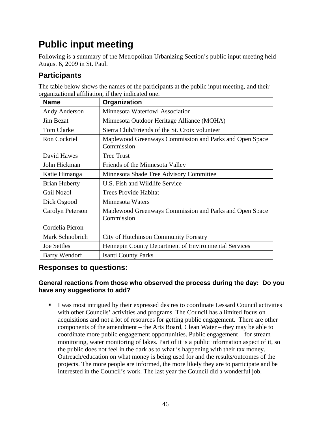# **Public input meeting**

Following is a summary of the Metropolitan Urbanizing Section's public input meeting held August 6, 2009 in St. Paul.

### **Participants**

| <b>Name</b>          | Organization                                                          |
|----------------------|-----------------------------------------------------------------------|
| Andy Anderson        | Minnesota Waterfowl Association                                       |
| <b>Jim Bezat</b>     | Minnesota Outdoor Heritage Alliance (MOHA)                            |
| <b>Tom Clarke</b>    | Sierra Club/Friends of the St. Croix volunteer                        |
| <b>Ron Cockriel</b>  | Maplewood Greenways Commission and Parks and Open Space<br>Commission |
| David Hawes          | <b>Tree Trust</b>                                                     |
| John Hickman         | Friends of the Minnesota Valley                                       |
| Katie Himanga        | Minnesota Shade Tree Advisory Committee                               |
| <b>Brian Huberty</b> | U.S. Fish and Wildlife Service                                        |
| <b>Gail Nozol</b>    | <b>Trees Provide Habitat</b>                                          |
| Dick Osgood          | <b>Minnesota Waters</b>                                               |
| Carolyn Peterson     | Maplewood Greenways Commission and Parks and Open Space<br>Commission |
| Cordelia Picron      |                                                                       |
| Mark Schnobrich      | City of Hutchinson Community Forestry                                 |
| <b>Joe Settles</b>   | Hennepin County Department of Environmental Services                  |
| Barry Wendorf        | <b>Isanti County Parks</b>                                            |

The table below shows the names of the participants at the public input meeting, and their organizational affiliation, if they indicated one.

### **Responses to questions:**

#### **General reactions from those who observed the process during the day: Do you have any suggestions to add?**

 I was most intrigued by their expressed desires to coordinate Lessard Council activities with other Councils' activities and programs. The Council has a limited focus on acquisitions and not a lot of resources for getting public engagement. There are other components of the amendment – the Arts Board, Clean Water – they may be able to coordinate more public engagement opportunities. Public engagement – for stream monitoring, water monitoring of lakes. Part of it is a public information aspect of it, so the public does not feel in the dark as to what is happening with their tax money. Outreach/education on what money is being used for and the results/outcomes of the projects. The more people are informed, the more likely they are to participate and be interested in the Council's work. The last year the Council did a wonderful job.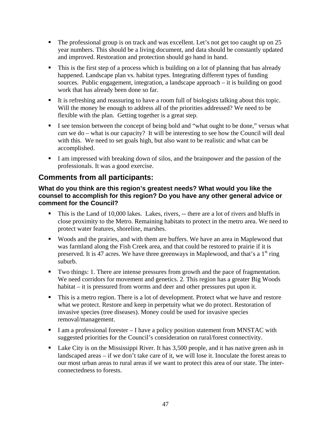- The professional group is on track and was excellent. Let's not get too caught up on 25 year numbers. This should be a living document, and data should be constantly updated and improved. Restoration and protection should go hand in hand.
- This is the first step of a process which is building on a lot of planning that has already happened. Landscape plan vs. habitat types. Integrating different types of funding sources. Public engagement, integration, a landscape approach – it is building on good work that has already been done so far.
- It is refreshing and reassuring to have a room full of biologists talking about this topic. Will the money be enough to address all of the priorities addressed? We need to be flexible with the plan. Getting together is a great step.
- I see tension between the concept of being bold and "what ought to be done," versus what *can* we do – what is our capacity? It will be interesting to see how the Council will deal with this. We need to set goals high, but also want to be realistic and what can be accomplished.
- I am impressed with breaking down of silos, and the brainpower and the passion of the professionals. It was a good exercise.

### **Comments from all participants:**

#### **What do you think are this region's greatest needs? What would you like the counsel to accomplish for this region? Do you have any other general advice or comment for the Council?**

- This is the Land of 10,000 lakes. Lakes, rivers, -- there are a lot of rivers and bluffs in close proximity to the Metro. Remaining habitats to protect in the metro area. We need to protect water features, shoreline, marshes.
- Woods and the prairies, and with them are buffers. We have an area in Maplewood that was farmland along the Fish Creek area, and that could be restored to prairie if it is preserved. It is 47 acres. We have three greenways in Maplewood, and that's a  $1<sup>st</sup>$  ring suburb.
- Two things: 1. There are intense pressures from growth and the pace of fragmentation. We need corridors for movement and genetics. 2. This region has a greater Big Woods habitat – it is pressured from worms and deer and other pressures put upon it.
- This is a metro region. There is a lot of development. Protect what we have and restore what we protect. Restore and keep in perpetuity what we do protect. Restoration of invasive species (tree diseases). Money could be used for invasive species removal/management.
- I am a professional forester  $I$  have a policy position statement from MNSTAC with suggested priorities for the Council's consideration on rural/forest connectivity.
- Lake City is on the Mississippi River. It has 3,500 people, and it has native green ash in landscaped areas – if we don't take care of it, we will lose it. Inoculate the forest areas to our most urban areas to rural areas if we want to protect this area of our state. The interconnectedness to forests.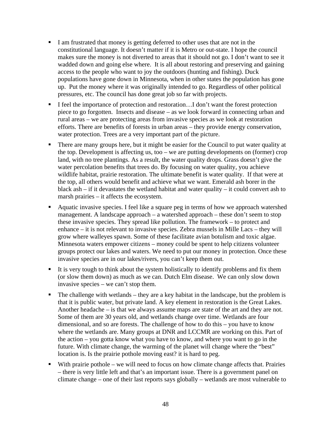- I am frustrated that money is getting deferred to other uses that are not in the constitutional language. It doesn't matter if it is Metro or out-state. I hope the council makes sure the money is not diverted to areas that it should not go. I don't want to see it wadded down and going else where. It is all about restoring and preserving and gaining access to the people who want to joy the outdoors (hunting and fishing). Duck populations have gone down in Minnesota, when in other states the population has gone up. Put the money where it was originally intended to go. Regardless of other political pressures, etc. The council has done great job so far with projects.
- I feel the importance of protection and restoration...I don't want the forest protection piece to go forgotten. Insects and disease – as we look forward in connecting urban and rural areas – we are protecting areas from invasive species as we look at restoration efforts. There are benefits of forests in urban areas – they provide energy conservation, water protection. Trees are a very important part of the picture.
- There are many groups here, but it might be easier for the Council to put water quality at the top. Development is affecting us, too – we are putting developments on (former) crop land, with no tree plantings. As a result, the water quality drops. Grass doesn't give the water percolation benefits that trees do. By focusing on water quality, you achieve wildlife habitat, prairie restoration. The ultimate benefit is water quality. If that were at the top, all others would benefit and achieve what we want. Emerald ash borer in the black ash  $-$  if it devastates the wetland habitat and water quality  $-$  it could convert ash to marsh prairies – it affects the ecosystem.
- Aquatic invasive species. I feel like a square peg in terms of how we approach watershed management. A landscape approach – a watershed approach – these don't seem to stop these invasive species. They spread like pollution. The framework – to protect and enhance – it is not relevant to invasive species. Zebra mussels in Mille Lacs – they will grow where walleyes spawn. Some of these facilitate avian botulism and toxic algae. Minnesota waters empower citizens – money could be spent to help citizens volunteer groups protect our lakes and waters. We need to put our money in protection. Once these invasive species are in our lakes/rivers, you can't keep them out.
- It is very tough to think about the system holistically to identify problems and fix them (or slow them down) as much as we can. Dutch Elm disease. We can only slow down invasive species – we can't stop them.
- $\blacksquare$  The challenge with wetlands they are a key habitat in the landscape, but the problem is that it is public water, but private land. A key element in restoration is the Great Lakes. Another headache – is that we always assume maps are state of the art and they are not. Some of them are 30 years old, and wetlands change over time. Wetlands are four dimensional, and so are forests. The challenge of how to do this – you have to know where the wetlands are. Many groups at DNR and LCCMR are working on this. Part of the action – you gotta know what you have to know, and where you want to go in the future. With climate change, the warming of the planet will change where the "best" location is. Is the prairie pothole moving east? it is hard to peg.
- With prairie pothole we will need to focus on how climate change affects that. Prairies – there is very little left and that's an important issue. There is a government panel on climate change – one of their last reports says globally – wetlands are most vulnerable to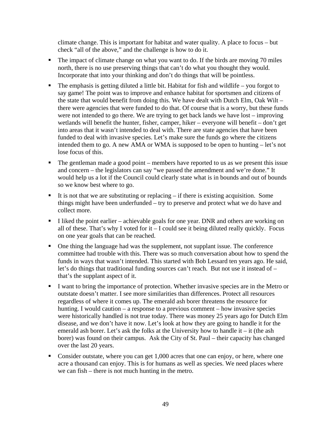climate change. This is important for habitat and water quality. A place to focus – but check "all of the above," and the challenge is how to do it.

- The impact of climate change on what you want to do. If the birds are moving 70 miles north, there is no use preserving things that can't do what you thought they would. Incorporate that into your thinking and don't do things that will be pointless.
- $\blacksquare$  The emphasis is getting diluted a little bit. Habitat for fish and wildlife you forgot to say game! The point was to improve and enhance habitat for sportsmen and citizens of the state that would benefit from doing this. We have dealt with Dutch Elm, Oak Wilt – there were agencies that were funded to do that. Of course that is a worry, but these funds were not intended to go there. We are trying to get back lands we have lost – improving wetlands will benefit the hunter, fisher, camper, hiker – everyone will benefit – don't get into areas that it wasn't intended to deal with. There are state agencies that have been funded to deal with invasive species. Let's make sure the funds go where the citizens intended them to go. A new AMA or WMA is supposed to be open to hunting – let's not lose focus of this.
- $\blacksquare$  The gentleman made a good point members have reported to us as we present this issue and concern – the legislators can say "we passed the amendment and we're done." It would help us a lot if the Council could clearly state what is in bounds and out of bounds so we know best where to go.
- It is not that we are substituting or replacing  $-$  if there is existing acquisition. Some things might have been underfunded – try to preserve and protect what we do have and collect more.
- I liked the point earlier achievable goals for one year. DNR and others are working on all of these. That's why I voted for it  $-$  I could see it being diluted really quickly. Focus on one year goals that can be reached.
- One thing the language had was the supplement, not supplant issue. The conference committee had trouble with this. There was so much conversation about how to spend the funds in ways that wasn't intended. This started with Bob Lessard ten years ago. He said, let's do things that traditional funding sources can't reach. But not use it instead of – that's the supplant aspect of it.
- I want to bring the importance of protection. Whether invasive species are in the Metro or outstate doesn't matter. I see more similarities than differences. Protect all resources regardless of where it comes up. The emerald ash borer threatens the resource for hunting. I would caution – a response to a previous comment – how invasive species were historically handled is not true today. There was money 25 years ago for Dutch Elm disease, and we don't have it now. Let's look at how they are going to handle it for the emerald ash borer. Let's ask the folks at the University how to handle it – it (the ash borer) was found on their campus. Ask the City of St. Paul – their capacity has changed over the last 20 years.
- Consider outstate, where you can get 1,000 acres that one can enjoy, or here, where one acre a thousand can enjoy. This is for humans as well as species. We need places where we can fish – there is not much hunting in the metro.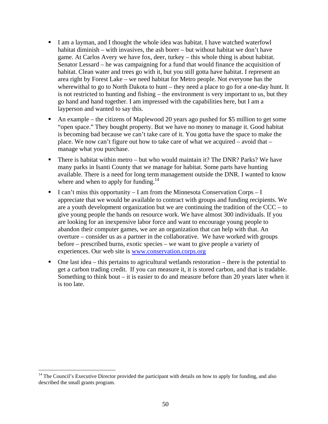- I am a layman, and I thought the whole idea was habitat. I have watched waterfowl habitat diminish – with invasives, the ash borer – but without habitat we don't have game. At Carlos Avery we have fox, deer, turkey – this whole thing is about habitat. Senator Lessard – he was campaigning for a fund that would finance the acquisition of habitat. Clean water and trees go with it, but you still gotta have habitat. I represent an area right by Forest Lake – we need habitat for Metro people. Not everyone has the wherewithal to go to North Dakota to hunt – they need a place to go for a one-day hunt. It is not restricted to hunting and fishing – the environment is very important to us, but they go hand and hand together. I am impressed with the capabilities here, but I am a layperson and wanted to say this.
- An example the citizens of Maplewood 20 years ago pushed for \$5 million to get some "open space." They bought property. But we have no money to manage it. Good habitat is becoming bad because we can't take care of it. You gotta have the space to make the place. We now can't figure out how to take care of what we acquired – avoid that – manage what you purchase.
- There is habitat within metro but who would maintain it? The DNR? Parks? We have many parks in Isanti County that we manage for habitat. Some parts have hunting available. There is a need for long term management outside the DNR. I wanted to know where and when to apply for funding.<sup>14</sup>
- I can't miss this opportunity I am from the Minnesota Conservation Corps I appreciate that we would be available to contract with groups and funding recipients. We are a youth development organization but we are continuing the tradition of the CCC – to give young people the hands on resource work. We have almost 300 individuals. If you are looking for an inexpensive labor force and want to encourage young people to abandon their computer games, we are an organization that can help with that. An overture – consider us as a partner in the collaborative. We have worked with groups before – prescribed burns, exotic species – we want to give people a variety of experiences. Our web site is www.conservation.corps.org
- $\blacksquare$  One last idea this pertains to agricultural wetlands restoration there is the potential to get a carbon trading credit. If you can measure it, it is stored carbon, and that is tradable. Something to think bout – it is easier to do and measure before than 20 years later when it is too late.

 $\overline{a}$ 

<sup>&</sup>lt;sup>14</sup> The Council's Executive Director provided the participant with details on how to apply for funding, and also described the small grants program.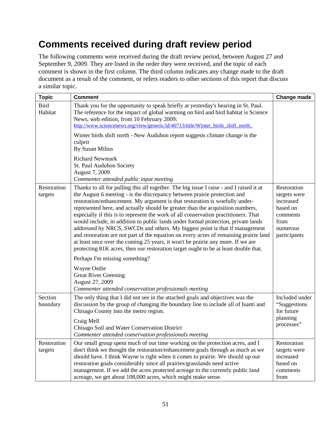# **Comments received during draft review period**

The following comments were received during the draft review period, between August 27 and September 9, 2009. They are listed in the order they were received, and the topic of each comment is shown in the first column. The third column indicates any change made to the draft document as a result of the comment, or refers readers to other sections of this report that discuss a similar topic.

| <b>Topic</b>           | <b>Comment</b>                                                                                                                                                                                                                                                                                                                                                                                                                                                                                                                                                                                                                                                                                                                                                                                                                                                     | Change made                                                                                          |
|------------------------|--------------------------------------------------------------------------------------------------------------------------------------------------------------------------------------------------------------------------------------------------------------------------------------------------------------------------------------------------------------------------------------------------------------------------------------------------------------------------------------------------------------------------------------------------------------------------------------------------------------------------------------------------------------------------------------------------------------------------------------------------------------------------------------------------------------------------------------------------------------------|------------------------------------------------------------------------------------------------------|
| <b>Bird</b><br>Habitat | Thank you for the opportunity to speak briefly at yesterday's hearing in St. Paul.<br>The reference for the impact of global warming on bird and bird habitat is Science<br>News, web edition, from 10 February 2009:<br>http://www.sciencenews.org/view/generic/id/40713/title/Winter birds shift north                                                                                                                                                                                                                                                                                                                                                                                                                                                                                                                                                           |                                                                                                      |
|                        | Winter birds shift north - New Audubon report suggests climate change is the<br>culprit<br>By Susan Milius                                                                                                                                                                                                                                                                                                                                                                                                                                                                                                                                                                                                                                                                                                                                                         |                                                                                                      |
|                        | <b>Richard Newmark</b><br>St. Paul Audubon Society<br>August 7, 2009<br>Commenter attended public input meeting                                                                                                                                                                                                                                                                                                                                                                                                                                                                                                                                                                                                                                                                                                                                                    |                                                                                                      |
| Restoration<br>targets | Thanks to all for pulling this all together. The big issue I raise - and I raised it at<br>the August 6 meeting - is the discrepancy between prairie protection and<br>restoration/enhancement. My argument is that restoration is woefully under-<br>represented here, and actually should be greater than the acquisition numbers,<br>especially if this is to represent the work of all conservation practitioners. That<br>would include, in addition to public lands under formal protection, private lands<br>addressed by NRCS, SWCDs and others. My biggest point is that if management<br>and restoration are not part of the equation on every acres of remaining prairie land<br>at least once over the coming 25 years, it won't be prairie any more. If we are<br>protecting 81K acres, then our restoration target ought to be at least double that. | Restoration<br>targets were<br>increased<br>based on<br>comments<br>from<br>numerous<br>participants |
|                        | Perhaps I'm missing something?                                                                                                                                                                                                                                                                                                                                                                                                                                                                                                                                                                                                                                                                                                                                                                                                                                     |                                                                                                      |
|                        | Wayne Ostlie<br><b>Great River Greening</b><br>August 27, 2009<br>Commenter attended conservation professionals meeting                                                                                                                                                                                                                                                                                                                                                                                                                                                                                                                                                                                                                                                                                                                                            |                                                                                                      |
| Section<br>boundary    | The only thing that I did not see in the attached goals and objectives was the<br>discussion by the group of changing the boundary line to include all of Isanti and<br>Chisago County into the metro region.<br>Craig Mell                                                                                                                                                                                                                                                                                                                                                                                                                                                                                                                                                                                                                                        | Included under<br>"Suggestions"<br>for future<br>planning<br>processes"                              |
|                        | Chisago Soil and Water Conservation District<br>Commenter attended conservation professionals meeting                                                                                                                                                                                                                                                                                                                                                                                                                                                                                                                                                                                                                                                                                                                                                              |                                                                                                      |
| Restoration<br>targets | Our small group spent much of our time working on the protection acres, and I<br>don't think we thought the restoration/enhancement goals through as much as we<br>should have. I think Wayne is right when it comes to prairie. We should up our<br>restoration goals considerably since all prairies/grasslands need active<br>management. If we add the acres protected acreage to the currently public land<br>acreage, we get about 108,000 acres, which might make sense.                                                                                                                                                                                                                                                                                                                                                                                    | Restoration<br>targets were<br>increased<br>based on<br>comments<br>from                             |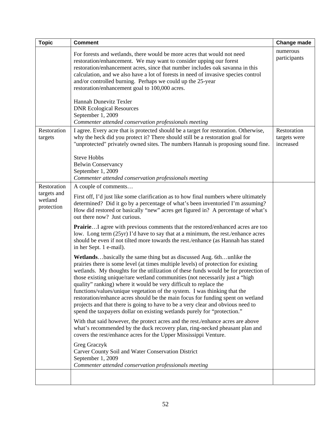| <b>Topic</b>                         | <b>Comment</b>                                                                                                                                                                                                                                                                                                                                                                                                                                                                                                                                                                                                                                                                                                                        | <b>Change made</b>                       |
|--------------------------------------|---------------------------------------------------------------------------------------------------------------------------------------------------------------------------------------------------------------------------------------------------------------------------------------------------------------------------------------------------------------------------------------------------------------------------------------------------------------------------------------------------------------------------------------------------------------------------------------------------------------------------------------------------------------------------------------------------------------------------------------|------------------------------------------|
|                                      | For forests and wetlands, there would be more acres that would not need<br>restoration/enhancement. We may want to consider upping our forest<br>restoration/enhancement acres, since that number includes oak savanna in this<br>calculation, and we also have a lot of forests in need of invasive species control<br>and/or controlled burning. Perhaps we could up the 25-year<br>restoration/enhancement goal to 100,000 acres.                                                                                                                                                                                                                                                                                                  | numerous<br>participants                 |
|                                      | Hannah Dunevitz Texler<br><b>DNR Ecological Resources</b><br>September 1, 2009<br>Commenter attended conservation professionals meeting                                                                                                                                                                                                                                                                                                                                                                                                                                                                                                                                                                                               |                                          |
| Restoration<br>targets               | I agree. Every acre that is protected should be a target for restoration. Otherwise,<br>why the heck did you protect it? There should still be a restoration goal for<br>"unprotected" privately owned sites. The numbers Hannah is proposing sound fine.                                                                                                                                                                                                                                                                                                                                                                                                                                                                             | Restoration<br>targets were<br>increased |
|                                      | <b>Steve Hobbs</b><br><b>Belwin Conservancy</b><br>September 1, 2009<br>Commenter attended conservation professionals meeting                                                                                                                                                                                                                                                                                                                                                                                                                                                                                                                                                                                                         |                                          |
| Restoration                          | A couple of comments                                                                                                                                                                                                                                                                                                                                                                                                                                                                                                                                                                                                                                                                                                                  |                                          |
| targets and<br>wetland<br>protection | First off, I'd just like some clarification as to how final numbers where ultimately<br>determined? Did it go by a percentage of what's been inventoried I'm assuming?<br>How did restored or basically "new" acres get figured in? A percentage of what's<br>out there now? Just curious.                                                                                                                                                                                                                                                                                                                                                                                                                                            |                                          |
|                                      | PrairieI agree with previous comments that the restored/enhanced acres are too<br>low. Long term (25yr) I'd have to say that at a minimum, the rest./enhance acres<br>should be even if not tilted more towards the rest./enhance (as Hannah has stated<br>in her Sept. 1 e-mail).                                                                                                                                                                                                                                                                                                                                                                                                                                                    |                                          |
|                                      | Wetlandsbasically the same thing but as discussed Aug. 6thunlike the<br>prairies there is some level (at times multiple levels) of protection for existing<br>wetlands. My thoughts for the utilization of these funds would be for protection of<br>those existing unique/rare wetland communities (not necessarily just a "high<br>quality" ranking) where it would be very difficult to replace the<br>functions/values/unique vegetation of the system. I was thinking that the<br>restoration/enhance acres should be the main focus for funding spent on wetland<br>projects and that there is going to have to be a very clear and obvious need to<br>spend the taxpayers dollar on existing wetlands purely for "protection." |                                          |
|                                      | With that said however, the protect acres and the rest./enhance acres are above<br>what's recommended by the duck recovery plan, ring-necked pheasant plan and<br>covers the rest/enhance acres for the Upper Mississippi Venture.                                                                                                                                                                                                                                                                                                                                                                                                                                                                                                    |                                          |
|                                      | Greg Graczyk<br>Carver County Soil and Water Conservation District<br>September 1, 2009<br>Commenter attended conservation professionals meeting                                                                                                                                                                                                                                                                                                                                                                                                                                                                                                                                                                                      |                                          |
|                                      |                                                                                                                                                                                                                                                                                                                                                                                                                                                                                                                                                                                                                                                                                                                                       |                                          |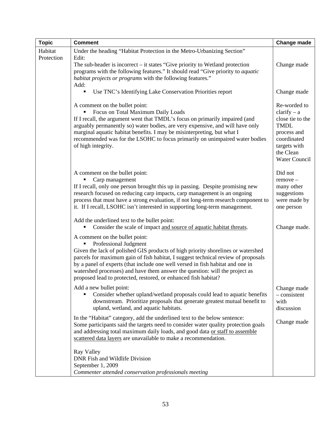| <b>Topic</b>          | <b>Comment</b>                                                                                                                                                                                                                                                                                                                                                                                                                                                       | <b>Change made</b>                                                                                                                                  |
|-----------------------|----------------------------------------------------------------------------------------------------------------------------------------------------------------------------------------------------------------------------------------------------------------------------------------------------------------------------------------------------------------------------------------------------------------------------------------------------------------------|-----------------------------------------------------------------------------------------------------------------------------------------------------|
| Habitat<br>Protection | Under the heading "Habitat Protection in the Metro-Urbanizing Section"<br>Edit:<br>The sub-header is incorrect – it states "Give priority to Wetland protection"<br>programs with the following features." It should read "Give priority to <i>aquatic</i><br>habitat projects or programs with the following features."<br>Add:                                                                                                                                     | Change made                                                                                                                                         |
|                       | Use TNC's Identifying Lake Conservation Priorities report                                                                                                                                                                                                                                                                                                                                                                                                            | Change made                                                                                                                                         |
|                       | A comment on the bullet point:<br>Focus on Total Maximum Daily Loads<br>If I recall, the argument went that TMDL's focus on primarily impaired (and<br>arguably permanently so) water bodies, are very expensive, and will have only<br>marginal aquatic habitat benefits. I may be misinterpreting, but what I<br>recommended was for the LSOHC to focus primarily on unimpaired water bodies<br>of high integrity.                                                 | Re-worded to<br>$clarity - a$<br>close tie to the<br><b>TMDL</b><br>process and<br>coordinated<br>targets with<br>the Clean<br><b>Water Council</b> |
|                       | A comment on the bullet point:<br>Carp management<br>If I recall, only one person brought this up in passing. Despite promising new<br>research focused on reducing carp impacts, carp management is an ongoing<br>process that must have a strong evaluation, if not long-term research component to<br>it. If I recall, LSOHC isn't interested in supporting long-term management.                                                                                 | Did not<br>$remove -$<br>many other<br>suggestions<br>were made by<br>one person                                                                    |
|                       | Add the underlined text to the bullet point:<br>Consider the scale of impact and source of aquatic habitat threats.                                                                                                                                                                                                                                                                                                                                                  | Change made.                                                                                                                                        |
|                       | A comment on the bullet point:<br>Professional Judgment<br>Given the lack of polished GIS products of high priority shorelines or watershed<br>parcels for maximum gain of fish habitat, I suggest technical review of proposals<br>by a panel of experts (that include one well versed in fish habitat and one in<br>watershed processes) and have them answer the question: will the project as<br>proposed lead to protected, restored, or enhanced fish habitat? |                                                                                                                                                     |
|                       | Add a new bullet point:<br>Consider whether upland/wetland proposals could lead to aquatic benefits<br>downstream. Prioritize proposals that generate greatest mutual benefit to<br>upland, wetland, and aquatic habitats.                                                                                                                                                                                                                                           | Change made<br>- consistent<br>with<br>discussion                                                                                                   |
|                       | In the "Habitat" category, add the underlined text to the below sentence:<br>Some participants said the targets need to consider water quality protection goals<br>and addressing total maximum daily loads, and good data or staff to assemble<br>scattered data layers are unavailable to make a recommendation.                                                                                                                                                   | Change made                                                                                                                                         |
|                       | Ray Valley<br>DNR Fish and Wildlife Division<br>September 1, 2009<br>Commenter attended conservation professionals meeting                                                                                                                                                                                                                                                                                                                                           |                                                                                                                                                     |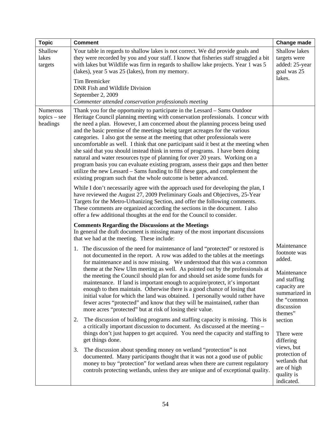| <b>Topic</b>                           | <b>Comment</b>                                                                                                                                                                                                                                                                                                                                                                                                                                                                                                                                                                                                                                                                                                                                                                                                                                                                                                                                                                                                                                                                                                                                                                                                                                                                                                                                                                                                                                                                                                                                                                                                                                                                                                                                                                                                                                                                                                                                                                                                                                                                                                                                                                                                                                                                                                                                                                                                                                                                                                                                                                                                                                                                                                                                                                                                                                                                                                                                                                                              | Change made                                                                                                                                                                                                                                                                    |
|----------------------------------------|-------------------------------------------------------------------------------------------------------------------------------------------------------------------------------------------------------------------------------------------------------------------------------------------------------------------------------------------------------------------------------------------------------------------------------------------------------------------------------------------------------------------------------------------------------------------------------------------------------------------------------------------------------------------------------------------------------------------------------------------------------------------------------------------------------------------------------------------------------------------------------------------------------------------------------------------------------------------------------------------------------------------------------------------------------------------------------------------------------------------------------------------------------------------------------------------------------------------------------------------------------------------------------------------------------------------------------------------------------------------------------------------------------------------------------------------------------------------------------------------------------------------------------------------------------------------------------------------------------------------------------------------------------------------------------------------------------------------------------------------------------------------------------------------------------------------------------------------------------------------------------------------------------------------------------------------------------------------------------------------------------------------------------------------------------------------------------------------------------------------------------------------------------------------------------------------------------------------------------------------------------------------------------------------------------------------------------------------------------------------------------------------------------------------------------------------------------------------------------------------------------------------------------------------------------------------------------------------------------------------------------------------------------------------------------------------------------------------------------------------------------------------------------------------------------------------------------------------------------------------------------------------------------------------------------------------------------------------------------------------------------------|--------------------------------------------------------------------------------------------------------------------------------------------------------------------------------------------------------------------------------------------------------------------------------|
| Shallow<br>lakes<br>targets            | Your table in regards to shallow lakes is not correct. We did provide goals and<br>they were recorded by you and your staff. I know that fisheries staff struggled a bit<br>with lakes but Wildlife was firm in regards to shallow lake projects. Year 1 was 5<br>(lakes), year 5 was 25 (lakes), from my memory.                                                                                                                                                                                                                                                                                                                                                                                                                                                                                                                                                                                                                                                                                                                                                                                                                                                                                                                                                                                                                                                                                                                                                                                                                                                                                                                                                                                                                                                                                                                                                                                                                                                                                                                                                                                                                                                                                                                                                                                                                                                                                                                                                                                                                                                                                                                                                                                                                                                                                                                                                                                                                                                                                           | Shallow lakes<br>targets were<br>added: 25-year<br>goal was 25<br>lakes.                                                                                                                                                                                                       |
|                                        | Tim Bremicker<br>DNR Fish and Wildlife Division<br>September 2, 2009                                                                                                                                                                                                                                                                                                                                                                                                                                                                                                                                                                                                                                                                                                                                                                                                                                                                                                                                                                                                                                                                                                                                                                                                                                                                                                                                                                                                                                                                                                                                                                                                                                                                                                                                                                                                                                                                                                                                                                                                                                                                                                                                                                                                                                                                                                                                                                                                                                                                                                                                                                                                                                                                                                                                                                                                                                                                                                                                        |                                                                                                                                                                                                                                                                                |
| Numerous<br>$topics - see$<br>headings | Commenter attended conservation professionals meeting<br>Thank you for the opportunity to participate in the Lessard – Sams Outdoor<br>Heritage Council planning meeting with conservation professionals. I concur with<br>the need a plan. However, I am concerned about the planning process being used<br>and the basic premise of the meetings being target acreages for the various<br>categories. I also got the sense at the meeting that other professionals were<br>uncomfortable as well. I think that one participant said it best at the meeting when<br>she said that you should instead think in terms of programs. I have been doing<br>natural and water resources type of planning for over 20 years. Working on a<br>program basis you can evaluate existing program, assess their gaps and then better<br>utilize the new Lessard – Sams funding to fill these gaps, and complement the<br>existing program such that the whole outcome is better advanced.<br>While I don't necessarily agree with the approach used for developing the plan, I<br>have reviewed the August 27, 2009 Preliminary Goals and Objectives, 25-Year<br>Targets for the Metro-Urbanizing Section, and offer the following comments.<br>These comments are organized according the sections in the document. I also<br>offer a few additional thoughts at the end for the Council to consider.<br><b>Comments Regarding the Discussions at the Meetings</b><br>In general the draft document is missing many of the most important discussions<br>that we had at the meeting. These include:<br>1. The discussion of the need for maintenance of land "protected" or restored is<br>not documented in the report. A row was added to the tables at the meetings<br>for maintenance and is now missing. We understood that this was a common<br>theme at the New Ulm meeting as well. As pointed out by the professionals at<br>the meeting the Council should plan for and should set aside some funds for<br>maintenance. If land is important enough to acquire/protect, it's important<br>enough to then maintain. Otherwise there is a good chance of losing that<br>initial value for which the land was obtained. I personally would rather have<br>fewer acres "protected" and know that they will be maintained, rather than<br>more acres "protected" but at risk of losing their value.<br>The discussion of building programs and staffing capacity is missing. This is<br>2.<br>a critically important discussion to document. As discussed at the meeting -<br>things don't just happen to get acquired. You need the capacity and staffing to<br>get things done.<br>The discussion about spending money on wetland "protection" is not<br>3.<br>documented. Many participants thought that it was not a good use of public<br>money to buy "protection" for wetland areas when there are current regulatory<br>controls protecting wetlands, unless they are unique and of exceptional quality. | Maintenance<br>footnote was<br>added.<br>Maintenance<br>and staffing<br>capacity are<br>summarized in<br>the "common<br>discussion<br>themes"<br>section<br>There were<br>differing<br>views, but<br>protection of<br>wetlands that<br>are of high<br>quality is<br>indicated. |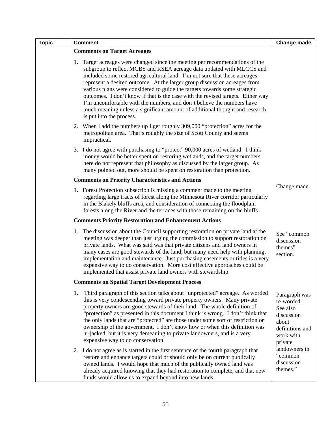| <b>Topic</b> | <b>Comment</b>                                                                                                                                                                                                                                                                                                                                                                                                                                                                                                                                                                                                                                                           |                                                                                                           |  |
|--------------|--------------------------------------------------------------------------------------------------------------------------------------------------------------------------------------------------------------------------------------------------------------------------------------------------------------------------------------------------------------------------------------------------------------------------------------------------------------------------------------------------------------------------------------------------------------------------------------------------------------------------------------------------------------------------|-----------------------------------------------------------------------------------------------------------|--|
|              | <b>Comments on Target Acreages</b>                                                                                                                                                                                                                                                                                                                                                                                                                                                                                                                                                                                                                                       |                                                                                                           |  |
|              | Target acreages were changed since the meeting per recommendations of the<br>1.<br>subgroup to reflect MCBS and RSEA acreage data updated with MLCCS and<br>included some restored agricultural land. I'm not sure that these acreages<br>represent a desired outcome. At the larger group discussion acreages from<br>various plans were considered to guide the targets towards some strategic<br>outcomes. I don't know if that is the case with the revised targets. Either way<br>I'm uncomfortable with the numbers, and don't believe the numbers have<br>much meaning unless a significant amount of additional thought and research<br>is put into the process. |                                                                                                           |  |
|              | 2. When I add the numbers up I get roughly 309,000 "protection" acres for the<br>metropolitan area. That's roughly the size of Scott County and seems<br>impractical.                                                                                                                                                                                                                                                                                                                                                                                                                                                                                                    |                                                                                                           |  |
|              | 3. I do not agree with purchasing to "protect" 90,000 acres of wetland. I think<br>money would be better spent on restoring wetlands, and the target numbers<br>here do not represent that philosophy as discussed by the larger group. As<br>many pointed out, more should be spent on restoration than protection.                                                                                                                                                                                                                                                                                                                                                     |                                                                                                           |  |
|              | <b>Comments on Priority Characteristics and Actions</b>                                                                                                                                                                                                                                                                                                                                                                                                                                                                                                                                                                                                                  |                                                                                                           |  |
|              | 1. Forest Protection subsection is missing a comment made to the meeting<br>regarding large tracts of forest along the Minnesota River corridor particularly<br>in the Blakely bluffs area, and consideration of connecting the floodplain<br>forests along the River and the terraces with those remaining on the bluffs.                                                                                                                                                                                                                                                                                                                                               | Change made.                                                                                              |  |
|              | <b>Comments Priority Restoration and Enhancement Actions</b>                                                                                                                                                                                                                                                                                                                                                                                                                                                                                                                                                                                                             |                                                                                                           |  |
|              | 1. The discussion about the Council supporting restoration on private land at the<br>meeting was deeper than just urging the commission to support restoration on<br>private lands. What was said was that private citizens and land owners in<br>many cases are good stewards of the land, but many need help with planning,<br>implementation and maintenance. Just purchasing easements or titles is a very<br>expensive way to do conservation. More cost effective approaches could be<br>implemented that assist private land owners with stewardship.                                                                                                             | See "common<br>discussion<br>themes"<br>section.                                                          |  |
|              | <b>Comments on Spatial Target Development Process</b>                                                                                                                                                                                                                                                                                                                                                                                                                                                                                                                                                                                                                    |                                                                                                           |  |
|              | Third paragraph of this section talks about "unprotected" acreage. As worded<br>1.<br>this is very condescending toward private property owners. Many private<br>property owners are good stewards of their land. The whole definition of<br>"protection" as presented in this document I think is wrong. I don't think that<br>the only lands that are "protected" are those under some sort of restriction or<br>ownership of the government. I don't know how or when this definition was<br>hi-jacked, but it is very demeaning to private landowners, and is a very<br>expensive way to do conservation.                                                            | Paragraph was<br>re-worded.<br>See also<br>discussion<br>about<br>definitions and<br>work with<br>private |  |
|              | 2. I do not agree as is started in the first sentence of the fourth paragraph that<br>restore and enhance targets could or should only be on current publically<br>owned lands. I would hope that much of the publically owned land was<br>already acquired knowing that they had restoration to complete, and that new<br>funds would allow us to expand beyond into new lands.                                                                                                                                                                                                                                                                                         | landowners in<br>"common<br>discussion<br>themes."                                                        |  |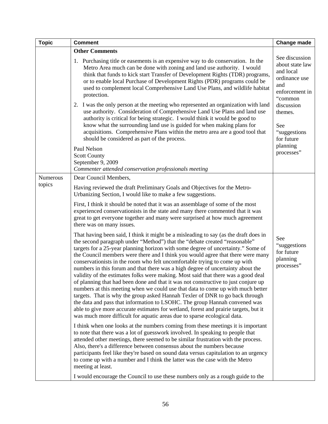| <b>Topic</b>       | <b>Comment</b>                                                                                                                                                                                                                                                                                                                                                                                                                                                                                                                                                                                                                                                                                                                                                                                                                                                                                                                                                                                                                                                                                                                                                                                                                                                                                                                                                                                                                                                                                                                                                                                                                                                                                                                                                                                                                                                                                                                                                                                                                                                                                                                                                                        | Change made                                                                                                                         |
|--------------------|---------------------------------------------------------------------------------------------------------------------------------------------------------------------------------------------------------------------------------------------------------------------------------------------------------------------------------------------------------------------------------------------------------------------------------------------------------------------------------------------------------------------------------------------------------------------------------------------------------------------------------------------------------------------------------------------------------------------------------------------------------------------------------------------------------------------------------------------------------------------------------------------------------------------------------------------------------------------------------------------------------------------------------------------------------------------------------------------------------------------------------------------------------------------------------------------------------------------------------------------------------------------------------------------------------------------------------------------------------------------------------------------------------------------------------------------------------------------------------------------------------------------------------------------------------------------------------------------------------------------------------------------------------------------------------------------------------------------------------------------------------------------------------------------------------------------------------------------------------------------------------------------------------------------------------------------------------------------------------------------------------------------------------------------------------------------------------------------------------------------------------------------------------------------------------------|-------------------------------------------------------------------------------------------------------------------------------------|
|                    | <b>Other Comments</b><br>1. Purchasing title or easements is an expensive way to do conservation. In the<br>Metro Area much can be done with zoning and land use authority. I would<br>think that funds to kick start Transfer of Development Rights (TDR) programs,<br>or to enable local Purchase of Development Rights (PDR) programs could be<br>used to complement local Comprehensive Land Use Plans, and wildlife habitat<br>protection.<br>2. I was the only person at the meeting who represented an organization with land<br>use authority. Consideration of Comprehensive Land Use Plans and land use<br>authority is critical for being strategic. I would think it would be good to<br>know what the surrounding land use is guided for when making plans for                                                                                                                                                                                                                                                                                                                                                                                                                                                                                                                                                                                                                                                                                                                                                                                                                                                                                                                                                                                                                                                                                                                                                                                                                                                                                                                                                                                                           | See discussion<br>about state law<br>and local<br>ordinance use<br>and<br>enforcement in<br>"common<br>discussion<br>themes.<br>See |
|                    | acquisitions. Comprehensive Plans within the metro area are a good tool that<br>should be considered as part of the process.<br>Paul Nelson<br><b>Scott County</b><br>September 9, 2009<br>Commenter attended conservation professionals meeting                                                                                                                                                                                                                                                                                                                                                                                                                                                                                                                                                                                                                                                                                                                                                                                                                                                                                                                                                                                                                                                                                                                                                                                                                                                                                                                                                                                                                                                                                                                                                                                                                                                                                                                                                                                                                                                                                                                                      | "suggestions"<br>for future<br>planning<br>processes"                                                                               |
| Numerous<br>topics | Dear Council Members,<br>Having reviewed the draft Preliminary Goals and Objectives for the Metro-<br>Urbanizing Section, I would like to make a few suggestions.<br>First, I think it should be noted that it was an assemblage of some of the most<br>experienced conservationists in the state and many there commented that it was<br>great to get everyone together and many were surprised at how much agreement<br>there was on many issues.<br>That having been said, I think it might be a misleading to say (as the draft does in<br>the second paragraph under "Method") that the "debate created "reasonable"<br>targets for a 25-year planning horizon with some degree of uncertainty." Some of<br>the Council members were there and I think you would agree that there were many<br>conservationists in the room who felt uncomfortable trying to come up with<br>numbers in this forum and that there was a high degree of uncertainty about the<br>validity of the estimates folks were making. Most said that there was a good deal<br>of planning that had been done and that it was not constructive to just conjure up<br>numbers at this meeting when we could use that data to come up with much better<br>targets. That is why the group asked Hannah Texler of DNR to go back through<br>the data and pass that information to LSOHC. The group Hannah convened was<br>able to give more accurate estimates for wetland, forest and prairie targets, but it<br>was much more difficult for aquatic areas due to sparse ecological data.<br>I think when one looks at the numbers coming from these meetings it is important<br>to note that there was a lot of guesswork involved. In speaking to people that<br>attended other meetings, there seemed to be similar frustration with the process.<br>Also, there's a difference between consensus about the numbers because<br>participants feel like they're based on sound data versus capitulation to an urgency<br>to come up with a number and I think the latter was the case with the Metro<br>meeting at least.<br>I would encourage the Council to use these numbers only as a rough guide to the | See<br>"suggestions<br>for future<br>planning<br>processes"                                                                         |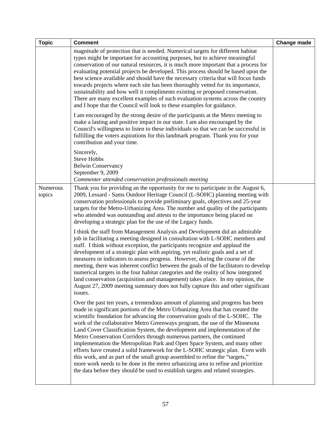| <b>Topic</b>       | <b>Comment</b>                                                                                                                                                                                                                                                                                                                                                                                                                                                                                                                                                                                                                                                                                                                                                                                                                                                                                                    | Change made |
|--------------------|-------------------------------------------------------------------------------------------------------------------------------------------------------------------------------------------------------------------------------------------------------------------------------------------------------------------------------------------------------------------------------------------------------------------------------------------------------------------------------------------------------------------------------------------------------------------------------------------------------------------------------------------------------------------------------------------------------------------------------------------------------------------------------------------------------------------------------------------------------------------------------------------------------------------|-------------|
|                    | magnitude of protection that is needed. Numerical targets for different habitat<br>types might be important for accounting purposes, but to achieve meaningful<br>conservation of our natural resources, it is much more important that a process for<br>evaluating potential projects be developed. This process should be based upon the<br>best science available and should have the necessary criteria that will focus funds<br>towards projects where each site has been thoroughly vetted for its importance,<br>sustainability and how well it compliments existing or proposed conservation.<br>There are many excellent examples of such evaluation systems across the country<br>and I hope that the Council will look to these examples for guidance.                                                                                                                                                 |             |
|                    | I am encouraged by the strong desire of the participants at the Metro meeting to<br>make a lasting and positive impact in our state. I am also encouraged by the<br>Council's willingness to listen to these individuals so that we can be successful in<br>fulfilling the voters aspirations for this landmark program. Thank you for your<br>contribution and your time.                                                                                                                                                                                                                                                                                                                                                                                                                                                                                                                                        |             |
|                    | Sincerely,<br><b>Steve Hobbs</b><br><b>Belwin Conservancy</b><br>September 9, 2009<br>Commenter attended conservation professionals meeting                                                                                                                                                                                                                                                                                                                                                                                                                                                                                                                                                                                                                                                                                                                                                                       |             |
| Numerous<br>topics | Thank you for providing an the opportunity for me to participate in the August 6,<br>2009, Lessard - Sams Outdoor Heritage Council (L-SOHC) planning meeting with<br>conservation professionals to provide preliminary goals, objectives and 25-year<br>targets for the Metro-Urbanizing Area. The number and quality of the participants<br>who attended was outstanding and attests to the importance being placed on<br>developing a strategic plan for the use of the Legacy funds.                                                                                                                                                                                                                                                                                                                                                                                                                           |             |
|                    | I think the staff from Management Analysis and Development did an admirable<br>job in facilitating a meeting designed in consultation with L-SOHC members and<br>staff. I think without exception, the participants recognize and applaud the<br>development of a strategic plan with aspiring, yet realistic goals and a set of<br>measures or indicators to assess progress. However, during the course of the<br>meeting, there was inherent conflict between the goals of the facilitators to develop<br>numerical targets in the four habitat categories and the reality of how integrated<br>land conservation (acquisition and management) takes place. In my opinion, the<br>August 27, 2009 meeting summary does not fully capture this and other significant<br>issues.                                                                                                                                 |             |
|                    | Over the past ten years, a tremendous amount of planning and progress has been<br>made in significant portions of the Metro Urbanizing Area that has created the<br>scientific foundation for advancing the conservation goals of the L-SOHC. The<br>work of the collaborative Metro Greenways program, the use of the Minnesota<br>Land Cover Classification System, the development and implementation of the<br>Metro Conservation Corridors through numerous partners, the continued<br>implementation the Metropolitan Park and Open Space System, and many other<br>efforts have created a solid framework for the L-SOHC strategic plan. Even with<br>this work, and as part of the small group assembled to refine the "targets,"<br>more work needs to be done in the metro urbanizing area to refine and prioritize<br>the data before they should be used to establish targets and related strategies. |             |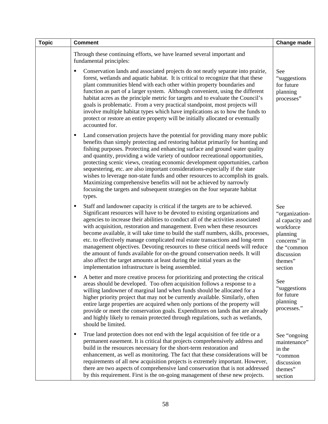| <b>Topic</b> | <b>Comment</b>                                                                                                                                                                                                                                                                                                                                                                                                                                                                                                                                                                                                                                                                                                                                                                                        | <b>Change made</b>                                                                                                                   |
|--------------|-------------------------------------------------------------------------------------------------------------------------------------------------------------------------------------------------------------------------------------------------------------------------------------------------------------------------------------------------------------------------------------------------------------------------------------------------------------------------------------------------------------------------------------------------------------------------------------------------------------------------------------------------------------------------------------------------------------------------------------------------------------------------------------------------------|--------------------------------------------------------------------------------------------------------------------------------------|
|              | Through these continuing efforts, we have learned several important and<br>fundamental principles:                                                                                                                                                                                                                                                                                                                                                                                                                                                                                                                                                                                                                                                                                                    |                                                                                                                                      |
|              | Conservation lands and associated projects do not neatly separate into prairie,<br>٠<br>forest, wetlands and aquatic habitat. It is critical to recognize that that these<br>plant communities blend with each other within property boundaries and<br>function as part of a larger system. Although convenient, using the different<br>habitat acres as the principle metric for targets and to evaluate the Council's<br>goals is problematic. From a very practical standpoint, most projects will<br>involve multiple habitat types which have implications as to how the funds to<br>protect or restore an entire property will be initially allocated or eventually<br>accounted for.                                                                                                           | See<br>"suggestions"<br>for future<br>planning<br>processes"                                                                         |
|              | Land conservation projects have the potential for providing many more public<br>п<br>benefits than simply protecting and restoring habitat primarily for hunting and<br>fishing purposes. Protecting and enhancing surface and ground water quality<br>and quantity, providing a wide variety of outdoor recreational opportunities,<br>protecting scenic views, creating economic development opportunities, carbon<br>sequestering, etc. are also important considerations-especially if the state<br>wishes to leverage non-state funds and other resources to accomplish its goals.<br>Maximizing comprehensive benefits will not be achieved by narrowly<br>focusing the targets and subsequent strategies on the four separate habitat<br>types.                                                |                                                                                                                                      |
|              | Staff and landowner capacity is critical if the targets are to be achieved.<br>٠<br>Significant resources will have to be devoted to existing organizations and<br>agencies to increase their abilities to conduct all of the activities associated<br>with acquisition, restoration and management. Even when these resources<br>become available, it will take time to build the staff numbers, skills, processes,<br>etc. to effectively manage complicated real estate transactions and long-term<br>management objectives. Devoting resources to these critical needs will reduce<br>the amount of funds available for on-the ground conservation needs. It will<br>also affect the target amounts at least during the initial years as the<br>implementation infrastructure is being assembled. | See<br>"organization-<br>al capacity and<br>workforce<br>planning<br>concerns" in<br>the "common<br>discussion<br>themes"<br>section |
|              | A better and more creative process for prioritizing and protecting the critical<br>areas should be developed. Too often acquisition follows a response to a<br>willing landowner of marginal land when funds should be allocated for a<br>higher priority project that may not be currently available. Similarly, often<br>entire large properties are acquired when only portions of the property will<br>provide or meet the conservation goals. Expenditures on lands that are already<br>and highly likely to remain protected through regulations, such as wetlands,<br>should be limited.                                                                                                                                                                                                       | See<br>"suggestions<br>for future<br>planning<br>processes."                                                                         |
|              | True land protection does not end with the legal acquisition of fee title or a<br>٠<br>permanent easement. It is critical that projects comprehensively address and<br>build in the resources necessary for the short-term restoration and<br>enhancement, as well as monitoring. The fact that these considerations will be<br>requirements of all new acquisition projects is extremely important. However,<br>there are two aspects of comprehensive land conservation that is not addressed<br>by this requirement. First is the on-going management of these new projects.                                                                                                                                                                                                                       | See "ongoing<br>maintenance"<br>in the<br>"common<br>discussion<br>themes"<br>section                                                |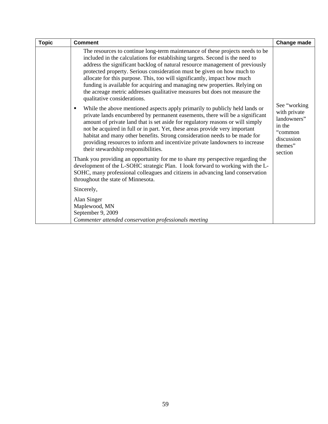| <b>Topic</b> | <b>Comment</b>                                                                                                                                                                                                                                                                                                                                                                                                                                                                                                                                                                                                                                                                                                                                                                                                                                                                                                                                                                                                                                                                                                                                                                                                                                                                                                                                                                                                                                  | Change made                                                                                          |
|--------------|-------------------------------------------------------------------------------------------------------------------------------------------------------------------------------------------------------------------------------------------------------------------------------------------------------------------------------------------------------------------------------------------------------------------------------------------------------------------------------------------------------------------------------------------------------------------------------------------------------------------------------------------------------------------------------------------------------------------------------------------------------------------------------------------------------------------------------------------------------------------------------------------------------------------------------------------------------------------------------------------------------------------------------------------------------------------------------------------------------------------------------------------------------------------------------------------------------------------------------------------------------------------------------------------------------------------------------------------------------------------------------------------------------------------------------------------------|------------------------------------------------------------------------------------------------------|
|              | The resources to continue long-term maintenance of these projects needs to be<br>included in the calculations for establishing targets. Second is the need to<br>address the significant backlog of natural resource management of previously<br>protected property. Serious consideration must be given on how much to<br>allocate for this purpose. This, too will significantly, impact how much<br>funding is available for acquiring and managing new properties. Relying on<br>the acreage metric addresses qualitative measures but does not measure the<br>qualitative considerations.<br>While the above mentioned aspects apply primarily to publicly held lands or<br>private lands encumbered by permanent easements, there will be a significant<br>amount of private land that is set aside for regulatory reasons or will simply<br>not be acquired in full or in part. Yet, these areas provide very important<br>habitat and many other benefits. Strong consideration needs to be made for<br>providing resources to inform and incentivize private landowners to increase<br>their stewardship responsibilities.<br>Thank you providing an opportunity for me to share my perspective regarding the<br>development of the L-SOHC strategic Plan. I look forward to working with the L-<br>SOHC, many professional colleagues and citizens in advancing land conservation<br>throughout the state of Minnesota.<br>Sincerely, | See "working<br>with private<br>landowners"<br>in the<br>"common<br>discussion<br>themes"<br>section |
|              | Alan Singer<br>Maplewood, MN<br>September 9, 2009<br>Commenter attended conservation professionals meeting                                                                                                                                                                                                                                                                                                                                                                                                                                                                                                                                                                                                                                                                                                                                                                                                                                                                                                                                                                                                                                                                                                                                                                                                                                                                                                                                      |                                                                                                      |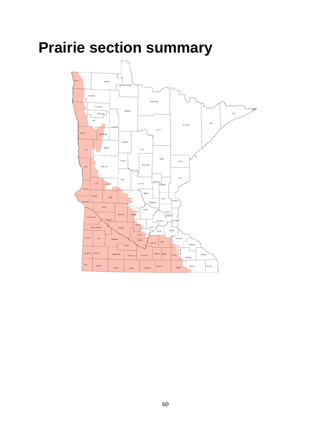# **Prairie section summary**

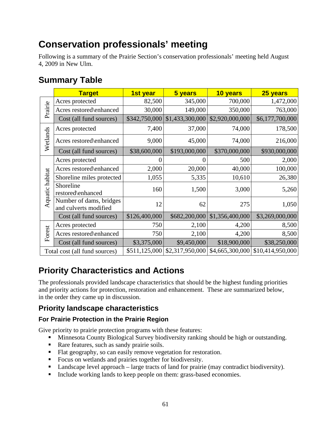# **Conservation professionals' meeting**

Following is a summary of the Prairie Section's conservation professionals' meeting held August 4, 2009 in New Ulm.

## **Summary Table**

|                 | <b>Target</b>                                    | 1st year      | 5 years         | 10 years        | 25 years         |
|-----------------|--------------------------------------------------|---------------|-----------------|-----------------|------------------|
|                 | Acres protected                                  | 82,500        | 345,000         | 700,000         | 1,472,000        |
| Prairie         | Acres restored\enhanced                          | 30,000        | 149,000         | 350,000         | 763,000          |
|                 | Cost (all fund sources)                          | \$342,750,000 | \$1,433,300,000 | \$2,920,000,000 | \$6,177,700,000  |
|                 | Acres protected                                  | 7,400         | 37,000          | 74,000          | 178,500          |
| Wetlands        | Acres restored\enhanced                          | 9,000         | 45,000          | 74,000          | 216,000          |
|                 | Cost (all fund sources)                          | \$38,600,000  | \$193,000,000   | \$370,000,000   | \$930,000,000    |
|                 | Acres protected                                  |               |                 | 500             | 2,000            |
|                 | Acres restored\enhanced                          | 2,000         | 20,000          | 40,000          | 100,000          |
| Aquatic habitat | Shoreline miles protected                        | 1,055         | 5,335           | 10,610          | 26,380           |
|                 | Shoreline<br>restored\enhanced                   | 160           | 1,500           | 3,000           | 5,260            |
|                 | Number of dams, bridges<br>and culverts modified | 12            | 62              | 275             | 1,050            |
|                 | Cost (all fund sources)                          | \$126,400,000 | \$682,200,000   | \$1,356,400,000 | \$3,269,000,000  |
|                 | Acres protected                                  | 750           | 2,100           | 4,200           | 8,500            |
| Forest          | Acres restored\enhanced                          | 750           | 2,100           | 4,200           | 8,500            |
|                 | Cost (all fund sources)                          | \$3,375,000   | \$9,450,000     | \$18,900,000    | \$38,250,000     |
|                 | Total cost (all fund sources)                    | \$511,125,000 | \$2,317,950,000 | \$4,665,300,000 | \$10,414,950,000 |

# **Priority Characteristics and Actions**

The professionals provided landscape characteristics that should be the highest funding priorities and priority actions for protection, restoration and enhancement. These are summarized below, in the order they came up in discussion.

### **Priority landscape characteristics**

### **For Prairie Protection in the Prairie Region**

Give priority to prairie protection programs with these features:

- **Minnesota County Biological Survey biodiversity ranking should be high or outstanding.**
- Rare features, such as sandy prairie soils.
- Flat geography, so can easily remove vegetation for restoration.
- Focus on wetlands and prairies together for biodiversity.
- Landscape level approach large tracts of land for prairie (may contradict biodiversity).
- Include working lands to keep people on them: grass-based economies.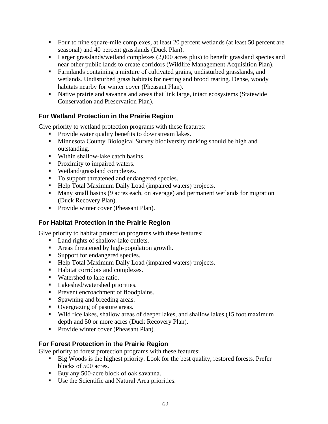- Four to nine square-mile complexes, at least 20 percent wetlands (at least 50 percent are seasonal) and 40 percent grasslands (Duck Plan).
- **Larger grasslands/wetland complexes (2,000 acres plus) to benefit grassland species and** near other public lands to create corridors (Wildlife Management Acquisition Plan).
- Farmlands containing a mixture of cultivated grains, undisturbed grasslands, and wetlands. Undisturbed grass habitats for nesting and brood rearing. Dense, woody habitats nearby for winter cover (Pheasant Plan).
- Native prairie and savanna and areas that link large, intact ecosystems (Statewide Conservation and Preservation Plan).

### **For Wetland Protection in the Prairie Region**

Give priority to wetland protection programs with these features:

- **Provide water quality benefits to downstream lakes.**
- **Minnesota County Biological Survey biodiversity ranking should be high and** outstanding.
- Within shallow-lake catch basins.
- Proximity to impaired waters.
- Wetland/grassland complexes.
- To support threatened and endangered species.
- Help Total Maximum Daily Load (impaired waters) projects.
- Many small basins (9 acres each, on average) and permanent wetlands for migration (Duck Recovery Plan).
- Provide winter cover (Pheasant Plan).

### **For Habitat Protection in the Prairie Region**

Give priority to habitat protection programs with these features:

- Land rights of shallow-lake outlets.
- Areas threatened by high-population growth.
- Support for endangered species.
- Help Total Maximum Daily Load (impaired waters) projects.
- Habitat corridors and complexes.
- Watershed to lake ratio.
- Lakeshed/watershed priorities.
- **Prevent encroachment of floodplains.**
- **Spawning and breeding areas.**
- Overgrazing of pasture areas.
- Wild rice lakes, shallow areas of deeper lakes, and shallow lakes (15 foot maximum depth and 50 or more acres (Duck Recovery Plan).
- Provide winter cover (Pheasant Plan).

### **For Forest Protection in the Prairie Region**

Give priority to forest protection programs with these features:

- Big Woods is the highest priority. Look for the best quality, restored forests. Prefer blocks of 500 acres.
- Buy any 500-acre block of oak savanna.
- Use the Scientific and Natural Area priorities.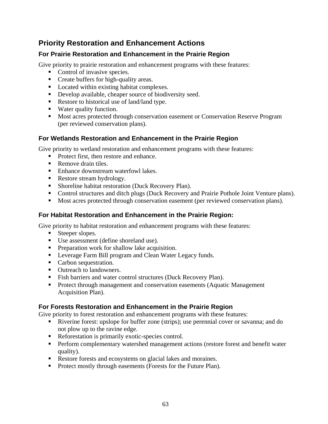### **Priority Restoration and Enhancement Actions**

### **For Prairie Restoration and Enhancement in the Prairie Region**

Give priority to prairie restoration and enhancement programs with these features:

- Control of invasive species.
- **Create buffers for high-quality areas.**
- Located within existing habitat complexes.
- Develop available, cheaper source of biodiversity seed.
- Restore to historical use of land/land type.
- Water quality function.
- **Most acres protected through conservation easement or Conservation Reserve Program** (per reviewed conservation plans).

### **For Wetlands Restoration and Enhancement in the Prairie Region**

Give priority to wetland restoration and enhancement programs with these features:

- Protect first, then restore and enhance.
- Remove drain tiles.
- Enhance downstream waterfowl lakes.
- Restore stream hydrology.
- **Shoreline habitat restoration (Duck Recovery Plan).**
- Control structures and ditch plugs (Duck Recovery and Prairie Pothole Joint Venture plans).
- Most acres protected through conservation easement (per reviewed conservation plans).

### **For Habitat Restoration and Enhancement in the Prairie Region:**

Give priority to habitat restoration and enhancement programs with these features:

- Steeper slopes.
- Use assessment (define shoreland use).
- **Preparation work for shallow lake acquisition.**
- **Leverage Farm Bill program and Clean Water Legacy funds.**
- Carbon sequestration.
- Outreach to landowners.
- Fish barriers and water control structures (Duck Recovery Plan).
- **Protect through management and conservation easements (Aquatic Management** Acquisition Plan).

### **For Forests Restoration and Enhancement in the Prairie Region**

Give priority to forest restoration and enhancement programs with these features:

- Riverine forest: upslope for buffer zone (strips); use perennial cover or savanna; and do not plow up to the ravine edge.
- Reforestation is primarily exotic-species control.
- **Perform complementary watershed management actions (restore forest and benefit water** quality).
- Restore forests and ecosystems on glacial lakes and moraines.
- **Protect mostly through easements (Forests for the Future Plan).**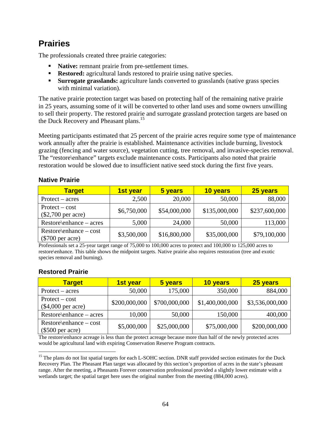# **Prairies**

The professionals created three prairie categories:

- **Native:** remnant prairie from pre-settlement times.
- **Restored:** agricultural lands restored to prairie using native species.
- **Surrogate grasslands:** agriculture lands converted to grasslands (native grass species with minimal variation).

The native prairie protection target was based on protecting half of the remaining native prairie in 25 years, assuming some of it will be converted to other land uses and some owners unwilling to sell their property. The restored prairie and surrogate grassland protection targets are based on the Duck Recovery and Pheasant plans.<sup>15</sup>

Meeting participants estimated that 25 percent of the prairie acres require some type of maintenance work annually after the prairie is established. Maintenance activities include burning, livestock grazing (fencing and water source), vegetation cutting, tree removal, and invasive-species removal. The "restore\enhance" targets exclude maintenance costs. Participants also noted that prairie restoration would be slowed due to insufficient native seed stock during the first five years.

### **Native Prairie**

| <b>Target</b>                                   | 1st year    | 5 years      | 10 years      | 25 years      |
|-------------------------------------------------|-------------|--------------|---------------|---------------|
| $Protext - acres$                               | 2,500       | 20,000       | 50,000        | 88,000        |
| $Protext - cost$<br>$(\$2,700$ per acre)        | \$6,750,000 | \$54,000,000 | \$135,000,000 | \$237,600,000 |
| $Restore\$ enhance – acres                      | 5,000       | 24,000       | 50,000        | 113,000       |
| $Restore\$ enhance – cost<br>$(\$700$ per acre) | \$3,500,000 | \$16,800,000 | \$35,000,000  | \$79,100,000  |

Professionals set a 25-year target range of 75,000 to 100,000 acres to protect and 100,000 to 125,000 acres to restore\enhance. This table shows the midpoint targets. Native prairie also requires restoration (tree and exotic species removal and burning).

#### **Restored Prairie**

 $\overline{a}$ 

| <b>Target</b>                                   | 1st year      | 5 years       | 10 years        | 25 years        |
|-------------------------------------------------|---------------|---------------|-----------------|-----------------|
| $Protext - acres$                               | 50,000        | 175,000       | 350,000         | 884,000         |
| $Protext - cost$<br>$(\$4,000$ per acre)        | \$200,000,000 | \$700,000,000 | \$1,400,000,000 | \$3,536,000,000 |
| $Restore\$ enhance – acres                      | 10,000        | 50,000        | 150,000         | 400,000         |
| $Restore\$ enhance – cost<br>$(\$500$ per acre) | \$5,000,000   | \$25,000,000  | \$75,000,000    | \$200,000,000   |

The restore\enhance acreage is less than the protect acreage because more than half of the newly protected acres would be agricultural land with expiring Conservation Reserve Program contracts.

<sup>&</sup>lt;sup>15</sup> The plans do not list spatial targets for each L-SOHC section. DNR staff provided section estimates for the Duck Recovery Plan. The Pheasant Plan target was allocated by this section's proportion of acres in the state's pheasant range. After the meeting, a Pheasants Forever conservation professional provided a slightly lower estimate with a wetlands target; the spatial target here uses the original number from the meeting (884,000 acres).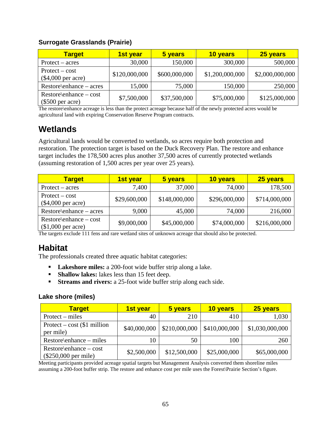#### **Surrogate Grasslands (Prairie)**

| <b>Target</b>                                   | <b>1st year</b> | 5 years       | 10 years        | 25 years        |
|-------------------------------------------------|-----------------|---------------|-----------------|-----------------|
| $Protext - acres$                               | 30,000          | 150,000       | 300,000         | 500,000         |
| $Protext - cost$<br>$(\$4,000$ per acre)        | \$120,000,000   | \$600,000,000 | \$1,200,000,000 | \$2,000,000,000 |
| $Restore\$ enhance – acres                      | 15,000          | 75,000        | 150,000         | 250,000         |
| $Restore\$ enhance – cost<br>$(\$500$ per acre) | \$7,500,000     | \$37,500,000  | \$75,000,000    | \$125,000,000   |

The restore\enhance acreage is less than the protect acreage because half of the newly protected acres would be agricultural land with expiring Conservation Reserve Program contracts.

### **Wetlands**

Agricultural lands would be converted to wetlands, so acres require both protection and restoration. The protection target is based on the Duck Recovery Plan. The restore and enhance target includes the 178,500 acres plus another 37,500 acres of currently protected wetlands (assuming restoration of 1,500 acres per year over 25 years).

| <b>Target</b>                                   | <b>1st year</b> | 5 years       | 10 years      | 25 years      |
|-------------------------------------------------|-----------------|---------------|---------------|---------------|
| $Protext - acres$                               | 7,400           | 37,000        | 74,000        | 178,500       |
| $Protext - cost$<br>$(\$4,000$ per acre)        | \$29,600,000    | \$148,000,000 | \$296,000,000 | \$714,000,000 |
| $Restore\$ enhance – acres                      | 9,000           | 45,000        | 74,000        | 216,000       |
| $Restore\$ enhance – cost<br>$$1,000$ per acre) | \$9,000,000     | \$45,000,000  | \$74,000,000  | \$216,000,000 |

The targets exclude 111 fens and rare wetland sites of unknown acreage that should also be protected.

### **Habitat**

The professionals created three aquatic habitat categories:

- **Lakeshore miles:** a 200-foot wide buffer strip along a lake.
- **Shallow lakes:** lakes less than 15 feet deep.
- **Streams and rivers:** a 25-foot wide buffer strip along each side.

#### **Lake shore (miles)**

| <b>Target</b>                                       | 1st year     | 5 years       | 10 years      | 25 years        |
|-----------------------------------------------------|--------------|---------------|---------------|-----------------|
| $Protext - miles$                                   | 40           | 210           | 410           | 1,030           |
| Protect – cost $\$1$ million<br>per mile)           | \$40,000,000 | \$210,000,000 | \$410,000,000 | \$1,030,000,000 |
| $Restore\$ enhance – miles                          | 10           | 50            | 100           | 260             |
| $Restore\$ enhance – cost<br>$(\$250,000$ per mile) | \$2,500,000  | \$12,500,000  | \$25,000,000  | \$65,000,000    |

Meeting participants provided acreage spatial targets but Management Analysis converted them shoreline miles assuming a 200-foot buffer strip. The restore and enhance cost per mile uses the Forest\Prairie Section's figure.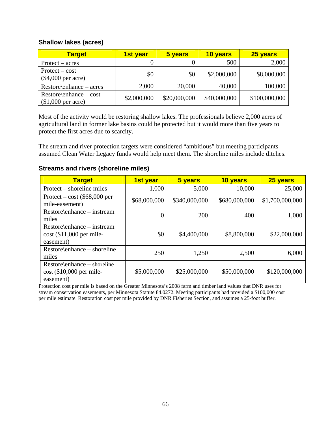#### **Shallow lakes (acres)**

| <b>Target</b>                                   | <u>1st year</u> | 5 years      | 10 years     | 25 years      |
|-------------------------------------------------|-----------------|--------------|--------------|---------------|
| $Protext - acres$                               |                 |              | 500          | 2,000         |
| $Protext - cost$<br>$(\$4,000$ per acre)        | \$0             | \$0          | \$2,000,000  | \$8,000,000   |
| $Restore\$ enhance – acres                      | 2,000           | 20,000       | 40,000       | 100,000       |
| $Restore\$ enhance – cost<br>$$1,000$ per acre) | \$2,000,000     | \$20,000,000 | \$40,000,000 | \$100,000,000 |

Most of the activity would be restoring shallow lakes. The professionals believe 2,000 acres of agricultural land in former lake basins could be protected but it would more than five years to protect the first acres due to scarcity.

The stream and river protection targets were considered "ambitious" but meeting participants assumed Clean Water Legacy funds would help meet them. The shoreline miles include ditches.

#### **Target 1st year 5 years 10 years 25 years** Protect – shoreline miles  $1,000$  5,000 10,000 25,000 Protect – cost (\$68,000 per mile-easement) \$68,000,000 \$340,000,000 \$680,000,000 \$1,700,000,000 \$1,700,000,000 \$1,700,000,000 \$1,700,000,000 Restore\enhance – instream  $miles$  1,000  $\frac{1}{200}$  200  $\frac{400}{1,000}$  1,000 Restore\enhance – instream cost (\$11,000 per mileeasement)  $$0 \mid$  \$4,400,000 \$8,800,000 \$22,000,000 Restore\enhance – shoreline miles  $250 \begin{vmatrix} 250 \end{vmatrix}$   $1,250 \begin{vmatrix} 2,500 \end{vmatrix}$   $6,000$ Restore\enhance – shoreline cost (\$10,000 per mileeasement)  $$5,000,000$   $$25,000,000$   $$50,000,000$   $$120,000,000$

### **Streams and rivers (shoreline miles)**

Protection cost per mile is based on the Greater Minnesota's 2008 farm and timber land values that DNR uses for stream conservation easements, per Minnesota Statute 84.0272. Meeting participants had provided a \$100,000 cost per mile estimate. Restoration cost per mile provided by DNR Fisheries Section, and assumes a 25-foot buffer.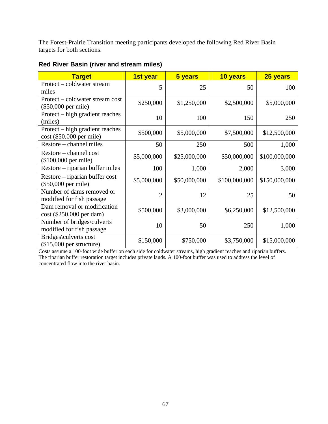The Forest-Prairie Transition meeting participants developed the following Red River Basin targets for both sections.

| <b>Target</b>                                                 | 1st year       | 5 years      | 10 years      | 25 years      |
|---------------------------------------------------------------|----------------|--------------|---------------|---------------|
| Protect – coldwater stream<br>miles                           | 5              | 25           | 50            | 100           |
| Protect – coldwater stream cost<br>(\$50,000 per mile)        | \$250,000      | \$1,250,000  | \$2,500,000   | \$5,000,000   |
| Protect – high gradient reaches<br>(miles)                    | 10             | 100          | 150           | 250           |
| Protect – high gradient reaches<br>$cost$ (\$50,000 per mile) | \$500,000      | \$5,000,000  | \$7,500,000   | \$12,500,000  |
| Restore – channel miles                                       | 50             | 250          | 500           | 1,000         |
| Restore – channel cost<br>(\$100,000 per mile)                | \$5,000,000    | \$25,000,000 | \$50,000,000  | \$100,000,000 |
| Restore – riparian buffer miles                               | 100            | 1,000        | 2,000         | 3,000         |
| Restore – riparian buffer cost<br>$($50,000$ per mile)        | \$5,000,000    | \$50,000,000 | \$100,000,000 | \$150,000,000 |
| Number of dams removed or<br>modified for fish passage        | $\overline{2}$ | 12           | 25            | 50            |
| Dam removal or modification<br>cost (\$250,000 per dam)       | \$500,000      | \$3,000,000  | \$6,250,000   | \$12,500,000  |
| Number of bridges\culverts<br>modified for fish passage       | 10             | 50           | 250           | 1,000         |
| Bridges\culverts cost<br>$($15,000$ per structure)            | \$150,000      | \$750,000    | \$3,750,000   | \$15,000,000  |

### **Red River Basin (river and stream miles)**

Costs assume a 100-foot wide buffer on each side for coldwater streams, high gradient reaches and riparian buffers. The riparian buffer restoration target includes private lands. A 100-foot buffer was used to address the level of concentrated flow into the river basin.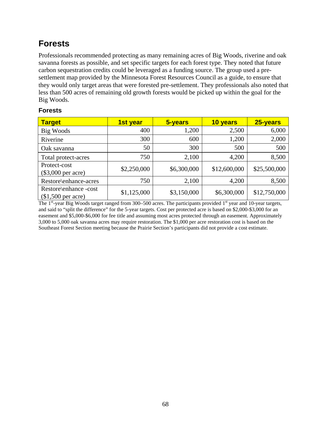# **Forests**

Professionals recommended protecting as many remaining acres of Big Woods, riverine and oak savanna forests as possible, and set specific targets for each forest type. They noted that future carbon sequestration credits could be leveraged as a funding source. The group used a presettlement map provided by the Minnesota Forest Resources Council as a guide, to ensure that they would only target areas that were forested pre-settlement. They professionals also noted that less than 500 acres of remaining old growth forests would be picked up within the goal for the Big Woods.

### **Forests**

| <b>Target</b>                               | 1st year    | 5-years     | 10 years     | 25-years     |
|---------------------------------------------|-------------|-------------|--------------|--------------|
| Big Woods                                   | 400         | 1,200       | 2,500        | 6,000        |
| Riverine                                    | 300         | 600         | 1,200        | 2,000        |
| Oak savanna                                 | 50          | 300         | 500          | 500          |
| Total protect-acres                         | 750         | 2,100       | 4,200        | 8,500        |
| Protect-cost<br>$(\$3,000$ per acre)        | \$2,250,000 | \$6,300,000 | \$12,600,000 | \$25,500,000 |
| Restore\enhance-acres                       | 750         | 2,100       | 4,200        | 8,500        |
| Restore\enhance -cost<br>$$1,500$ per acre) | \$1,125,000 | \$3,150,000 | \$6,300,000  | \$12,750,000 |

The 1<sup>st</sup>-year Big Woods target ranged from 300–500 acres. The participants provided 1<sup>st</sup> year and 10-year targets, and said to "split the difference" for the 5-year targets. Cost per protected acre is based on \$2,000-\$3,000 for an easement and \$5,000-\$6,000 for fee title and assuming most acres protected through an easement. Approximately 3,000 to 5,000 oak savanna acres may require restoration. The \$1,000 per acre restoration cost is based on the Southeast Forest Section meeting because the Prairie Section's participants did not provide a cost estimate.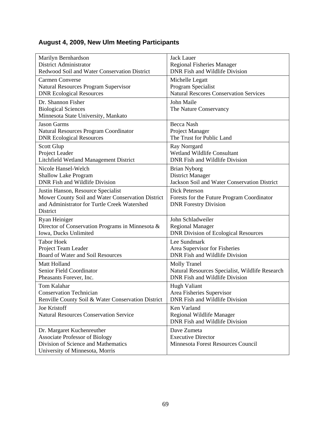### **August 4, 2009, New Ulm Meeting Participants**

| Marilyn Bernhardson                                | <b>Jack Lauer</b>                               |
|----------------------------------------------------|-------------------------------------------------|
| District Administrator                             | <b>Regional Fisheries Manager</b>               |
| Redwood Soil and Water Conservation District       | <b>DNR</b> Fish and Wildlife Division           |
| <b>Carmen Converse</b>                             | Michelle Legatt                                 |
| Natural Resources Program Supervisor               | Program Specialist                              |
| <b>DNR Ecological Resources</b>                    | <b>Natural Rescores Conservation Services</b>   |
| Dr. Shannon Fisher                                 | John Maile                                      |
| <b>Biological Sciences</b>                         | The Nature Conservancy                          |
| Minnesota State University, Mankato                |                                                 |
| <b>Jason Garms</b>                                 | Becca Nash                                      |
| Natural Resources Program Coordinator              | Project Manager                                 |
| <b>DNR Ecological Resources</b>                    | The Trust for Public Land                       |
| Scott Glup                                         | Ray Norrgard                                    |
| Project Leader                                     | Wetland Wildlife Consultant                     |
| Litchfield Wetland Management District             | DNR Fish and Wildlife Division                  |
| Nicole Hansel-Welch                                | <b>Brian Nyborg</b>                             |
| <b>Shallow Lake Program</b>                        | <b>District Manager</b>                         |
| <b>DNR</b> Fish and Wildlife Division              | Jackson Soil and Water Conservation District    |
| Justin Hanson, Resource Specialist                 | Dick Peterson                                   |
| Mower County Soil and Water Conservation District  | Forests for the Future Program Coordinator      |
| and Administrator for Turtle Creek Watershed       | <b>DNR</b> Forestry Division                    |
| District                                           |                                                 |
| Ryan Heiniger                                      | John Schladweiler                               |
| Director of Conservation Programs in Minnesota &   | <b>Regional Manager</b>                         |
| Iowa, Ducks Unlimited                              | <b>DNR Division of Ecological Resources</b>     |
| <b>Tabor Hoek</b>                                  | Lee Sundmark                                    |
| Project Team Leader                                | Area Supervisor for Fisheries                   |
| Board of Water and Soil Resources                  | DNR Fish and Wildlife Division                  |
| Matt Holland                                       | <b>Molly Tranel</b>                             |
| Senior Field Coordinator                           | Natural Resources Specialist, Wildlife Research |
| Pheasants Forever, Inc.                            | <b>DNR Fish and Wildlife Division</b>           |
| Tom Kalahar                                        | Hugh Valiant                                    |
| <b>Conservation Technician</b>                     | Area Fisheries Supervisor                       |
| Renville County Soil & Water Conservation District | DNR Fish and Wildlife Division                  |
| Joe Kristoff                                       | Ken Varland                                     |
| <b>Natural Resources Conservation Service</b>      | Regional Wildlife Manager                       |
|                                                    | DNR Fish and Wildlife Division                  |
| Dr. Margaret Kuchenreuther                         | Dave Zumeta                                     |
| <b>Associate Professor of Biology</b>              | <b>Executive Director</b>                       |
| Division of Science and Mathematics                | Minnesota Forest Resources Council              |
| University of Minnesota, Morris                    |                                                 |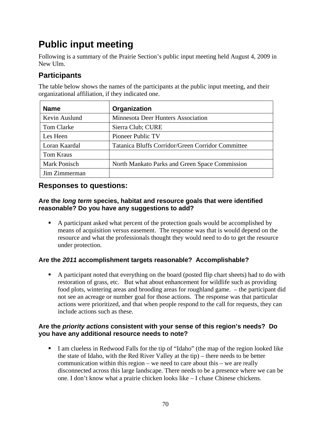### **Public input meeting**

Following is a summary of the Prairie Section's public input meeting held August 4, 2009 in New Ulm.

### **Participants**

The table below shows the names of the participants at the public input meeting, and their organizational affiliation, if they indicated one.

| <b>Name</b>   | Organization                                      |
|---------------|---------------------------------------------------|
| Kevin Auslund | <b>Minnesota Deer Hunters Association</b>         |
| Tom Clarke    | Sierra Club; CURE                                 |
| Les Heen      | Pioneer Public TV                                 |
| Loran Kaardal | Tatanica Bluffs Corridor/Green Corridor Committee |
| Tom Kraus     |                                                   |
| Mark Ponisch  | North Mankato Parks and Green Space Commission    |
| Jim Zimmerman |                                                   |

### **Responses to questions:**

### **Are the** *long term* **species, habitat and resource goals that were identified reasonable? Do you have any suggestions to add?**

 A participant asked what percent of the protection goals would be accomplished by means of acquisition versus easement. The response was that is would depend on the resource and what the professionals thought they would need to do to get the resource under protection.

### **Are the** *2011* **accomplishment targets reasonable? Accomplishable?**

 A participant noted that everything on the board (posted flip chart sheets) had to do with restoration of grass, etc. But what about enhancement for wildlife such as providing food plots, wintering areas and brooding areas for roughland game. – the participant did not see an acreage or number goal for those actions. The response was that particular actions were prioritized, and that when people respond to the call for requests, they can include actions such as these.

### **Are the** *priority actions* **consistent with your sense of this region's needs? Do you have any additional resource needs to note?**

I am clueless in Redwood Falls for the tip of "Idaho" (the map of the region looked like the state of Idaho, with the Red River Valley at the tip) – there needs to be better communication within this region – we need to care about this – we are really disconnected across this large landscape. There needs to be a presence where we can be one. I don't know what a prairie chicken looks like – I chase Chinese chickens.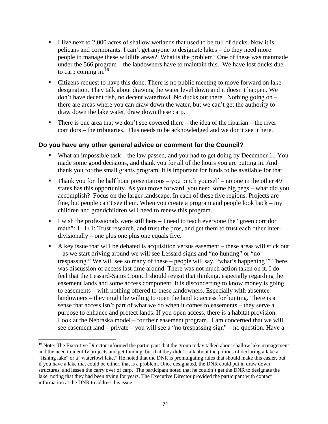- I live next to 2,000 acres of shallow wetlands that used to be full of ducks. Now it is pelicans and cormorants. I can't get anyone to designate lakes – do they need more people to manage these wildlife areas? What is the problem? One of these was manmade under the 566 program – the landowners have to maintain this. We have lost ducks due to carp coming in. $16$
- Citizens request to have this done. There is no public meeting to move forward on lake designation. They talk about drawing the water level down and it doesn't happen. We don't have decent fish, no decent waterfowl. No ducks out there. Nothing going on – there are areas where you can draw down the water, but we can't get the authority to draw down the lake water, draw down these carp.
- There is one area that we don't see covered there the idea of the riparian the river corridors – the tributaries. This needs to be acknowledged and we don't see it here.

#### **Do you have any other general advice or comment for the Council?**

- What an impossible task the law passed, and you had to get doing by December 1. You made some good decisions, and thank you for all of the hours you are putting in. And thank you for the small grants program. It is important for funds to be available for that.
- Thank you for the half hour presentations you pinch yourself no one in the other 49 states has this opportunity. As you move forward, you need some big pegs – what did you accomplish? Focus on the larger landscape. In each of these five regions. Projects are fine, but people can't see them. When you create a program and people look back – my children and grandchildren will need to renew this program.
- I wish the professionals were still here  $-I$  need to teach everyone the "green corridor" math":  $1+1+1$ : Trust research, and trust the pros, and get them to trust each other interdivisionally – one plus one plus one equals five.
- A key issue that will be debated is acquisition versus easement these areas will stick out – as we start driving around we will see Lessard signs and "no hunting" or "no trespassing." We will see so many of these – people will say, "what's happening?" There was discussion of access last time around. There was not much action taken on it. I do feel that the Lessard-Sams Council should revisit that thinking, especially regarding the easement lands and some access component. It is disconcerting to know money is going to easements – with nothing offered to these landowners. Especially with absentee landowners – they might be willing to open the land to access for hunting. There is a sense that access isn't part of what we do when it comes to easements – they serve a purpose to enhance and protect lands. If you open access, there is a habitat provision. Look at the Nebraska model – for their easement program. I am concerned that we will see easement land – private – you will see a "no trespassing sign" – no question. Have a

 $\overline{a}$ 

<sup>&</sup>lt;sup>16</sup> Note: The Executive Director informed the participant that the group today talked about shallow lake management and the need to identify projects and get funding, but that they didn't talk about the politics of declaring a lake a "fishing lake" or a "waterfowl lake." He noted that the DNR is promulgating rules that should make this easier, but if you have a lake that could be either, that is a problem. Once designated, the DNR could put in draw down structures, and lessen the carry over of carp. The participant noted that he couldn't get the DNR to designate the lake, noting that they had been trying for years. The Executive Director provided the participant with contact information at the DNR to address his issue.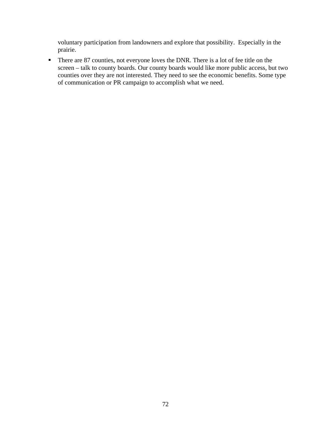voluntary participation from landowners and explore that possibility. Especially in the prairie.

There are 87 counties, not everyone loves the DNR. There is a lot of fee title on the screen – talk to county boards. Our county boards would like more public access, but two counties over they are not interested. They need to see the economic benefits. Some type of communication or PR campaign to accomplish what we need.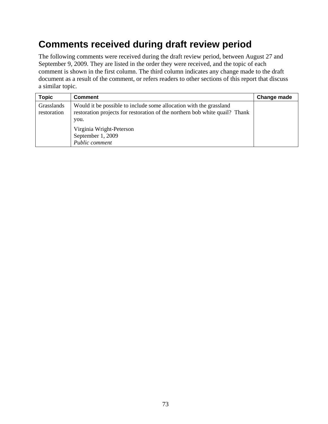### **Comments received during draft review period**

The following comments were received during the draft review period, between August 27 and September 9, 2009. They are listed in the order they were received, and the topic of each comment is shown in the first column. The third column indicates any change made to the draft document as a result of the comment, or refers readers to other sections of this report that discuss a similar topic.

| <b>Topic</b>              | <b>Comment</b>                                                                                                                                                                                                               | Change made |
|---------------------------|------------------------------------------------------------------------------------------------------------------------------------------------------------------------------------------------------------------------------|-------------|
| Grasslands<br>restoration | Would it be possible to include some allocation with the grassland<br>restoration projects for restoration of the northern bob white quail? Thank<br>you.<br>Virginia Wright-Peterson<br>September 1, 2009<br>Public comment |             |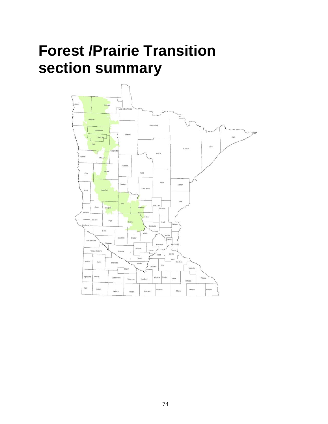## **Forest /Prairie Transition section summary**

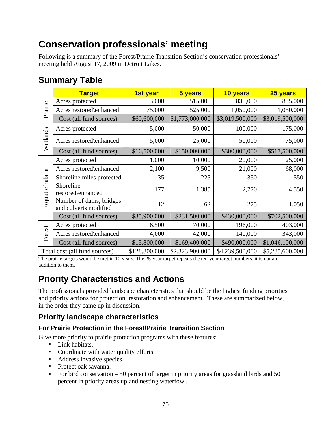### **Conservation professionals' meeting**

Following is a summary of the Forest/Prairie Transition Section's conservation professionals' meeting held August 17, 2009 in Detroit Lakes.

|                 | <b>Target</b>                                    | 1st year      | 5 years         | 10 years        | 25 years        |
|-----------------|--------------------------------------------------|---------------|-----------------|-----------------|-----------------|
|                 | Acres protected                                  | 3,000         | 515,000         | 835,000         | 835,000         |
| Prairie         | Acres restored\enhanced                          | 75,000        | 525,000         | 1,050,000       | 1,050,000       |
|                 | Cost (all fund sources)                          | \$60,600,000  | \$1,773,000,000 | \$3,019,500,000 | \$3,019,500,000 |
|                 | Acres protected                                  | 5,000         | 50,000          | 100,000         | 175,000         |
| Wetlands        | Acres restored\enhanced                          | 5,000         | 25,000          | 50,000          | 75,000          |
|                 | Cost (all fund sources)                          | \$16,500,000  | \$150,000,000   | \$300,000,000   | \$517,500,000   |
|                 | Acres protected                                  | 1,000         | 10,000          | 20,000          | 25,000          |
|                 | Acres restored\enhanced                          | 2,100         | 9,500           | 21,000          | 68,000          |
|                 | Shoreline miles protected                        | 35            | 225             | 350             | 550             |
| Aquatic habitat | Shoreline<br>restored\enhanced                   | 177           | 1,385           | 2,770           | 4,550           |
|                 | Number of dams, bridges<br>and culverts modified | 12            | 62              | 275             | 1,050           |
|                 | Cost (all fund sources)                          | \$35,900,000  | \$231,500,000   | \$430,000,000   | \$702,500,000   |
|                 | Acres protected                                  | 6,500         | 70,000          | 196,000         | 403,000         |
| Forest          | Acres restored\enhanced                          | 4,000         | 42,000          | 140,000         | 343,000         |
|                 | Cost (all fund sources)                          | \$15,800,000  | \$169,400,000   | \$490,000,000   | \$1,046,100,000 |
|                 | Total cost (all fund sources)                    | \$128,800,000 | \$2,323,900,000 | \$4,239,500,000 | \$5,285,600,000 |

### **Summary Table**

The prairie targets would be met in 10 years. The 25-year target repeats the ten-year target numbers, it is not an addition to them.

### **Priority Characteristics and Actions**

The professionals provided landscape characteristics that should be the highest funding priorities and priority actions for protection, restoration and enhancement. These are summarized below, in the order they came up in discussion.

### **Priority landscape characteristics**

### **For Prairie Protection in the Forest/Prairie Transition Section**

Give more priority to prairie protection programs with these features:

- **Link habitats.**
- Coordinate with water quality efforts.
- Address invasive species.
- Protect oak savanna.
- For bird conservation  $-50$  percent of target in priority areas for grassland birds and 50 percent in priority areas upland nesting waterfowl.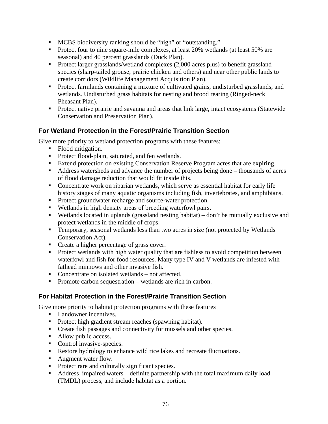- MCBS biodiversity ranking should be "high" or "outstanding."
- **Protect four to nine square-mile complexes, at least 20% wetlands (at least 50% are** seasonal) and 40 percent grasslands (Duck Plan).
- Protect larger grasslands/wetland complexes (2,000 acres plus) to benefit grassland species (sharp-tailed grouse, prairie chicken and others) and near other public lands to create corridors (Wildlife Management Acquisition Plan).
- **Protect farmlands containing a mixture of cultivated grains, undisturbed grasslands, and** wetlands. Undisturbed grass habitats for nesting and brood rearing (Ringed-neck Pheasant Plan).
- **Protect native prairie and savanna and areas that link large, intact ecosystems (Statewide** Conservation and Preservation Plan).

### **For Wetland Protection in the Forest/Prairie Transition Section**

Give more priority to wetland protection programs with these features:

- Flood mitigation.
- **Protect flood-plain, saturated, and fen wetlands.**
- Extend protection on existing Conservation Reserve Program acres that are expiring.
- Address watersheds and advance the number of projects being done thousands of acres of flood damage reduction that would fit inside this.
- Concentrate work on riparian wetlands, which serve as essential habitat for early life history stages of many aquatic organisms including fish, invertebrates, and amphibians.
- Protect groundwater recharge and source-water protection.
- Wetlands in high density areas of breeding waterfowl pairs.
- Wetlands located in uplands (grassland nesting habitat) don't be mutually exclusive and protect wetlands in the middle of crops.
- Temporary, seasonal wetlands less than two acres in size (not protected by Wetlands Conservation Act).
- Create a higher percentage of grass cover.
- **Protect wetlands with high water quality that are fishless to avoid competition between** waterfowl and fish for food resources. Many type IV and V wetlands are infested with fathead minnows and other invasive fish.
- Concentrate on isolated wetlands not affected.
- Promote carbon sequestration wetlands are rich in carbon.

### **For Habitat Protection in the Forest/Prairie Transition Section**

Give more priority to habitat protection programs with these features

- Landowner incentives.
- **Protect high gradient stream reaches (spawning habitat).**
- Create fish passages and connectivity for mussels and other species.
- Allow public access.
- Control invasive-species.
- Restore hydrology to enhance wild rice lakes and recreate fluctuations.
- **Augment water flow.**
- **Protect rare and culturally significant species.**
- Address impaired waters definite partnership with the total maximum daily load (TMDL) process, and include habitat as a portion.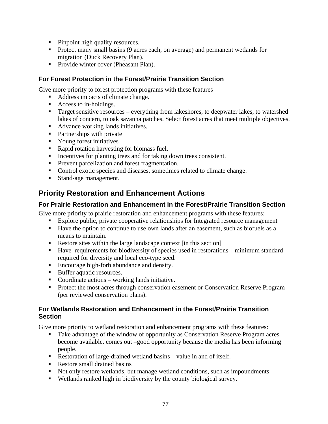- Pinpoint high quality resources.
- **Protect many small basins (9 acres each, on average) and permanent wetlands for** migration (Duck Recovery Plan).
- Provide winter cover (Pheasant Plan).

### **For Forest Protection in the Forest/Prairie Transition Section**

Give more priority to forest protection programs with these features

- Address impacts of climate change.
- Access to in-holdings.
- Target sensitive resources everything from lakeshores, to deepwater lakes, to watershed lakes of concern, to oak savanna patches. Select forest acres that meet multiple objectives.
- Advance working lands initiatives.
- **Partnerships with private**
- **Now Young forest initiatives**
- Rapid rotation harvesting for biomass fuel.
- Incentives for planting trees and for taking down trees consistent.
- **Prevent parcelization and forest fragmentation.**
- Control exotic species and diseases, sometimes related to climate change.
- **Stand-age management.**

### **Priority Restoration and Enhancement Actions**

### **For Prairie Restoration and Enhancement in the Forest/Prairie Transition Section**

Give more priority to prairie restoration and enhancement programs with these features:

- Explore public, private cooperative relationships for Integrated resource management
- Have the option to continue to use own lands after an easement, such as biofuels as a means to maintain.
- Restore sites within the large landscape context [in this section]
- Have requirements for biodiversity of species used in restorations minimum standard required for diversity and local eco-type seed.
- Encourage high-forb abundance and density.
- Buffer aquatic resources.
- Coordinate actions working lands initiative.
- **Protect the most acres through conservation easement or Conservation Reserve Program** (per reviewed conservation plans).

### **For Wetlands Restoration and Enhancement in the Forest/Prairie Transition Section**

Give more priority to wetland restoration and enhancement programs with these features:

- Take advantage of the window of opportunity as Conservation Reserve Program acres become available. comes out –good opportunity because the media has been informing people.
- Restoration of large-drained wetland basins value in and of itself.
- Restore small drained basins
- Not only restore wetlands, but manage wetland conditions, such as impoundments.
- Wetlands ranked high in biodiversity by the county biological survey.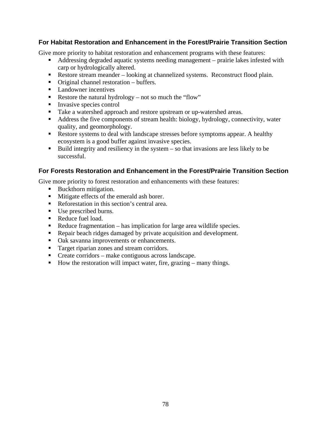### **For Habitat Restoration and Enhancement in the Forest/Prairie Transition Section**

Give more priority to habitat restoration and enhancement programs with these features:

- Addressing degraded aquatic systems needing management prairie lakes infested with carp or hydrologically altered.
- Restore stream meander looking at channelized systems. Reconstruct flood plain.
- Original channel restoration buffers.
- Landowner incentives
- Restore the natural hydrology not so much the "flow"
- **Invasive species control**
- Take a watershed approach and restore upstream or up-watershed areas.
- Address the five components of stream health: biology, hydrology, connectivity, water quality, and geomorphology.
- Restore systems to deal with landscape stresses before symptoms appear. A healthy ecosystem is a good buffer against invasive species.
- Build integrity and resiliency in the system  $-$  so that invasions are less likely to be successful.

### **For Forests Restoration and Enhancement in the Forest/Prairie Transition Section**

Give more priority to forest restoration and enhancements with these features:

- Buckthorn mitigation.
- **Mitigate effects of the emerald ash borer.**
- Reforestation in this section's central area.
- Use prescribed burns.
- Reduce fuel load.
- Reduce fragmentation has implication for large area wildlife species.
- Repair beach ridges damaged by private acquisition and development.
- Oak savanna improvements or enhancements.
- **Target riparian zones and stream corridors.**
- Create corridors make contiguous across landscape.
- How the restoration will impact water, fire, grazing many things.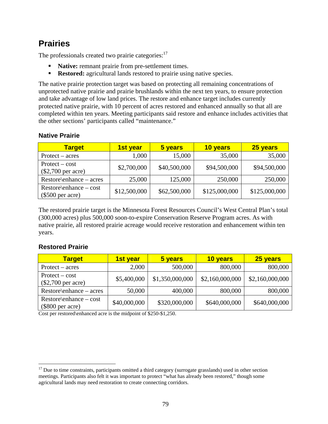### **Prairies**

The professionals created two prairie categories: $17$ 

- **Native:** remnant prairie from pre-settlement times.
- **Restored:** agricultural lands restored to prairie using native species.

The native prairie protection target was based on protecting all remaining concentrations of unprotected native prairie and prairie brushlands within the next ten years, to ensure protection and take advantage of low land prices. The restore and enhance target includes currently protected native prairie, with 10 percent of acres restored and enhanced annually so that all are completed within ten years. Meeting participants said restore and enhance includes activities that the other sections' participants called "maintenance."

### **Native Prairie**

| <b>Target</b>                                   | 1st year     | 5 years      | 10 years      | 25 years      |
|-------------------------------------------------|--------------|--------------|---------------|---------------|
| $Protext - acres$                               | 1,000        | 15,000       | 35,000        | 35,000        |
| $Protext - cost$<br>$($2,700$ per acre)         | \$2,700,000  | \$40,500,000 | \$94,500,000  | \$94,500,000  |
| $Restore\$ enhance – acres                      | 25,000       | 125,000      | 250,000       | 250,000       |
| $Restore\$ enhance – cost<br>$(\$500$ per acre) | \$12,500,000 | \$62,500,000 | \$125,000,000 | \$125,000,000 |

The restored prairie target is the Minnesota Forest Resources Council's West Central Plan's total (300,000 acres) plus 500,000 soon-to-expire Conservation Reserve Program acres. As with native prairie, all restored prairie acreage would receive restoration and enhancement within ten years.

### **Restored Prairie**

 $\overline{a}$ 

| <b>Target</b>                                   | 1st year     | 5 years         | 10 years        | 25 years        |
|-------------------------------------------------|--------------|-----------------|-----------------|-----------------|
| $Profect - acres$                               | 2,000        | 500,000         | 800,000         | 800,000         |
| $Protext - cost$<br>$(\$2,700$ per acre)        | \$5,400,000  | \$1,350,000,000 | \$2,160,000,000 | \$2,160,000,000 |
| $Restore\$ enhance – acres                      | 50,000       | 400,000         | 800,000         | 800,000         |
| $Restore\$ enhance – cost<br>$(\$800$ per acre) | \$40,000,000 | \$320,000,000   | \$640,000,000   | \$640,000,000   |

Cost per restored\enhanced acre is the midpoint of \$250-\$1,250.

 $17$  Due to time constraints, participants omitted a third category (surrogate grasslands) used in other section meetings. Participants also felt it was important to protect "what has already been restored," though some agricultural lands may need restoration to create connecting corridors.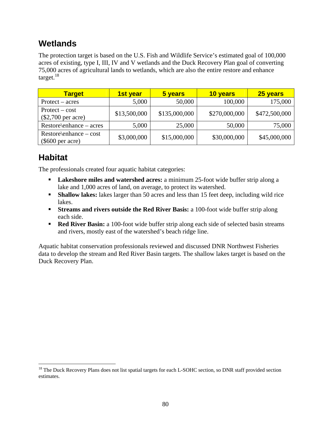### **Wetlands**

The protection target is based on the U.S. Fish and Wildlife Service's estimated goal of 100,000 acres of existing, type I, III, IV and V wetlands and the Duck Recovery Plan goal of converting 75,000 acres of agricultural lands to wetlands, which are also the entire restore and enhance target. $18$ 

| <b>Target</b>                                   | 1st year     | 5 years       | 10 years      | 25 years      |
|-------------------------------------------------|--------------|---------------|---------------|---------------|
| $Protext - acres$                               | 5,000        | 50,000        | 100,000       | 175,000       |
| $Protext - cost$<br>$(\$2,700$ per acre)        | \$13,500,000 | \$135,000,000 | \$270,000,000 | \$472,500,000 |
| $Restore\$ enhance – acres                      | 5,000        | 25,000        | 50,000        | 75,000        |
| $Restore\$ enhance – cost<br>$(\$600$ per acre) | \$3,000,000  | \$15,000,000  | \$30,000,000  | \$45,000,000  |

### **Habitat**

 $\overline{a}$ 

The professionals created four aquatic habitat categories:

- **Lakeshore miles and watershed acres:** a minimum 25-foot wide buffer strip along a lake and 1,000 acres of land, on average, to protect its watershed.
- **Shallow lakes:** lakes larger than 50 acres and less than 15 feet deep, including wild rice lakes.
- **Streams and rivers outside the Red River Basis:** a 100-foot wide buffer strip along each side.
- **Red River Basin:** a 100-foot wide buffer strip along each side of selected basin streams and rivers, mostly east of the watershed's beach ridge line.

Aquatic habitat conservation professionals reviewed and discussed DNR Northwest Fisheries data to develop the stream and Red River Basin targets. The shallow lakes target is based on the Duck Recovery Plan.

<sup>&</sup>lt;sup>18</sup> The Duck Recovery Plans does not list spatial targets for each L-SOHC section, so DNR staff provided section estimates.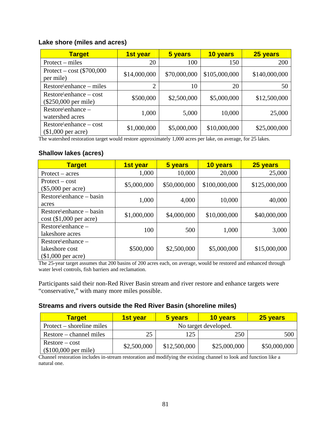#### **Lake shore (miles and acres)**

| <b>Target</b>                                       | 1st year       | 5 years      | 10 years      | 25 years      |
|-----------------------------------------------------|----------------|--------------|---------------|---------------|
| Protext – miles                                     | 20             | 100          | 150           | 200           |
| Protect – cost $(\$700,000$<br>per mile)            | \$14,000,000   | \$70,000,000 | \$105,000,000 | \$140,000,000 |
| Restore\enhance – miles                             | $\overline{2}$ | 10           | 20            | 50            |
| $Restore\$ enhance – cost<br>$(\$250,000$ per mile) | \$500,000      | \$2,500,000  | \$5,000,000   | \$12,500,000  |
| Restore\enhance -<br>watershed acres                | 1,000          | 5,000        | 10,000        | 25,000        |
| $Restore\$ enhance – cost<br>$($1,000$ per acre)    | \$1,000,000    | \$5,000,000  | \$10,000,000  | \$25,000,000  |

The watershed restoration target would restore approximately 1,000 acres per lake, on average, for 25 lakes.

### **Shallow lakes (acres)**

| <b>Target</b>             | 1st year    | 5 years      | 10 years      | 25 years      |
|---------------------------|-------------|--------------|---------------|---------------|
| $Protext - acres$         | 1,000       | 10,000       | 20,000        | 25,000        |
| $Protext - cost$          | \$5,000,000 | \$50,000,000 | \$100,000,000 | \$125,000,000 |
| $(\$5,000$ per acre)      |             |              |               |               |
| Restore\enhance – basin   | 1,000       | 4,000        | 10,000        | 40,000        |
| acres                     |             |              |               |               |
| Restore\enhance – basin   | \$1,000,000 | \$4,000,000  | \$10,000,000  | \$40,000,000  |
| $cost$ (\$1,000 per acre) |             |              |               |               |
| Restore\enhance -         | 100         | 500          | 1,000         | 3,000         |
| lakeshore acres           |             |              |               |               |
| $Rescore\$ enhance –      |             |              |               |               |
| lakeshore cost            | \$500,000   | \$2,500,000  | \$5,000,000   | \$15,000,000  |
| $($1,000$ per acre)       |             |              |               |               |

The 25-year target assumes that 200 basins of 200 acres each, on average, would be restored and enhanced through water level controls, fish barriers and reclamation.

Participants said their non-Red River Basin stream and river restore and enhance targets were "conservative," with many more miles possible.

#### **Streams and rivers outside the Red River Basin (shoreline miles)**

| <b>Target</b>                             | 1st vear             | 5 years      | <b>10 years</b> | 25 years     |  |
|-------------------------------------------|----------------------|--------------|-----------------|--------------|--|
| Protect – shoreline miles                 | No target developed. |              |                 |              |  |
| Restore – channel miles                   | 25                   | 125          | 250             | 500          |  |
| $Restore - cost$<br>$($100,000$ per mile) | \$2,500,000          | \$12,500,000 | \$25,000,000    | \$50,000,000 |  |

Channel restoration includes in-stream restoration and modifying the existing channel to look and function like a natural one.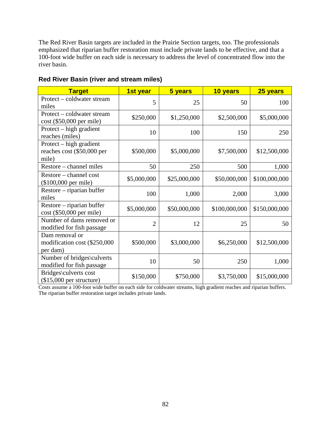The Red River Basin targets are included in the Prairie Section targets, too. The professionals emphasized that riparian buffer restoration must include private lands to be effective, and that a 100-foot wide buffer on each side is necessary to address the level of concentrated flow into the river basin.

| <b>Target</b>                                                  | 1st year       | 5 years      | 10 years      | 25 years      |
|----------------------------------------------------------------|----------------|--------------|---------------|---------------|
| Protect – coldwater stream<br>miles                            | 5              | 25           | 50            | 100           |
| Protect – coldwater stream<br>cost (\$50,000 per mile)         | \$250,000      | \$1,250,000  | \$2,500,000   | \$5,000,000   |
| Protect – high gradient<br>reaches (miles)                     | 10             | 100          | 150           | 250           |
| Protect – high gradient<br>reaches cost (\$50,000 per<br>mile) | \$500,000      | \$5,000,000  | \$7,500,000   | \$12,500,000  |
| Restore – channel miles                                        | 50             | 250          | 500           | 1,000         |
| Restore – channel cost<br>(\$100,000 per mile)                 | \$5,000,000    | \$25,000,000 | \$50,000,000  | \$100,000,000 |
| Restore – riparian buffer<br>miles                             | 100            | 1,000        | 2,000         | 3,000         |
| Restore – riparian buffer<br>cost (\$50,000 per mile)          | \$5,000,000    | \$50,000,000 | \$100,000,000 | \$150,000,000 |
| Number of dams removed or<br>modified for fish passage         | $\overline{2}$ | 12           | 25            | 50            |
| Dam removal or<br>modification cost (\$250,000<br>per dam)     | \$500,000      | \$3,000,000  | \$6,250,000   | \$12,500,000  |
| Number of bridges\culverts<br>modified for fish passage        | 10             | 50           | 250           | 1,000         |
| Bridges\culverts cost<br>$($15,000$ per structure)             | \$150,000      | \$750,000    | \$3,750,000   | \$15,000,000  |

### **Red River Basin (river and stream miles)**

Costs assume a 100-foot wide buffer on each side for coldwater streams, high gradient reaches and riparian buffers. The riparian buffer restoration target includes private lands.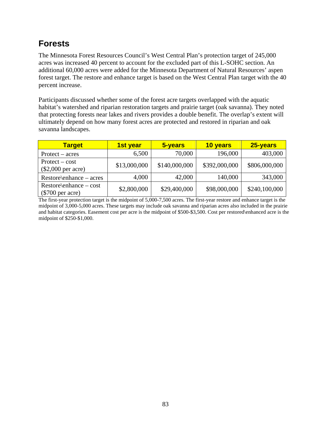### **Forests**

The Minnesota Forest Resources Council's West Central Plan's protection target of 245,000 acres was increased 40 percent to account for the excluded part of this L-SOHC section. An additional 60,000 acres were added for the Minnesota Department of Natural Resources' aspen forest target. The restore and enhance target is based on the West Central Plan target with the 40 percent increase.

Participants discussed whether some of the forest acre targets overlapped with the aquatic habitat's watershed and riparian restoration targets and prairie target (oak savanna). They noted that protecting forests near lakes and rivers provides a double benefit. The overlap's extent will ultimately depend on how many forest acres are protected and restored in riparian and oak savanna landscapes.

| <b>Target</b>                                   | <b>1st year</b> | 5-years       | 10 years      | 25-years      |
|-------------------------------------------------|-----------------|---------------|---------------|---------------|
| $Protext - acres$                               | 6,500           | 70,000        | 196,000       | 403,000       |
| $Protext - cost$<br>$(\$2,000$ per acre)        | \$13,000,000    | \$140,000,000 | \$392,000,000 | \$806,000,000 |
| Restore\enhance – acres                         | 4,000           | 42,000        | 140,000       | 343,000       |
| $Restore\$ enhance – cost<br>$(\$700$ per acre) | \$2,800,000     | \$29,400,000  | \$98,000,000  | \$240,100,000 |

The first-year protection target is the midpoint of 5,000-7,500 acres. The first-year restore and enhance target is the midpoint of 3,000-5,000 acres. These targets may include oak savanna and riparian acres also included in the prairie and habitat categories. Easement cost per acre is the midpoint of \$500-\$3,500. Cost per restored\enhanced acre is the midpoint of \$250-\$1,000.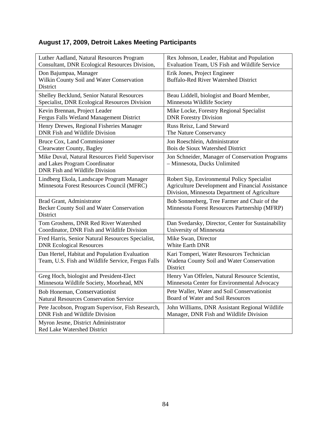### **August 17, 2009, Detroit Lakes Meeting Participants**

| Luther Aadland, Natural Resources Program                                                                                | Rex Johnson, Leader, Habitat and Population                                                                                                             |
|--------------------------------------------------------------------------------------------------------------------------|---------------------------------------------------------------------------------------------------------------------------------------------------------|
| Consultant, DNR Ecological Resources Division,                                                                           | Evaluation Team, US Fish and Wildlife Service                                                                                                           |
| Don Bajumpaa, Manager<br>Wilkin County Soil and Water Conservation<br>District                                           | Erik Jones, Project Engineer<br><b>Buffalo-Red River Watershed District</b>                                                                             |
| Shelley Becklund, Senior Natural Resources                                                                               | Beau Liddell, biologist and Board Member,                                                                                                               |
| Specialist, DNR Ecological Resources Division                                                                            | Minnesota Wildlife Society                                                                                                                              |
| Kevin Brennan, Project Leader                                                                                            | Mike Locke, Forestry Regional Specialist                                                                                                                |
| Fergus Falls Wetland Management District                                                                                 | <b>DNR Forestry Division</b>                                                                                                                            |
| Henry Drewes, Regional Fisheries Manager                                                                                 | Russ Reisz, Land Steward                                                                                                                                |
| DNR Fish and Wildlife Division                                                                                           | The Nature Conservancy                                                                                                                                  |
| <b>Bruce Cox, Land Commissioner</b>                                                                                      | Jon Roeschlein, Administrator                                                                                                                           |
| Clearwater County, Bagley                                                                                                | Bois de Sioux Watershed District                                                                                                                        |
| Mike Duval, Natural Resources Field Supervisor<br>and Lakes Program Coordinator<br><b>DNR</b> Fish and Wildlife Division | Jon Schneider, Manager of Conservation Programs<br>- Minnesota, Ducks Unlimited                                                                         |
| Lindberg Ekola, Landscape Program Manager<br>Minnesota Forest Resources Council (MFRC)                                   | Robert Sip, Environmental Policy Specialist<br><b>Agriculture Development and Financial Assistance</b><br>Division, Minnesota Department of Agriculture |
| Brad Grant, Administrator<br>Becker County Soil and Water Conservation<br>District                                       | Bob Sonnenberg, Tree Farmer and Chair of the<br>Minnesota Forest Resources Partnership (MFRP)                                                           |
| Tom Groshens, DNR Red River Watershed                                                                                    | Dan Svedarsky, Director, Center for Sustainability                                                                                                      |
| Coordinator, DNR Fish and Wildlife Division                                                                              | University of Minnesota                                                                                                                                 |
| Fred Harris, Senior Natural Resources Specialist,                                                                        | Mike Swan, Director                                                                                                                                     |
| <b>DNR Ecological Resources</b>                                                                                          | White Earth DNR                                                                                                                                         |
| Dan Hertel, Habitat and Population Evaluation<br>Team, U.S. Fish and Wildlife Service, Fergus Falls                      | Kari Tomperi, Water Resources Technician<br>Wadena County Soil and Water Conservation<br>District                                                       |
| Greg Hoch, biologist and President-Elect                                                                                 | Henry Van Offelen, Natural Resource Scientist,                                                                                                          |
| Minnesota Wildlife Society, Moorhead, MN                                                                                 | Minnesota Center for Environmental Advocacy                                                                                                             |
| Bob Honeman, Conservationist                                                                                             | Pete Waller, Water and Soil Conservationist                                                                                                             |
| <b>Natural Resources Conservation Service</b>                                                                            | Board of Water and Soil Resources                                                                                                                       |
| Pete Jacobson, Program Supervisor, Fish Research,                                                                        | John Williams, DNR Assistant Regional Wildlife                                                                                                          |
| <b>DNR</b> Fish and Wildlife Division                                                                                    | Manager, DNR Fish and Wildlife Division                                                                                                                 |
| Myron Jesme, District Administrator<br>Red Lake Watershed District                                                       |                                                                                                                                                         |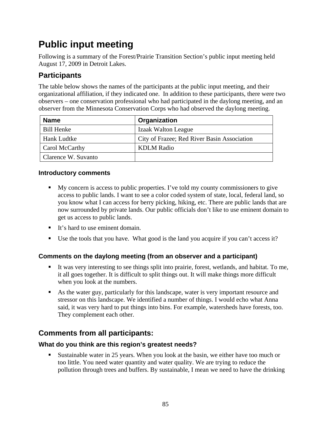### **Public input meeting**

Following is a summary of the Forest/Prairie Transition Section's public input meeting held August 17, 2009 in Detroit Lakes.

### **Participants**

The table below shows the names of the participants at the public input meeting, and their organizational affiliation, if they indicated one. In addition to these participants, there were two observers – one conservation professional who had participated in the daylong meeting, and an observer from the Minnesota Conservation Corps who had observed the daylong meeting.

| <b>Name</b>         | Organization                                |
|---------------------|---------------------------------------------|
| <b>Bill Henke</b>   | Izaak Walton League                         |
| Hank Ludtke         | City of Frazee; Red River Basin Association |
| Carol McCarthy      | <b>KDLM</b> Radio                           |
| Clarence W. Suvanto |                                             |

### **Introductory comments**

- My concern is access to public properties. I've told my county commissioners to give access to public lands. I want to see a color coded system of state, local, federal land, so you know what I can access for berry picking, hiking, etc. There are public lands that are now surrounded by private lands. Our public officials don't like to use eminent domain to get us access to public lands.
- It's hard to use eminent domain.
- Use the tools that you have. What good is the land you acquire if you can't access it?

### **Comments on the daylong meeting (from an observer and a participant)**

- It was very interesting to see things split into prairie, forest, wetlands, and habitat. To me, it all goes together. It is difficult to split things out. It will make things more difficult when you look at the numbers.
- As the water guy, particularly for this landscape, water is very important resource and stressor on this landscape. We identified a number of things. I would echo what Anna said, it was very hard to put things into bins. For example, watersheds have forests, too. They complement each other.

### **Comments from all participants:**

### **What do you think are this region's greatest needs?**

 Sustainable water in 25 years. When you look at the basin, we either have too much or too little. You need water quantity and water quality. We are trying to reduce the pollution through trees and buffers. By sustainable, I mean we need to have the drinking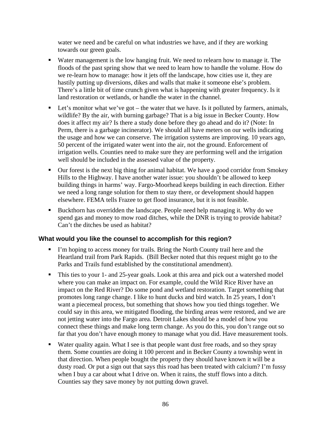water we need and be careful on what industries we have, and if they are working towards our green goals.

- Water management is the low hanging fruit. We need to relearn how to manage it. The floods of the past spring show that we need to learn how to handle the volume. How do we re-learn how to manage: how it jets off the landscape, how cities use it, they are hastily putting up diversions, dikes and walls that make it someone else's problem. There's a little bit of time crunch given what is happening with greater frequency. Is it land restoration or wetlands, or handle the water in the channel.
- $\blacksquare$  Let's monitor what we've got the water that we have. Is it polluted by farmers, animals, wildlife? By the air, with burning garbage? That is a big issue in Becker County. How does it affect my air? Is there a study done before they go ahead and do it? (Note: In Perm, there is a garbage incinerator). We should all have meters on our wells indicating the usage and how we can conserve. The irrigation systems are improving. 10 years ago, 50 percent of the irrigated water went into the air, not the ground. Enforcement of irrigation wells. Counties need to make sure they are performing well and the irrigation well should be included in the assessed value of the property.
- Our forest is the next big thing for animal habitat. We have a good corridor from Smokey Hills to the Highway. I have another water issue: you shouldn't be allowed to keep building things in harms' way. Fargo-Moorhead keeps building in each direction. Either we need a long range solution for them to stay there, or development should happen elsewhere. FEMA tells Frazee to get flood insurance, but it is not feasible.
- Buckthorn has overridden the landscape. People need help managing it. Why do we spend gas and money to mow road ditches, while the DNR is trying to provide habitat? Can't the ditches be used as habitat?

#### **What would you like the counsel to accomplish for this region?**

- I'm hoping to access money for trails. Bring the North County trail here and the Heartland trail from Park Rapids. (Bill Becker noted that this request might go to the Parks and Trails fund established by the constitutional amendment).
- This ties to your 1- and 25-year goals. Look at this area and pick out a watershed model where you can make an impact on. For example, could the Wild Rice River have an impact on the Red River? Do some pond and wetland restoration. Target something that promotes long range change. I like to hunt ducks and bird watch. In 25 years, I don't want a piecemeal process, but something that shows how you tied things together. We could say in this area, we mitigated flooding, the birding areas were restored, and we are not jetting water into the Fargo area. Detroit Lakes should be a model of how you connect these things and make long term change. As you do this, you don't range out so far that you don't have enough money to manage what you did. Have measurement tools.
- Water quality again. What I see is that people want dust free roads, and so they spray them. Some counties are doing it 100 percent and in Becker County a township went in that direction. When people bought the property they should have known it will be a dusty road. Or put a sign out that says this road has been treated with calcium? I'm fussy when I buy a car about what I drive on. When it rains, the stuff flows into a ditch. Counties say they save money by not putting down gravel.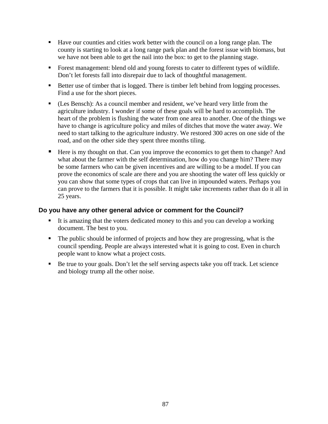- Have our counties and cities work better with the council on a long range plan. The county is starting to look at a long range park plan and the forest issue with biomass, but we have not been able to get the nail into the box: to get to the planning stage.
- Forest management: blend old and young forests to cater to different types of wildlife. Don't let forests fall into disrepair due to lack of thoughtful management.
- Better use of timber that is logged. There is timber left behind from logging processes. Find a use for the short pieces.
- (Les Bensch): As a council member and resident, we've heard very little from the agriculture industry. I wonder if some of these goals will be hard to accomplish. The heart of the problem is flushing the water from one area to another. One of the things we have to change is agriculture policy and miles of ditches that move the water away. We need to start talking to the agriculture industry. We restored 300 acres on one side of the road, and on the other side they spent three months tiling.
- Here is my thought on that. Can you improve the economics to get them to change? And what about the farmer with the self determination, how do you change him? There may be some farmers who can be given incentives and are willing to be a model. If you can prove the economics of scale are there and you are shooting the water off less quickly or you can show that some types of crops that can live in impounded waters. Perhaps you can prove to the farmers that it is possible. It might take increments rather than do it all in 25 years.

#### **Do you have any other general advice or comment for the Council?**

- It is amazing that the voters dedicated money to this and you can develop a working document. The best to you.
- The public should be informed of projects and how they are progressing, what is the council spending. People are always interested what it is going to cost. Even in church people want to know what a project costs.
- Be true to your goals. Don't let the self serving aspects take you off track. Let science and biology trump all the other noise.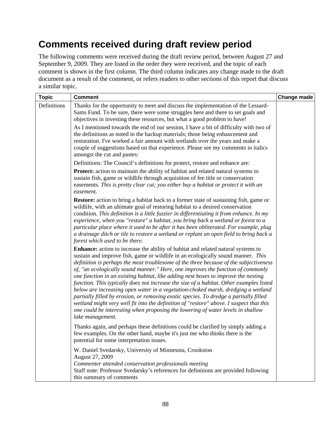### **Comments received during draft review period**

The following comments were received during the draft review period, between August 27 and September 9, 2009. They are listed in the order they were received, and the topic of each comment is shown in the first column. The third column indicates any change made to the draft document as a result of the comment, or refers readers to other sections of this report that discuss a similar topic.

| <b>Topic</b> | <b>Comment</b>                                                                                                                                                                                                                                                                                                                                                                                                                                                                                                                                                                                                                                                                                                                                                                                                                                                                                                    | Change made |
|--------------|-------------------------------------------------------------------------------------------------------------------------------------------------------------------------------------------------------------------------------------------------------------------------------------------------------------------------------------------------------------------------------------------------------------------------------------------------------------------------------------------------------------------------------------------------------------------------------------------------------------------------------------------------------------------------------------------------------------------------------------------------------------------------------------------------------------------------------------------------------------------------------------------------------------------|-------------|
| Definitions  | Thanks for the opportunity to meet and discuss the implementation of the Lessard-<br>Sams Fund. To be sure, there were some struggles here and there to set goals and<br>objectives in investing these resources, but what a good problem to have!                                                                                                                                                                                                                                                                                                                                                                                                                                                                                                                                                                                                                                                                |             |
|              | As I mentioned towards the end of our session, I have a bit of difficulty with two of<br>the definitions as noted in the backup materials; those being enhancement and<br>restoration. I've worked a fair amount with wetlands over the years and make a<br>couple of suggestions based on that experience. Please see my comments in italics<br>amongst the cut and pastes:                                                                                                                                                                                                                                                                                                                                                                                                                                                                                                                                      |             |
|              | Definitions: The Council's definitions for protect, restore and enhance are:                                                                                                                                                                                                                                                                                                                                                                                                                                                                                                                                                                                                                                                                                                                                                                                                                                      |             |
|              | <b>Protect:</b> action to maintain the ability of habitat and related natural systems to<br>sustain fish, game or wildlife through acquisition of fee title or conservation<br>easements. This is pretty clear cut; you either buy a habitat or protect it with an<br>easement.                                                                                                                                                                                                                                                                                                                                                                                                                                                                                                                                                                                                                                   |             |
|              | <b>Restore:</b> action to bring a habitat back to a former state of sustaining fish, game or<br>wildlife, with an ultimate goal of restoring habitat to a desired conservation<br>condition. This definition is a little fuzzier in differentiating it from enhance. In my<br>experience, when you "restore" a habitat, you bring back a wetland or forest to a<br>particular place where it used to be after it has been obliterated. For example, plug<br>a drainage ditch or tile to restore a wetland or replant an open field to bring back a<br>forest which used to be there.                                                                                                                                                                                                                                                                                                                              |             |
|              | Enhance: action to increase the ability of habitat and related natural systems to<br>sustain and improve fish, game or wildlife in an ecologically sound manner. This<br>definition is perhaps the most troublesome of the three because of the subjectiveness<br>of, "an ecologically sound manner." Here, one improves the function of commonly<br>one function in an existing habitat, like adding nest boxes to improve the nesting<br>function. This typically does not increase the size of a habitat. Other examples listed<br>below are increasing open water in a vegetation-choked marsh, dredging a wetland<br>partially filled by erosion, or removing exotic species. To dredge a partially filled<br>wetland might very well fit into the definition of "restore" above. I suspect that this<br>one could be interesting when proposing the lowering of water levels in shallow<br>lake management. |             |
|              | Thanks again, and perhaps these definitions could be clarified by simply adding a<br>few examples. On the other hand, maybe it's just me who thinks there is the<br>potential for some interpretation issues.                                                                                                                                                                                                                                                                                                                                                                                                                                                                                                                                                                                                                                                                                                     |             |
|              | W. Daniel Svedarsky, University of Minnesota, Crookston<br>August 27, 2009<br>Commenter attended conservation professionals meeting<br>Staff note: Professor Svedarsky's references for definitions are provided following<br>this summary of comments                                                                                                                                                                                                                                                                                                                                                                                                                                                                                                                                                                                                                                                            |             |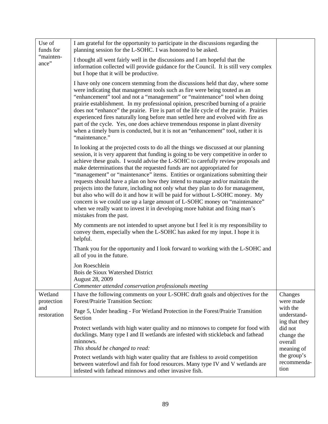| Use of<br>funds for   | I am grateful for the opportunity to participate in the discussions regarding the<br>planning session for the L-SOHC. I was honored to be asked.                                                                                                                                                                                                                                                                                                                                                                                                                                                                                                                                                                                                                                                                                                                           |                                                |
|-----------------------|----------------------------------------------------------------------------------------------------------------------------------------------------------------------------------------------------------------------------------------------------------------------------------------------------------------------------------------------------------------------------------------------------------------------------------------------------------------------------------------------------------------------------------------------------------------------------------------------------------------------------------------------------------------------------------------------------------------------------------------------------------------------------------------------------------------------------------------------------------------------------|------------------------------------------------|
| "mainten-<br>ance"    | I thought all went fairly well in the discussions and I am hopeful that the<br>information collected will provide guidance for the Council. It is still very complex<br>but I hope that it will be productive.                                                                                                                                                                                                                                                                                                                                                                                                                                                                                                                                                                                                                                                             |                                                |
|                       | I have only one concern stemming from the discussions held that day, where some<br>were indicating that management tools such as fire were being touted as an<br>"enhancement" tool and not a "management" or "maintenance" tool when doing<br>prairie establishment. In my professional opinion, prescribed burning of a prairie<br>does not "enhance" the prairie. Fire is part of the life cycle of the prairie. Prairies<br>experienced fires naturally long before man settled here and evolved with fire as<br>part of the cycle. Yes, one does achieve tremendous response in plant diversity<br>when a timely burn is conducted, but it is not an "enhancement" tool, rather it is<br>"maintenance."                                                                                                                                                               |                                                |
|                       | In looking at the projected costs to do all the things we discussed at our planning<br>session, it is very apparent that funding is going to be very competitive in order to<br>achieve these goals. I would advise the L-SOHC to carefully review proposals and<br>make determinations that the requested funds are not appropriated for<br>"management" or "maintenance" items. Entities or organizations submitting their<br>requests should have a plan on how they intend to manage and/or maintain the<br>projects into the future, including not only what they plan to do for management,<br>but also who will do it and how it will be paid for without L-SOHC money. My<br>concern is we could use up a large amount of L-SOHC money on "maintenance"<br>when we really want to invest it in developing more habitat and fixing man's<br>mistakes from the past. |                                                |
|                       | My comments are not intended to upset anyone but I feel it is my responsibility to<br>convey them, especially when the L-SOHC has asked for my input. I hope it is<br>helpful.                                                                                                                                                                                                                                                                                                                                                                                                                                                                                                                                                                                                                                                                                             |                                                |
|                       | Thank you for the opportunity and I look forward to working with the L-SOHC and<br>all of you in the future.                                                                                                                                                                                                                                                                                                                                                                                                                                                                                                                                                                                                                                                                                                                                                               |                                                |
|                       | Jon Roeschlein<br>Bois de Sioux Watershed District<br>August 28, 2009<br>Commenter attended conservation professionals meeting                                                                                                                                                                                                                                                                                                                                                                                                                                                                                                                                                                                                                                                                                                                                             |                                                |
| Wetland<br>protection | I have the following comments on your L-SOHC draft goals and objectives for the<br>Forest/Prairie Transition Section:                                                                                                                                                                                                                                                                                                                                                                                                                                                                                                                                                                                                                                                                                                                                                      | Changes<br>were made                           |
| and<br>restoration    | Page 5, Under heading - For Wetland Protection in the Forest/Prairie Transition<br>Section                                                                                                                                                                                                                                                                                                                                                                                                                                                                                                                                                                                                                                                                                                                                                                                 | with the<br>understand-<br>ing that they       |
|                       | Protect wetlands with high water quality and no minnows to compete for food with<br>ducklings. Many type I and II wetlands are infested with stickleback and fathead<br>minnows.<br>This should be changed to read:                                                                                                                                                                                                                                                                                                                                                                                                                                                                                                                                                                                                                                                        | did not<br>change the<br>overall<br>meaning of |
|                       | Protect wetlands with high water quality that are fishless to avoid competition<br>between waterfowl and fish for food resources. Many type IV and V wetlands are<br>infested with fathead minnows and other invasive fish.                                                                                                                                                                                                                                                                                                                                                                                                                                                                                                                                                                                                                                                | the group's<br>recommenda-<br>tion             |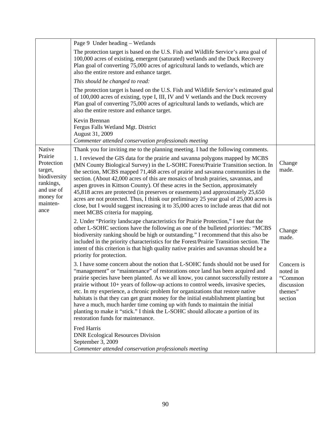|                                                                                                              | Page 9 Under heading – Wetlands                                                                                                                                                                                                                                                                                                                                                                                                                                                                                                                                                                                                                                                                                                        |                                                                       |
|--------------------------------------------------------------------------------------------------------------|----------------------------------------------------------------------------------------------------------------------------------------------------------------------------------------------------------------------------------------------------------------------------------------------------------------------------------------------------------------------------------------------------------------------------------------------------------------------------------------------------------------------------------------------------------------------------------------------------------------------------------------------------------------------------------------------------------------------------------------|-----------------------------------------------------------------------|
|                                                                                                              | The protection target is based on the U.S. Fish and Wildlife Service's area goal of<br>100,000 acres of existing, emergent (saturated) wetlands and the Duck Recovery<br>Plan goal of converting 75,000 acres of agricultural lands to wetlands, which are<br>also the entire restore and enhance target.                                                                                                                                                                                                                                                                                                                                                                                                                              |                                                                       |
|                                                                                                              | This should be changed to read:                                                                                                                                                                                                                                                                                                                                                                                                                                                                                                                                                                                                                                                                                                        |                                                                       |
|                                                                                                              | The protection target is based on the U.S. Fish and Wildlife Service's estimated goal<br>of 100,000 acres of existing, type I, III, IV and V wetlands and the Duck recovery<br>Plan goal of converting 75,000 acres of agricultural lands to wetlands, which are<br>also the entire restore and enhance target.                                                                                                                                                                                                                                                                                                                                                                                                                        |                                                                       |
|                                                                                                              | Kevin Brennan<br>Fergus Falls Wetland Mgt. District<br>August 31, 2009<br>Commenter attended conservation professionals meeting                                                                                                                                                                                                                                                                                                                                                                                                                                                                                                                                                                                                        |                                                                       |
| Native                                                                                                       | Thank you for inviting me to the planning meeting. I had the following comments.                                                                                                                                                                                                                                                                                                                                                                                                                                                                                                                                                                                                                                                       |                                                                       |
| Prairie<br>Protection<br>target,<br>biodiversity<br>rankings,<br>and use of<br>money for<br>mainten-<br>ance | 1. I reviewed the GIS data for the prairie and savanna polygons mapped by MCBS<br>(MN County Biological Survey) in the L-SOHC Forest/Prairie Transition section. In<br>the section, MCBS mapped 71,468 acres of prairie and savanna communities in the<br>section. (About 42,000 acres of this are mosaics of brush prairies, savannas, and<br>aspen groves in Kittson County). Of these acres in the Section, approximately<br>45,818 acres are protected (in preserves or easements) and approximately 25,650<br>acres are not protected. Thus, I think our preliminary 25 year goal of 25,000 acres is<br>close, but I would suggest increasing it to 35,000 acres to include areas that did not<br>meet MCBS criteria for mapping. | Change<br>made.                                                       |
|                                                                                                              | 2. Under "Priority landscape characteristics for Prairie Protection," I see that the<br>other L-SOHC sections have the following as one of the bulleted priorities: "MCBS<br>biodiversity ranking should be high or outstanding." I recommend that this also be<br>included in the priority characteristics for the Forest/Prairie Transition section. The<br>intent of this criterion is that high quality native prairies and savannas should be a<br>priority for protection.                                                                                                                                                                                                                                                       | Change<br>made.                                                       |
|                                                                                                              | 3. I have some concern about the notion that L-SOHC funds should not be used for<br>"management" or "maintenance" of restorations once land has been acquired and<br>prairie species have been planted. As we all know, you cannot successfully restore a<br>prairie without 10+ years of follow-up actions to control weeds, invasive species,<br>etc. In my experience, a chronic problem for organizations that restore native<br>habitats is that they can get grant money for the initial establishment planting but<br>have a much, much harder time coming up with funds to maintain the initial<br>planting to make it "stick." I think the L-SOHC should allocate a portion of its<br>restoration funds for maintenance.      | Concern is<br>noted in<br>"Common<br>discussion<br>themes"<br>section |
|                                                                                                              | Fred Harris<br><b>DNR Ecological Resources Division</b><br>September 3, 2009<br>Commenter attended conservation professionals meeting                                                                                                                                                                                                                                                                                                                                                                                                                                                                                                                                                                                                  |                                                                       |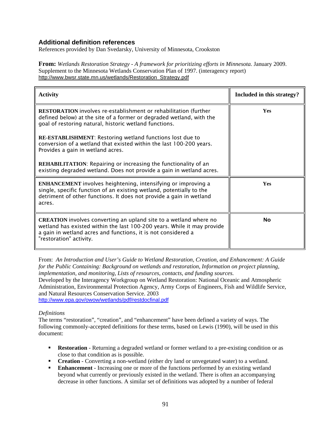#### **Additional definition references**

References provided by Dan Svedarsky, University of Minnesota, Crookston

**From:** *Wetlands Restoration Strategy - A framework for prioritizing efforts in Minnesota.* January 2009. Supplement to the Minnesota Wetlands Conservation Plan of 1997. (interagency report) http://www.bwsr.state.mn.us/wetlands/Restoration\_Strategy.pdf

| <b>Activity</b>                                                                                                                                                                                                                                 | Included in this strategy? |
|-------------------------------------------------------------------------------------------------------------------------------------------------------------------------------------------------------------------------------------------------|----------------------------|
| <b>RESTORATION</b> involves re-establishment or rehabilitation (further<br>defined below) at the site of a former or degraded wetland, with the<br>goal of restoring natural, historic wetland functions.                                       | <b>Yes</b>                 |
| RE-ESTABLISHMENT: Restoring wetland functions lost due to<br>conversion of a wetland that existed within the last 100-200 years.<br>Provides a gain in wetland acres.                                                                           |                            |
| <b>REHABILITATION:</b> Repairing or increasing the functionality of an<br>existing degraded wetland. Does not provide a gain in wetland acres.                                                                                                  |                            |
| <b>ENHANCEMENT</b> involves heightening, intensifying or improving a<br>single, specific function of an existing wetland, potentially to the<br>detriment of other functions. It does not provide a gain in wetland<br>acres.                   | <b>Yes</b>                 |
| <b>CREATION</b> involves converting an upland site to a wetland where no<br>wetland has existed within the last 100-200 years. While it may provide<br>a gain in wetland acres and functions, it is not considered a<br>"restoration" activity. | <b>No</b>                  |

From: *An Introduction and User's Guide to Wetland Restoration, Creation, and Enhancement: A Guide for the Public Containing: Background on wetlands and restoration, Information on project planning, implementation, and monitoring, Lists of resources, contacts, and funding sources.*  Developed by the Interagency Workgroup on Wetland Restoration: National Oceanic and Atmospheric Administration, Environmental Protection Agency, Army Corps of Engineers, Fish and Wildlife Service, and Natural Resources Conservation Service. 2003 http://www.epa.gov/owow/wetlands/pdf/restdocfinal.pdf

#### *Definitions*

The terms "restoration", "creation", and "enhancement" have been defined a variety of ways. The following commonly-accepted definitions for these terms, based on Lewis (1990), will be used in this document:

- **Restoration** Returning a degraded wetland or former wetland to a pre-existing condition or as close to that condition as is possible.
- **Creation**  Converting a non-wetland (either dry land or unvegetated water) to a wetland.
- **Enhancement** Increasing one or more of the functions performed by an existing wetland beyond what currently or previously existed in the wetland. There is often an accompanying decrease in other functions. A similar set of definitions was adopted by a number of federal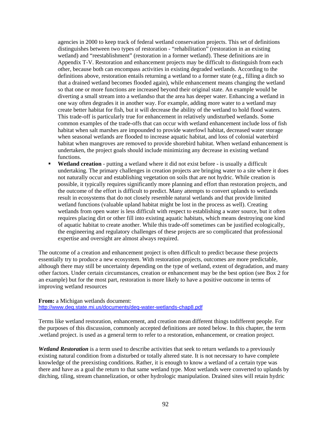agencies in 2000 to keep track of federal wetland conservation projects. This set of definitions distinguishes between two types of restoration - "rehabilitation" (restoration in an existing wetland) and "reestablishment" (restoration in a former wetland). These definitions are in Appendix T-V. Restoration and enhancement projects may be difficult to distinguish from each other, because both can encompass activities in existing degraded wetlands. According to the definitions above, restoration entails returning a wetland to a former state (e.g., filling a ditch so that a drained wetland becomes flooded again), while enhancement means changing the wetland so that one or more functions are increased beyond their original state. An example would be diverting a small stream into a wetlandso that the area has deeper water. Enhancing a wetland in one way often degrades it in another way. For example, adding more water to a wetland may create better habitat for fish, but it will decrease the ability of the wetland to hold flood waters. This trade-off is particularly true for enhancement in relatively undisturbed wetlands. Some common examples of the trade-offs that can occur with wetland enhancement include loss of fish habitat when salt marshes are impounded to provide waterfowl habitat, decreased water storage when seasonal wetlands are flooded to increase aquatic habitat, and loss of colonial waterbird habitat when mangroves are removed to provide shorebird habitat. When wetland enhancement is undertaken, the project goals should include minimizing any decrease in existing wetland functions.

**Wetland creation** - putting a wetland where it did not exist before - is usually a difficult undertaking. The primary challenges in creation projects are bringing water to a site where it does not naturally occur and establishing vegetation on soils that are not hydric. While creation is possible, it typically requires significantly more planning and effort than restoration projects, and the outcome of the effort is difficult to predict. Many attempts to convert uplands to wetlands result in ecosystems that do not closely resemble natural wetlands and that provide limited wetland functions (valuable upland habitat might be lost in the process as well). Creating wetlands from open water is less difficult with respect to establishing a water source, but it often requires placing dirt or other fill into existing aquatic habitats, which means destroying one kind of aquatic habitat to create another. While this trade-off sometimes can be justified ecologically, the engineering and regulatory challenges of these projects are so complicated that professional expertise and oversight are almost always required.

The outcome of a creation and enhancement project is often difficult to predict because these projects essentially try to produce a new ecosystem. With restoration projects, outcomes are more predictable, although there may still be uncertainty depending on the type of wetland, extent of degradation, and many other factors. Under certain circumstances, creation or enhancement may be the best option (see Box 2 for an example) but for the most part, restoration is more likely to have a positive outcome in terms of improving wetland resources

#### **From:** a Michigan wetlands document: http://www.deq.state.mi.us/documents/deq-water-wetlands-chap8.pdf

Terms like wetland restoration, enhancement, and creation mean different things todifferent people. For the purposes of this discussion, commonly accepted definitions are noted below. In this chapter, the term .wetland project. is used as a general term to refer to a restoration, enhancement, or creation project.

*Wetland Restoration* is a term used to describe activities that seek to return wetlands to a previously existing natural condition from a disturbed or totally altered state. It is not necessary to have complete knowledge of the preexisting conditions. Rather, it is enough to know a wetland of a certain type was there and have as a goal the return to that same wetland type. Most wetlands were converted to uplands by ditching, tiling, stream channelization, or other hydrologic manipulation. Drained sites will retain hydric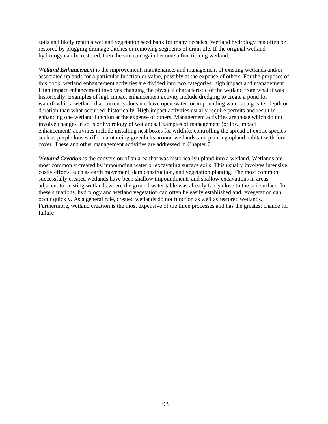soils and likely retain a wetland vegetation seed bank for many decades. Wetland hydrology can often be restored by plugging drainage ditches or removing segments of drain tile. If the original wetland hydrology can be restored, then the site can again become a functioning wetland.

*Wetland Enhancement* is the improvement, maintenance, and management of existing wetlands and/or associated uplands for a particular function or value, possibly at the expense of others. For the purposes of this book, wetland enhancement activities are divided into two categories: high impact and management. High impact enhancement involves changing the physical characteristic of the wetland from what it was historically. Examples of high impact enhancement activity include dredging to create a pond for waterfowl in a wetland that currently does not have open water, or impounding water at a greater depth or duration than what occurred historically. High impact activities usually require permits and result in enhancing one wetland function at the expense of others. Management activities are those which do not involve changes in soils or hydrology of wetlands. Examples of management (or low impact enhancement) activities include installing nest boxes for wildlife, controlling the spread of exotic species such as purple loosestrife, maintaining greenbelts around wetlands, and planting upland habitat with food cover. These and other management activities are addressed in Chapter 7.

*Wetland Creation* is the conversion of an area that was historically upland into a wetland. Wetlands are most commonly created by impounding water or excavating surface soils. This usually involves intensive, costly efforts, such as earth movement, dam construction, and vegetation planting. The most common, successfully created wetlands have been shallow impoundments and shallow excavations in areas adjacent to existing wetlands where the ground water table was already fairly close to the soil surface. In these situations, hydrology and wetland vegetation can often be easily established and revegetation can occur quickly. As a general rule, created wetlands do not function as well as restored wetlands. Furthermore, wetland creation is the most expensive of the three processes and has the greatest chance for failure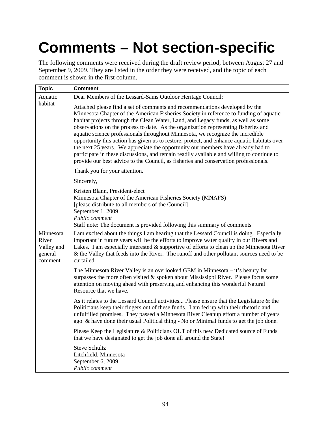# **Comments – Not section-specific**

The following comments were received during the draft review period, between August 27 and September 9, 2009. They are listed in the order they were received, and the topic of each comment is shown in the first column.

| <b>Topic</b>                                           | <b>Comment</b>                                                                                                                                                                                                                                                                                                                                                                                                                                                                                                                                                                                                                                                                                                                                                                                               |
|--------------------------------------------------------|--------------------------------------------------------------------------------------------------------------------------------------------------------------------------------------------------------------------------------------------------------------------------------------------------------------------------------------------------------------------------------------------------------------------------------------------------------------------------------------------------------------------------------------------------------------------------------------------------------------------------------------------------------------------------------------------------------------------------------------------------------------------------------------------------------------|
| Aquatic                                                | Dear Members of the Lessard-Sams Outdoor Heritage Council:                                                                                                                                                                                                                                                                                                                                                                                                                                                                                                                                                                                                                                                                                                                                                   |
| habitat                                                | Attached please find a set of comments and recommendations developed by the<br>Minnesota Chapter of the American Fisheries Society in reference to funding of aquatic<br>habitat projects through the Clean Water, Land, and Legacy funds, as well as some<br>observations on the process to date. As the organization representing fisheries and<br>aquatic science professionals throughout Minnesota, we recognize the incredible<br>opportunity this action has given us to restore, protect, and enhance aquatic habitats over<br>the next 25 years. We appreciate the opportunity our members have already had to<br>participate in these discussions, and remain readily available and willing to continue to<br>provide our best advice to the Council, as fisheries and conservation professionals. |
|                                                        | Thank you for your attention.                                                                                                                                                                                                                                                                                                                                                                                                                                                                                                                                                                                                                                                                                                                                                                                |
|                                                        | Sincerely,                                                                                                                                                                                                                                                                                                                                                                                                                                                                                                                                                                                                                                                                                                                                                                                                   |
|                                                        | Kristen Blann, President-elect<br>Minnesota Chapter of the American Fisheries Society (MNAFS)<br>[please distribute to all members of the Council]<br>September 1, 2009<br>Public comment<br>Staff note: The document is provided following this summary of comments                                                                                                                                                                                                                                                                                                                                                                                                                                                                                                                                         |
| Minnesota<br>River<br>Valley and<br>general<br>comment | I am excited about the things I am hearing that the Lessard Council is doing. Especially<br>important in future years will be the efforts to improve water quality in our Rivers and<br>Lakes. I am especially interested $&$ supportive of efforts to clean up the Minnesota River<br>& the Valley that feeds into the River. The runoff and other pollutant sources need to be<br>curtailed.                                                                                                                                                                                                                                                                                                                                                                                                               |
|                                                        | The Minnesota River Valley is an overlooked GEM in Minnesota – it's beauty far<br>surpasses the more often visited & spoken about Mississippi River. Please focus some<br>attention on moving ahead with preserving and enhancing this wonderful Natural<br>Resource that we have.                                                                                                                                                                                                                                                                                                                                                                                                                                                                                                                           |
|                                                        | As it relates to the Lessard Council activities Please ensure that the Legislature & the<br>Politicians keep their fingers out of these funds. I am fed up with their rhetoric and<br>unfulfilled promises. They passed a Minnesota River Cleanup effort a number of years<br>ago & have done their usual Political thing - No or Minimal funds to get the job done.                                                                                                                                                                                                                                                                                                                                                                                                                                         |
|                                                        | Please Keep the Legislature & Politicians OUT of this new Dedicated source of Funds<br>that we have designated to get the job done all around the State!                                                                                                                                                                                                                                                                                                                                                                                                                                                                                                                                                                                                                                                     |
|                                                        | <b>Steve Schultz</b><br>Litchfield, Minnesota<br>September 6, 2009<br>Public comment                                                                                                                                                                                                                                                                                                                                                                                                                                                                                                                                                                                                                                                                                                                         |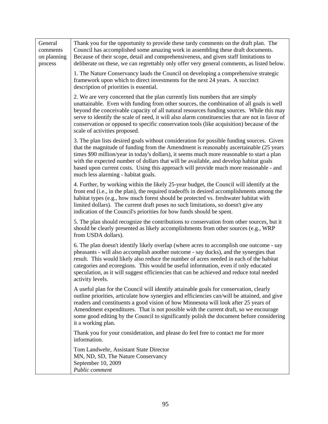| General<br>comments<br>on planning<br>process | Thank you for the opportunity to provide these tardy comments on the draft plan. The<br>Council has accomplished some amazing work in assembling these draft documents.<br>Because of their scope, detail and comprehensiveness, and given staff limitations to<br>deliberate on these, we can regrettably only offer very general comments, as listed below.                                                                                                                                              |
|-----------------------------------------------|------------------------------------------------------------------------------------------------------------------------------------------------------------------------------------------------------------------------------------------------------------------------------------------------------------------------------------------------------------------------------------------------------------------------------------------------------------------------------------------------------------|
|                                               | 1. The Nature Conservancy lauds the Council on developing a comprehensive strategic<br>framework upon which to direct investments for the next 24 years. A succinct<br>description of priorities is essential.                                                                                                                                                                                                                                                                                             |
|                                               | 2. We are very concerned that the plan currently lists numbers that are simply<br>unattainable. Even with funding from other sources, the combination of all goals is well<br>beyond the conceivable capacity of all natural resources funding sources. While this may<br>serve to identify the scale of need, it will also alarm constituencies that are not in favor of<br>conservation or opposed to specific conservation tools (like acquisition) because of the<br>scale of activities proposed.     |
|                                               | 3. The plan lists desired goals without consideration for possible funding sources. Given<br>that the magnitude of funding from the Amendment is reasonably ascertainable (25 years<br>times \$90 million/year in today's dollars), it seems much more reasonable to start a plan<br>with the expected number of dollars that will be available, and develop habitat goals<br>based upon current costs. Using this approach will provide much more reasonable - and<br>much less alarming - habitat goals. |
|                                               | 4. Further, by working within the likely 25-year budget, the Council will identify at the<br>front end (i.e., in the plan), the required tradeoffs in desired accomplishments among the<br>habitat types (e.g., how much forest should be protected vs. freshwater habitat with<br>limited dollars). The current draft poses no such limitations, so doesn't give any<br>indication of the Council's priorities for how funds should be spent.                                                             |
|                                               | 5. The plan should recognize the contributions to conservation from other sources, but it<br>should be clearly presented as likely accomplishments from other sources (e.g., WRP)<br>from USDA dollars).                                                                                                                                                                                                                                                                                                   |
|                                               | 6. The plan doesn't identify likely overlap (where acres to accomplish one outcome - say<br>pheasants - will also accomplish another outcome - say ducks), and the synergies that<br>result. This would likely also reduce the number of acres needed in each of the habitat<br>categories and ecoregions. This would be useful information, even if only educated<br>speculation, as it will suggest efficiencies that can be achieved and reduce total needed<br>activity levels.                        |
|                                               | A useful plan for the Council will identify attainable goals for conservation, clearly<br>outline priorities, articulate how synergies and efficiencies can/will be attained, and give<br>readers and constituents a good vision of how Minnesota will look after 25 years of<br>Amendment expenditures. That is not possible with the current draft, so we encourage<br>some good editing by the Council to significantly polish the document before considering<br>it a working plan.                    |
|                                               | Thank you for your consideration, and please do feel free to contact me for more<br>information.                                                                                                                                                                                                                                                                                                                                                                                                           |
|                                               | Tom Landwehr, Assistant State Director<br>MN, ND, SD, The Nature Conservancy<br>September 10, 2009<br>Public comment                                                                                                                                                                                                                                                                                                                                                                                       |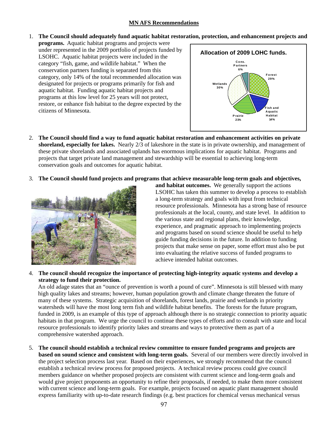#### **MN AFS Recommendations**

1. **The Council should adequately fund aquatic habitat restoration, protection, and enhancement projects and** 

**programs.** Aquatic habitat programs and projects were under represented in the 2009 portfolio of projects funded by LSOHC. Aquatic habitat projects were included in the category "fish, game, and wildlife habitat." When the conservation partners funding is separated from this category, only 14% of the total recommended allocation was designated for projects or programs primarily for fish and aquatic habitat. Funding aquatic habitat projects and programs at this low level for 25 years will not protect, restore, or enhance fish habitat to the degree expected by the citizens of Minnesota.



- 2. **The Council should find a way to fund aquatic habitat restoration and enhancement activities on private shoreland, especially for lakes.** Nearly 2/3 of lakeshore in the state is in private ownership, and management of these private shorelands and associated uplands has enormous implications for aquatic habitat. Programs and projects that target private land management and stewardship will be essential to achieving long-term conservation goals and outcomes for aquatic habitat.
- 3. **The Council should fund projects and programs that achieve measurable long-term goals and objectives,**



**and habitat outcomes.** We generally support the actions LSOHC has taken this summer to develop a process to establish a long-term strategy and goals with input from technical resource professionals. Minnesota has a strong base of resource professionals at the local, county, and state level. In addition to the various state and regional plans, their knowledge, experience, and pragmatic approach to implementing projects and programs based on sound science should be useful to help guide funding decisions in the future. In addition to funding projects that make sense on paper, some effort must also be put into evaluating the relative success of funded programs to achieve inte nded habitat outcomes.

#### 4. **The council should recognize the importance of protecting high-integrity aquatic systems and develop a strategy to fund their protection.**

An old adage states that an "ounce of prevention is worth a pound of cure". Minnesota is still blessed with many high quality lakes and streams; however, human population growth and climate change threaten the future of many of these systems. Strategic acquisition of shorelands, forest lands, prairie and wetlands in priority watersheds will have the most long term fish and wildlife habitat benefits. The forests for the future program, funded in 2009, is an example of this type of approach although there is no strategic connection to priority aquatic habitats in that program. We urge the council to continue these types of efforts and to consult with state and local resource professionals to identify priority lakes and streams and ways to protective them as part of a comprehensive watershed approach.

5. **The council should establish a technical review committee to ensure funded programs and projects are based on sound science and consistent with long-term goals.** Several of our members were directly involved in the project selection process last year. Based on their experiences, we strongly recommend that the council establish a technical review process for proposed projects. A technical review process could give council members guidance on whether proposed projects are consistent with current science and long-term goals and would give project proponents an opportunity to refine their proposals, if needed, to make them more consistent with current science and long-term goals. For example, projects focused on aquatic plant management should express familiarity with up-to-date research findings (e.g. best practices for chemical versus mechanical versus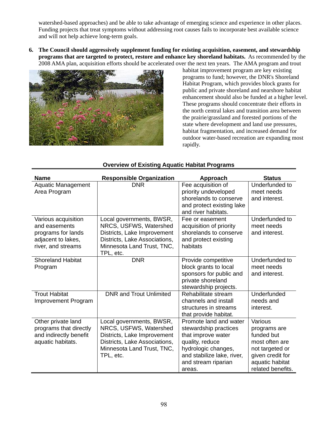watershed-based approaches) and be able to take advantage of emerging science and experience in other places. Funding projects that treat symptoms without addressing root causes fails to incorporate best available science and will not help achieve long-term goals.

**6. The Council should aggressively supplement funding for existing acquisition, easement, and stewardship programs that are targeted to protect, restore and enhance key shoreland habitats.** As recommended by the 2008 AMA plan, acquisition efforts should be accelerated over the next ten years. The AMA program and trout



habitat improvement program are key existing programs to fund; however, the DNR's Shoreland Habitat Program, which provides block grants for public and private shoreland and nearshore habitat enhancement should also be funded at a higher level. These programs should concentrate their efforts in the north central lakes and transition area between the prairie/grassland and forested portions of the state where development and land use pressures, habitat fragmentation, and increased demand for outdoor water-based recreation are expanding most rapidly.

| <b>Name</b>                                                                                            | <b>Responsible Organization</b>                                                                                                                               | Approach                                                                                                                                                                       | <b>Status</b>                                                                                                                          |
|--------------------------------------------------------------------------------------------------------|---------------------------------------------------------------------------------------------------------------------------------------------------------------|--------------------------------------------------------------------------------------------------------------------------------------------------------------------------------|----------------------------------------------------------------------------------------------------------------------------------------|
| <b>Aquatic Management</b><br>Area Program                                                              | <b>DNR</b>                                                                                                                                                    | Fee acquisition of<br>priority undeveloped<br>shorelands to conserve<br>and protect existing lake<br>and river habitats.                                                       | Underfunded to<br>meet needs<br>and interest.                                                                                          |
| Various acquisition<br>and easements<br>programs for lands<br>adjacent to lakes,<br>river, and streams | Local governments, BWSR,<br>NRCS, USFWS, Watershed<br>Districts, Lake Improvement<br>Districts, Lake Associations,<br>Minnesota Land Trust, TNC,<br>TPL, etc. | Fee or easement<br>acquisition of priority<br>shorelands to conserve<br>and protect existing<br>habitats                                                                       | Underfunded to<br>meet needs<br>and interest.                                                                                          |
| <b>Shoreland Habitat</b><br>Program                                                                    | <b>DNR</b>                                                                                                                                                    | Provide competitive<br>block grants to local<br>sponsors for public and<br>private shoreland<br>stewardship projects.                                                          | Underfunded to<br>meet needs<br>and interest.                                                                                          |
| <b>Trout Habitat</b><br>Improvement Program                                                            | <b>DNR and Trout Unlimited</b>                                                                                                                                | Rehabilitate stream<br>channels and install<br>structures in streams<br>that provide habitat.                                                                                  | Underfunded<br>needs and<br>interest.                                                                                                  |
| Other private land<br>programs that directly<br>and indirectly benefit<br>aquatic habitats.            | Local governments, BWSR,<br>NRCS, USFWS, Watershed<br>Districts, Lake Improvement<br>Districts, Lake Associations,<br>Minnesota Land Trust, TNC,<br>TPL, etc. | Promote land and water<br>stewardship practices<br>that improve water<br>quality, reduce<br>hydrologic changes,<br>and stabilize lake, river,<br>and stream riparian<br>areas. | Various<br>programs are<br>funded but<br>most often are<br>not targeted or<br>given credit for<br>aquatic habitat<br>related benefits. |

#### **Overview of Existing Aquatic Habitat Programs**